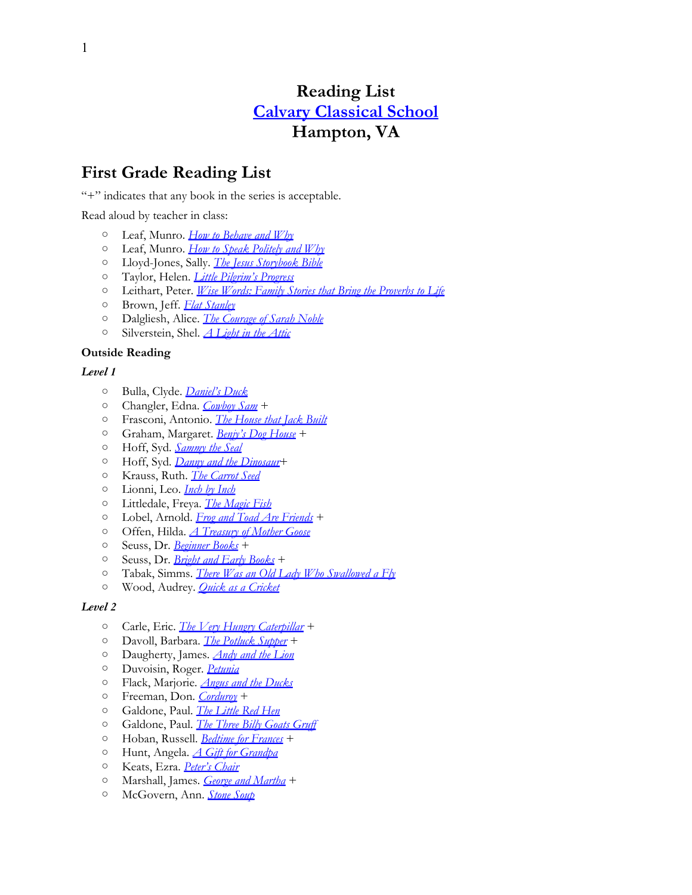# **Reading List [Calvary](http://www.calvaryclassical.org/) [Classical](http://www.calvaryclassical.org/) [School](http://www.calvaryclassical.org/) Hampton, VA**

# **First Grade Reading List**

"+" indicates that any book in the series is acceptable.

Read aloud by teacher in class:

- Leaf, Munro. *[How](http://www.amazon.com/exec/obidos/ASIN/0789306840/thegospcoal-20) [to](http://www.amazon.com/exec/obidos/ASIN/0789306840/thegospcoal-20) [Behave](http://www.amazon.com/exec/obidos/ASIN/0789306840/thegospcoal-20) [and](http://www.amazon.com/exec/obidos/ASIN/0789306840/thegospcoal-20) [Why](http://www.amazon.com/exec/obidos/ASIN/0789306840/thegospcoal-20)*
- Leaf, Munro. *[How](http://www.amazon.com/exec/obidos/ASIN/0789313529/thegospcoal-20) [to](http://www.amazon.com/exec/obidos/ASIN/0789313529/thegospcoal-20) [Speak](http://www.amazon.com/exec/obidos/ASIN/0789313529/thegospcoal-20) [Politely](http://www.amazon.com/exec/obidos/ASIN/0789313529/thegospcoal-20) [and](http://www.amazon.com/exec/obidos/ASIN/0789313529/thegospcoal-20) [Why](http://www.amazon.com/exec/obidos/ASIN/0789313529/thegospcoal-20)*
- Lloyd-Jones, Sally. *[The](http://www.amazon.com/exec/obidos/ASIN/0310718783/thegospcoal-20) [Jesus](http://www.amazon.com/exec/obidos/ASIN/0310718783/thegospcoal-20) [Storybook](http://www.amazon.com/exec/obidos/ASIN/0310718783/thegospcoal-20) [Bible](http://www.amazon.com/exec/obidos/ASIN/0310718783/thegospcoal-20)*
- Taylor, Helen. *[Little](http://www.amazon.com/exec/obidos/ASIN/0802449247/thegospcoal-20) [Pilgrim's](http://www.amazon.com/exec/obidos/ASIN/0802449247/thegospcoal-20) [Progress](http://www.amazon.com/exec/obidos/ASIN/0802449247/thegospcoal-20)*
- Leithart, Peter. *[Wise](http://www.amazon.com/exec/obidos/ASIN/1591280141/thegospcoal-20) [Words: Family](http://www.amazon.com/exec/obidos/ASIN/1591280141/thegospcoal-20) [Stories](http://www.amazon.com/exec/obidos/ASIN/1591280141/thegospcoal-20) [that](http://www.amazon.com/exec/obidos/ASIN/1591280141/thegospcoal-20) [Bring](http://www.amazon.com/exec/obidos/ASIN/1591280141/thegospcoal-20) [the](http://www.amazon.com/exec/obidos/ASIN/1591280141/thegospcoal-20) [Proverbs](http://www.amazon.com/exec/obidos/ASIN/1591280141/thegospcoal-20) [to](http://www.amazon.com/exec/obidos/ASIN/1591280141/thegospcoal-20) [Life](http://www.amazon.com/exec/obidos/ASIN/1591280141/thegospcoal-20)*
- Brown, Jeff. *[Flat](http://www.amazon.com/exec/obidos/ASIN/0061802476/thegospcoal-20) [Stanley](http://www.amazon.com/exec/obidos/ASIN/0061802476/thegospcoal-20)*
- Dalgliesh, Alice. *[The](http://www.amazon.com/exec/obidos/ASIN/0689715404/thegospcoal-20) [Courage](http://www.amazon.com/exec/obidos/ASIN/0689715404/thegospcoal-20) [of](http://www.amazon.com/exec/obidos/ASIN/0689715404/thegospcoal-20) [Sarah](http://www.amazon.com/exec/obidos/ASIN/0689715404/thegospcoal-20) [Noble](http://www.amazon.com/exec/obidos/ASIN/0689715404/thegospcoal-20)*
- Silverstein, Shel. *[A](http://www.amazon.com/exec/obidos/ASIN/0061905852/thegospcoal-20) [Light](http://www.amazon.com/exec/obidos/ASIN/0061905852/thegospcoal-20) [in](http://www.amazon.com/exec/obidos/ASIN/0061905852/thegospcoal-20) [the](http://www.amazon.com/exec/obidos/ASIN/0061905852/thegospcoal-20) [Attic](http://www.amazon.com/exec/obidos/ASIN/0061905852/thegospcoal-20)*

#### **Outside Reading**

#### *Level 1*

- Bulla, Clyde. *[Daniel's](http://www.amazon.com/exec/obidos/ASIN/0064440311/thegospcoal-20) [Duck](http://www.amazon.com/exec/obidos/ASIN/0064440311/thegospcoal-20)*
- Changler, Edna. *[Cowboy](http://www.amazon.com/exec/obidos/ASIN/B000JD09QI/thegospcoal-20) [Sam](http://www.amazon.com/exec/obidos/ASIN/B000JD09QI/thegospcoal-20)* +
- Frasconi, Antonio. *[The](http://www.amazon.com/exec/obidos/ASIN/B000EPR4EG/thegospcoal-20) [House](http://www.amazon.com/exec/obidos/ASIN/B000EPR4EG/thegospcoal-20) [that](http://www.amazon.com/exec/obidos/ASIN/B000EPR4EG/thegospcoal-20) [Jack](http://www.amazon.com/exec/obidos/ASIN/B000EPR4EG/thegospcoal-20) [Built](http://www.amazon.com/exec/obidos/ASIN/B000EPR4EG/thegospcoal-20)*
- Graham, Margaret. *[Benjy's](http://www.amazon.com/exec/obidos/ASIN/B000JGEARE/thegospcoal-20) [Dog](http://www.amazon.com/exec/obidos/ASIN/B000JGEARE/thegospcoal-20) [House](http://www.amazon.com/exec/obidos/ASIN/B000JGEARE/thegospcoal-20)* +
- Hoff, Syd. *[Sammy](http://www.amazon.com/exec/obidos/ASIN/0064442705/thegospcoal-20) [the](http://www.amazon.com/exec/obidos/ASIN/0064442705/thegospcoal-20) [Seal](http://www.amazon.com/exec/obidos/ASIN/0064442705/thegospcoal-20)*
- Hoff, Syd. *[Danny](http://www.amazon.com/exec/obidos/ASIN/0064440028/thegospcoal-20) [and](http://www.amazon.com/exec/obidos/ASIN/0064440028/thegospcoal-20) [the](http://www.amazon.com/exec/obidos/ASIN/0064440028/thegospcoal-20) [Dinosaur](http://www.amazon.com/exec/obidos/ASIN/0064440028/thegospcoal-20)*+
- Krauss, Ruth. *[The](http://www.amazon.com/exec/obidos/ASIN/1591127076/thegospcoal-20) [Carrot](http://www.amazon.com/exec/obidos/ASIN/1591127076/thegospcoal-20) [Seed](http://www.amazon.com/exec/obidos/ASIN/1591127076/thegospcoal-20)*
- Lionni, Leo. *[Inch](http://www.amazon.com/exec/obidos/ASIN/0375857648/thegospcoal-20) [by](http://www.amazon.com/exec/obidos/ASIN/0375857648/thegospcoal-20) [Inch](http://www.amazon.com/exec/obidos/ASIN/0375857648/thegospcoal-20)*
- Littledale, Freya. *[The](http://www.amazon.com/exec/obidos/ASIN/0590411004/thegospcoal-20) [Magic](http://www.amazon.com/exec/obidos/ASIN/0590411004/thegospcoal-20) [Fish](http://www.amazon.com/exec/obidos/ASIN/0590411004/thegospcoal-20)*
- Lobel, Arnold. *[Frog](http://www.amazon.com/exec/obidos/ASIN/0064440206/thegospcoal-20) [and](http://www.amazon.com/exec/obidos/ASIN/0064440206/thegospcoal-20) [Toad](http://www.amazon.com/exec/obidos/ASIN/0064440206/thegospcoal-20) [Are](http://www.amazon.com/exec/obidos/ASIN/0064440206/thegospcoal-20) [Friends](http://www.amazon.com/exec/obidos/ASIN/0064440206/thegospcoal-20)* +
- Offen, Hilda. *[A](http://www.amazon.com/exec/obidos/ASIN/0671501186/thegospcoal-20) [Treasury](http://www.amazon.com/exec/obidos/ASIN/0671501186/thegospcoal-20) [of](http://www.amazon.com/exec/obidos/ASIN/0671501186/thegospcoal-20) [Mother](http://www.amazon.com/exec/obidos/ASIN/0671501186/thegospcoal-20) [Goose](http://www.amazon.com/exec/obidos/ASIN/0671501186/thegospcoal-20)*
- Seuss, Dr. *[Beginner](http://www.amazon.com/exec/obidos/ASIN/0375851569/thegospcoal-20) [Books](http://www.amazon.com/exec/obidos/ASIN/0375851569/thegospcoal-20)* +
- Seuss, Dr. *[Bright](http://www.amazon.com/s/ref=nb_sb_noss?url=search-alias%3Dstripbooks&field-keywords=Seuss%2C+Dr.+Bright+and+Early+Books) [and](http://www.amazon.com/s/ref=nb_sb_noss?url=search-alias%3Dstripbooks&field-keywords=Seuss%2C+Dr.+Bright+and+Early+Books) [Early](http://www.amazon.com/s/ref=nb_sb_noss?url=search-alias%3Dstripbooks&field-keywords=Seuss%2C+Dr.+Bright+and+Early+Books) [Books](http://www.amazon.com/s/ref=nb_sb_noss?url=search-alias%3Dstripbooks&field-keywords=Seuss%2C+Dr.+Bright+and+Early+Books)* +
- Tabak, Simms. *[There](http://www.amazon.com/exec/obidos/ASIN/0670869392/thegospcoal-20) [Was](http://www.amazon.com/exec/obidos/ASIN/0670869392/thegospcoal-20) [an](http://www.amazon.com/exec/obidos/ASIN/0670869392/thegospcoal-20) [Old](http://www.amazon.com/exec/obidos/ASIN/0670869392/thegospcoal-20) [Lady](http://www.amazon.com/exec/obidos/ASIN/0670869392/thegospcoal-20) [Who](http://www.amazon.com/exec/obidos/ASIN/0670869392/thegospcoal-20) [Swallowed](http://www.amazon.com/exec/obidos/ASIN/0670869392/thegospcoal-20) [a](http://www.amazon.com/exec/obidos/ASIN/0670869392/thegospcoal-20) [Fly](http://www.amazon.com/exec/obidos/ASIN/0670869392/thegospcoal-20)*
- Wood, Audrey. *[Quick](http://www.amazon.com/exec/obidos/ASIN/085953331X/thegospcoal-20) [as](http://www.amazon.com/exec/obidos/ASIN/085953331X/thegospcoal-20) [a](http://www.amazon.com/exec/obidos/ASIN/085953331X/thegospcoal-20) [Cricket](http://www.amazon.com/exec/obidos/ASIN/085953331X/thegospcoal-20)*

- Carle, Eric. *[The](http://www.amazon.com/exec/obidos/ASIN/0140569324/thegospcoal-20) [Very](http://www.amazon.com/exec/obidos/ASIN/0140569324/thegospcoal-20) [Hungry](http://www.amazon.com/exec/obidos/ASIN/0140569324/thegospcoal-20) [Caterpillar](http://www.amazon.com/exec/obidos/ASIN/0140569324/thegospcoal-20)* +
- Davoll, Barbara. *[The](http://www.amazon.com/exec/obidos/ASIN/0896934063/thegospcoal-20) [Potluck](http://www.amazon.com/exec/obidos/ASIN/0896934063/thegospcoal-20) [Supper](http://www.amazon.com/exec/obidos/ASIN/0896934063/thegospcoal-20)* +
- Daugherty, James. *[Andy](http://www.amazon.com/exec/obidos/ASIN/0140502777/thegospcoal-20) [and](http://www.amazon.com/exec/obidos/ASIN/0140502777/thegospcoal-20) [the](http://www.amazon.com/exec/obidos/ASIN/0140502777/thegospcoal-20) [Lion](http://www.amazon.com/exec/obidos/ASIN/0140502777/thegospcoal-20)*
- Duvoisin, Roger. *[Petunia](http://www.amazon.com/exec/obidos/ASIN/0440417546/thegospcoal-20)*
- Flack, Marjorie. *[Angus](http://www.amazon.com/exec/obidos/ASIN/0374403856/thegospcoal-20) [and](http://www.amazon.com/exec/obidos/ASIN/0374403856/thegospcoal-20) [the](http://www.amazon.com/exec/obidos/ASIN/0374403856/thegospcoal-20) [Ducks](http://www.amazon.com/exec/obidos/ASIN/0374403856/thegospcoal-20)*
- Freeman, Don. *[Corduroy](http://www.amazon.com/exec/obidos/ASIN/0670013110/thegospcoal-20)* +
- Galdone, Paul. *[The](http://www.amazon.com/exec/obidos/ASIN/0899193498/thegospcoal-20) [Little](http://www.amazon.com/exec/obidos/ASIN/0899193498/thegospcoal-20) [Red](http://www.amazon.com/exec/obidos/ASIN/0899193498/thegospcoal-20) [Hen](http://www.amazon.com/exec/obidos/ASIN/0899193498/thegospcoal-20)*
- Galdone, Paul. *[The](http://www.amazon.com/exec/obidos/ASIN/0899190359/thegospcoal-20) [Three](http://www.amazon.com/exec/obidos/ASIN/0899190359/thegospcoal-20) [Billy](http://www.amazon.com/exec/obidos/ASIN/0899190359/thegospcoal-20) [Goats](http://www.amazon.com/exec/obidos/ASIN/0899190359/thegospcoal-20) [Gruff](http://www.amazon.com/exec/obidos/ASIN/0899190359/thegospcoal-20)*
- Hoban, Russell. *[Bedtime](http://www.amazon.com/exec/obidos/ASIN/0064434516/thegospcoal-20) [for](http://www.amazon.com/exec/obidos/ASIN/0064434516/thegospcoal-20) [Frances](http://www.amazon.com/exec/obidos/ASIN/0064434516/thegospcoal-20)* +
- Hunt, Angela. *[A](http://www.amazon.com/exec/obidos/ASIN/1555134254/thegospcoal-20) [Gift](http://www.amazon.com/exec/obidos/ASIN/1555134254/thegospcoal-20) [for](http://www.amazon.com/exec/obidos/ASIN/1555134254/thegospcoal-20) [Grandpa](http://www.amazon.com/exec/obidos/ASIN/1555134254/thegospcoal-20)*
- Keats, Ezra. *[Peter's](http://www.amazon.com/exec/obidos/ASIN/0140564411/thegospcoal-20) [Chair](http://www.amazon.com/exec/obidos/ASIN/0140564411/thegospcoal-20)*
- Marshall, James. *[George](http://www.amazon.com/exec/obidos/ASIN/0618891951/thegospcoal-20) [and](http://www.amazon.com/exec/obidos/ASIN/0618891951/thegospcoal-20) [Martha](http://www.amazon.com/exec/obidos/ASIN/0618891951/thegospcoal-20)* +
- McGovern, Ann. *[Stone](http://www.amazon.com/exec/obidos/ASIN/0590416022/thegospcoal-20) [Soup](http://www.amazon.com/exec/obidos/ASIN/0590416022/thegospcoal-20)*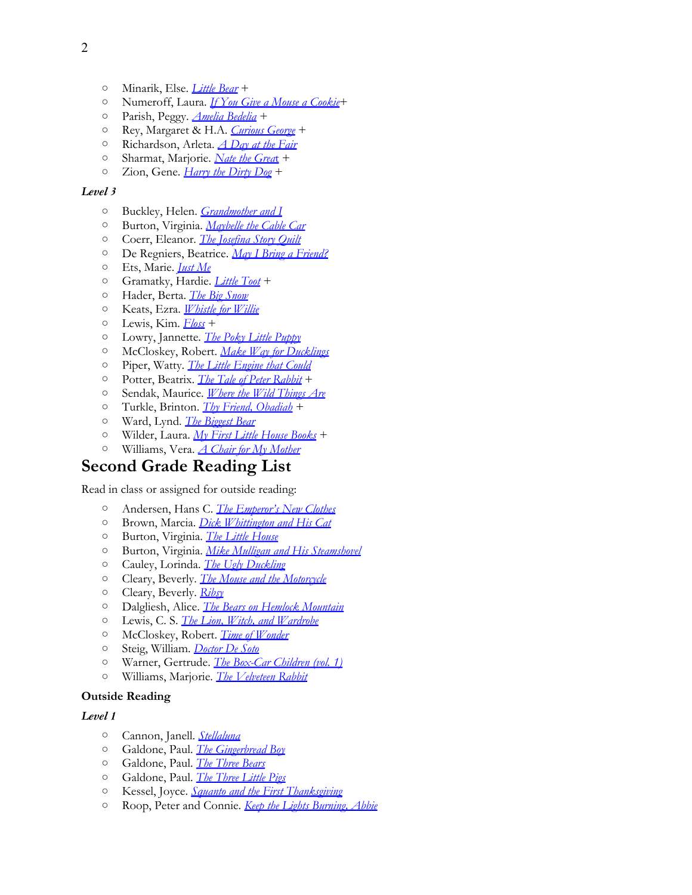- Minarik, Else. *[Little](http://www.amazon.com/exec/obidos/ASIN/0064441970/thegospcoal-20) [Bear](http://www.amazon.com/exec/obidos/ASIN/0064441970/thegospcoal-20)* +
- Numeroff, Laura. *[If](http://www.amazon.com/s/ref=nb_sb_noss?url=search-alias%3Dstripbooks&field-keywords=Numeroff%2C+Laura.+If+You+Give+a+Mouse+a+Cookie#/ref=nb_sb_noss?url=search-alias%3Dstripbooks&field-keywords=Numeroff+If+You+Give+a&rh=n%3A283155%2Ck%3ANumeroff+If+You+Give+a) [You](http://www.amazon.com/s/ref=nb_sb_noss?url=search-alias%3Dstripbooks&field-keywords=Numeroff%2C+Laura.+If+You+Give+a+Mouse+a+Cookie#/ref=nb_sb_noss?url=search-alias%3Dstripbooks&field-keywords=Numeroff+If+You+Give+a&rh=n%3A283155%2Ck%3ANumeroff+If+You+Give+a) [Give](http://www.amazon.com/s/ref=nb_sb_noss?url=search-alias%3Dstripbooks&field-keywords=Numeroff%2C+Laura.+If+You+Give+a+Mouse+a+Cookie#/ref=nb_sb_noss?url=search-alias%3Dstripbooks&field-keywords=Numeroff+If+You+Give+a&rh=n%3A283155%2Ck%3ANumeroff+If+You+Give+a) [a](http://www.amazon.com/s/ref=nb_sb_noss?url=search-alias%3Dstripbooks&field-keywords=Numeroff%2C+Laura.+If+You+Give+a+Mouse+a+Cookie#/ref=nb_sb_noss?url=search-alias%3Dstripbooks&field-keywords=Numeroff+If+You+Give+a&rh=n%3A283155%2Ck%3ANumeroff+If+You+Give+a) [Mouse](http://www.amazon.com/s/ref=nb_sb_noss?url=search-alias%3Dstripbooks&field-keywords=Numeroff%2C+Laura.+If+You+Give+a+Mouse+a+Cookie#/ref=nb_sb_noss?url=search-alias%3Dstripbooks&field-keywords=Numeroff+If+You+Give+a&rh=n%3A283155%2Ck%3ANumeroff+If+You+Give+a) [a](http://www.amazon.com/s/ref=nb_sb_noss?url=search-alias%3Dstripbooks&field-keywords=Numeroff%2C+Laura.+If+You+Give+a+Mouse+a+Cookie#/ref=nb_sb_noss?url=search-alias%3Dstripbooks&field-keywords=Numeroff+If+You+Give+a&rh=n%3A283155%2Ck%3ANumeroff+If+You+Give+a) [Cookie](http://www.amazon.com/s/ref=nb_sb_noss?url=search-alias%3Dstripbooks&field-keywords=Numeroff%2C+Laura.+If+You+Give+a+Mouse+a+Cookie#/ref=nb_sb_noss?url=search-alias%3Dstripbooks&field-keywords=Numeroff+If+You+Give+a&rh=n%3A283155%2Ck%3ANumeroff+If+You+Give+a)*+
- Parish, Peggy. *[Amelia](http://www.amazon.com/exec/obidos/ASIN/0060542381/thegospcoal-20) [Bedelia](http://www.amazon.com/exec/obidos/ASIN/0060542381/thegospcoal-20)* +
- Rey, Margaret & H.A. *[Curious](http://www.amazon.com/exec/obidos/ASIN/0618538224/thegospcoal-20) [George](http://www.amazon.com/exec/obidos/ASIN/0618538224/thegospcoal-20)* +
- Richardson, Arleta. *[A](http://www.amazon.com/exec/obidos/ASIN/0781402492/thegospcoal-20) [Day](http://www.amazon.com/exec/obidos/ASIN/0781402492/thegospcoal-20) [at](http://www.amazon.com/exec/obidos/ASIN/0781402492/thegospcoal-20) [the](http://www.amazon.com/exec/obidos/ASIN/0781402492/thegospcoal-20) [Fair](http://www.amazon.com/exec/obidos/ASIN/0781402492/thegospcoal-20)*
- Sharmat, Marjorie. *[Nate](http://www.amazon.com/exec/obidos/ASIN/044046126X/thegospcoal-20) [the](http://www.amazon.com/exec/obidos/ASIN/044046126X/thegospcoal-20) [Grea](http://www.amazon.com/exec/obidos/ASIN/044046126X/thegospcoal-20)*[t](http://www.amazon.com/exec/obidos/ASIN/044046126X/thegospcoal-20) +
- Zion, Gene. *[Harry](http://www.amazon.com/exec/obidos/ASIN/006443009X/thegospcoal-20) [the](http://www.amazon.com/exec/obidos/ASIN/006443009X/thegospcoal-20) [Dirty](http://www.amazon.com/exec/obidos/ASIN/006443009X/thegospcoal-20) [Dog](http://www.amazon.com/exec/obidos/ASIN/006443009X/thegospcoal-20)* +

- Buckley, Helen. *[Grandmother](http://www.amazon.com/exec/obidos/ASIN/0688175252/thegospcoal-20) [and](http://www.amazon.com/exec/obidos/ASIN/0688175252/thegospcoal-20) [I](http://www.amazon.com/exec/obidos/ASIN/0688175252/thegospcoal-20)*
- Burton, Virginia. *[Maybelle](http://www.amazon.com/exec/obidos/ASIN/0395840031/thegospcoal-20) [the](http://www.amazon.com/exec/obidos/ASIN/0395840031/thegospcoal-20) [Cable](http://www.amazon.com/exec/obidos/ASIN/0395840031/thegospcoal-20) [Car](http://www.amazon.com/exec/obidos/ASIN/0395840031/thegospcoal-20)*
- Coerr, Eleanor. *[The](http://www.amazon.com/exec/obidos/ASIN/1430108169/thegospcoal-20) [Josefina](http://www.amazon.com/exec/obidos/ASIN/1430108169/thegospcoal-20) [Story](http://www.amazon.com/exec/obidos/ASIN/1430108169/thegospcoal-20) [Quilt](http://www.amazon.com/exec/obidos/ASIN/1430108169/thegospcoal-20)*
- De Regniers, Beatrice. *[May](http://www.amazon.com/exec/obidos/ASIN/0689713533/thegospcoal-20) [I](http://www.amazon.com/exec/obidos/ASIN/0689713533/thegospcoal-20) [Bring](http://www.amazon.com/exec/obidos/ASIN/0689713533/thegospcoal-20) [a](http://www.amazon.com/exec/obidos/ASIN/0689713533/thegospcoal-20) [Friend?](http://www.amazon.com/exec/obidos/ASIN/0689713533/thegospcoal-20)*
- Ets, Marie. *[Just](http://www.amazon.com/exec/obidos/ASIN/0941078744/thegospcoal-20) [Me](http://www.amazon.com/exec/obidos/ASIN/0941078744/thegospcoal-20)*
- Gramatky, Hardie. *[Little](http://www.amazon.com/exec/obidos/ASIN/0698115767/thegospcoal-20) [Toot](http://www.amazon.com/exec/obidos/ASIN/0698115767/thegospcoal-20)* +
- Hader, Berta. *[The](http://www.amazon.com/exec/obidos/ASIN/0689717571/thegospcoal-20) [Big](http://www.amazon.com/exec/obidos/ASIN/0689717571/thegospcoal-20) [Snow](http://www.amazon.com/exec/obidos/ASIN/0689717571/thegospcoal-20)*
- Keats, Ezra. *[Whistle](http://www.amazon.com/exec/obidos/ASIN/0140502025/thegospcoal-20) [for](http://www.amazon.com/exec/obidos/ASIN/0140502025/thegospcoal-20) [Willie](http://www.amazon.com/exec/obidos/ASIN/0140502025/thegospcoal-20)*
- Lewis, Kim. *[Floss](http://www.amazon.com/exec/obidos/ASIN/1564022714/thegospcoal-20)* +
- Lowry, Jannette. *[The](http://www.amazon.com/exec/obidos/ASIN/0375839208/thegospcoal-20) [Poky](http://www.amazon.com/exec/obidos/ASIN/0375839208/thegospcoal-20) [Little](http://www.amazon.com/exec/obidos/ASIN/0375839208/thegospcoal-20) [Puppy](http://www.amazon.com/exec/obidos/ASIN/0375839208/thegospcoal-20)*
- McCloskey, Robert. *[Make](http://www.amazon.com/exec/obidos/ASIN/0140564349/thegospcoal-20) [Way](http://www.amazon.com/exec/obidos/ASIN/0140564349/thegospcoal-20) [for](http://www.amazon.com/exec/obidos/ASIN/0140564349/thegospcoal-20) [Ducklings](http://www.amazon.com/exec/obidos/ASIN/0140564349/thegospcoal-20)*
- Piper, Watty. *[The](http://www.amazon.com/exec/obidos/ASIN/0448400715/thegospcoal-20) [Little](http://www.amazon.com/exec/obidos/ASIN/0448400715/thegospcoal-20) [Engine](http://www.amazon.com/exec/obidos/ASIN/0448400715/thegospcoal-20) [that](http://www.amazon.com/exec/obidos/ASIN/0448400715/thegospcoal-20) [Could](http://www.amazon.com/exec/obidos/ASIN/0448400715/thegospcoal-20)*
- Potter, Beatrix. *[The](http://www.amazon.com/exec/obidos/ASIN/0723259577/thegospcoal-20) [Tale](http://www.amazon.com/exec/obidos/ASIN/0723259577/thegospcoal-20) [of](http://www.amazon.com/exec/obidos/ASIN/0723259577/thegospcoal-20) [Peter](http://www.amazon.com/exec/obidos/ASIN/0723259577/thegospcoal-20) [Rabbit](http://www.amazon.com/exec/obidos/ASIN/0723259577/thegospcoal-20)* +
- Sendak, Maurice. *[Where](http://www.amazon.com/exec/obidos/ASIN/0064431789/thegospcoal-20) [the](http://www.amazon.com/exec/obidos/ASIN/0064431789/thegospcoal-20) [Wild](http://www.amazon.com/exec/obidos/ASIN/0064431789/thegospcoal-20) [Things](http://www.amazon.com/exec/obidos/ASIN/0064431789/thegospcoal-20) [Are](http://www.amazon.com/exec/obidos/ASIN/0064431789/thegospcoal-20)*
- Turkle, Brinton. *[Thy](http://www.amazon.com/exec/obidos/ASIN/0140503935/thegospcoal-20) [Friend, Obadiah](http://www.amazon.com/exec/obidos/ASIN/0140503935/thegospcoal-20)* +
- Ward, Lynd. *[The](http://www.amazon.com/exec/obidos/ASIN/0395150248/thegospcoal-20) [Biggest](http://www.amazon.com/exec/obidos/ASIN/0395150248/thegospcoal-20) [Bear](http://www.amazon.com/exec/obidos/ASIN/0395150248/thegospcoal-20)*
- Wilder, Laura. *[My](http://www.amazon.com/s/ref=nb_sb_noss?url=search-alias%3Dstripbooks&field-keywords=Wilder%2C+Laura.+My+First+Little+House+Books#/ref=nb_sb_noss?url=search-alias%3Dstripbooks&field-keywords=Wilder%2C+Laura.+My+First+Little+House+Books+&rh=n%3A283155%2Ck%3AWilderc+Laura.+My+First+Little+House+Books+) [First](http://www.amazon.com/s/ref=nb_sb_noss?url=search-alias%3Dstripbooks&field-keywords=Wilder%2C+Laura.+My+First+Little+House+Books#/ref=nb_sb_noss?url=search-alias%3Dstripbooks&field-keywords=Wilder%2C+Laura.+My+First+Little+House+Books+&rh=n%3A283155%2Ck%3AWilderc+Laura.+My+First+Little+House+Books+) [Little](http://www.amazon.com/s/ref=nb_sb_noss?url=search-alias%3Dstripbooks&field-keywords=Wilder%2C+Laura.+My+First+Little+House+Books#/ref=nb_sb_noss?url=search-alias%3Dstripbooks&field-keywords=Wilder%2C+Laura.+My+First+Little+House+Books+&rh=n%3A283155%2Ck%3AWilderc+Laura.+My+First+Little+House+Books+) [House](http://www.amazon.com/s/ref=nb_sb_noss?url=search-alias%3Dstripbooks&field-keywords=Wilder%2C+Laura.+My+First+Little+House+Books#/ref=nb_sb_noss?url=search-alias%3Dstripbooks&field-keywords=Wilder%2C+Laura.+My+First+Little+House+Books+&rh=n%3A283155%2Ck%3AWilderc+Laura.+My+First+Little+House+Books+) [Books](http://www.amazon.com/s/ref=nb_sb_noss?url=search-alias%3Dstripbooks&field-keywords=Wilder%2C+Laura.+My+First+Little+House+Books#/ref=nb_sb_noss?url=search-alias%3Dstripbooks&field-keywords=Wilder%2C+Laura.+My+First+Little+House+Books+&rh=n%3A283155%2Ck%3AWilderc+Laura.+My+First+Little+House+Books+)* +
- Williams, Vera. *[A](http://www.amazon.com/exec/obidos/ASIN/0688040748/thegospcoal-20) [Chair](http://www.amazon.com/exec/obidos/ASIN/0688040748/thegospcoal-20) [for](http://www.amazon.com/exec/obidos/ASIN/0688040748/thegospcoal-20) [My](http://www.amazon.com/exec/obidos/ASIN/0688040748/thegospcoal-20) [Mother](http://www.amazon.com/exec/obidos/ASIN/0688040748/thegospcoal-20)*

## **Second Grade Reading List**

Read in class or assigned for outside reading:

- Andersen, Hans C. *[The](http://www.amazon.com/exec/obidos/ASIN/0618344209/thegospcoal-20) [Emperor's](http://www.amazon.com/exec/obidos/ASIN/0618344209/thegospcoal-20) [New](http://www.amazon.com/exec/obidos/ASIN/0618344209/thegospcoal-20) [Clothes](http://www.amazon.com/exec/obidos/ASIN/0618344209/thegospcoal-20)*
- Brown, Marcia. *[Dick](http://www.amazon.com/exec/obidos/ASIN/0684189984/thegospcoal-20) [Whittington](http://www.amazon.com/exec/obidos/ASIN/0684189984/thegospcoal-20) [and](http://www.amazon.com/exec/obidos/ASIN/0684189984/thegospcoal-20) [His](http://www.amazon.com/exec/obidos/ASIN/0684189984/thegospcoal-20) [Cat](http://www.amazon.com/exec/obidos/ASIN/0684189984/thegospcoal-20)*
- Burton, Virginia. *[The](http://www.amazon.com/exec/obidos/ASIN/061825627X/thegospcoal-20) [Little](http://www.amazon.com/exec/obidos/ASIN/061825627X/thegospcoal-20) [House](http://www.amazon.com/exec/obidos/ASIN/061825627X/thegospcoal-20)*
- Burton, Virginia. *[Mike](http://www.amazon.com/exec/obidos/ASIN/061825627X/thegospcoal-20) [Mulligan](http://www.amazon.com/exec/obidos/ASIN/061825627X/thegospcoal-20) [and](http://www.amazon.com/exec/obidos/ASIN/061825627X/thegospcoal-20) [His](http://www.amazon.com/exec/obidos/ASIN/061825627X/thegospcoal-20) [Steamshovel](http://www.amazon.com/exec/obidos/ASIN/061825627X/thegospcoal-20)*
- Cauley, Lorinda. *[The](http://www.amazon.com/exec/obidos/ASIN/0156925281/thegospcoal-20) [Ugly](http://www.amazon.com/exec/obidos/ASIN/0156925281/thegospcoal-20) [Duckling](http://www.amazon.com/exec/obidos/ASIN/0156925281/thegospcoal-20)*
- Cleary, Beverly. *[The](http://www.amazon.com/exec/obidos/ASIN/0064410048/thegospcoal-20) [Mouse](http://www.amazon.com/exec/obidos/ASIN/0064410048/thegospcoal-20) [and](http://www.amazon.com/exec/obidos/ASIN/0064410048/thegospcoal-20) [the](http://www.amazon.com/exec/obidos/ASIN/0064410048/thegospcoal-20) [Motorcycle](http://www.amazon.com/exec/obidos/ASIN/0064410048/thegospcoal-20)*
- Cleary, Beverly. *[Ribsy](http://www.amazon.com/exec/obidos/ASIN/0380709554/thegospcoal-20)*
- Dalgliesh, Alice[.](http://www.amazon.com/exec/obidos/ASIN/0064471047/thegospcoal-20) *[The](http://www.amazon.com/exec/obidos/ASIN/0689716044/thegospcoal-20) [Bears](http://www.amazon.com/exec/obidos/ASIN/0689716044/thegospcoal-20) [on](http://www.amazon.com/exec/obidos/ASIN/0689716044/thegospcoal-20) [Hemlock](http://www.amazon.com/exec/obidos/ASIN/0689716044/thegospcoal-20) [Mountain](http://www.amazon.com/exec/obidos/ASIN/0689716044/thegospcoal-20)*
- Lewis, C. S. *[The](http://www.amazon.com/exec/obidos/ASIN/0064471047/thegospcoal-20) [Lion, Witch, and](http://www.amazon.com/exec/obidos/ASIN/0064471047/thegospcoal-20) [Wardrobe](http://www.amazon.com/exec/obidos/ASIN/0064471047/thegospcoal-20)*
- McCloskey, Robert. *[Time](http://www.amazon.com/exec/obidos/ASIN/0140502017/thegospcoal-20) [of](http://www.amazon.com/exec/obidos/ASIN/0140502017/thegospcoal-20) [Wonder](http://www.amazon.com/exec/obidos/ASIN/0140502017/thegospcoal-20)*
- Steig, William. *[Doctor](http://www.amazon.com/exec/obidos/ASIN/1427211183/thegospcoal-20) [De](http://www.amazon.com/exec/obidos/ASIN/1427211183/thegospcoal-20) [Soto](http://www.amazon.com/exec/obidos/ASIN/1427211183/thegospcoal-20)*
- Warner, Gertrude. *[The](http://www.amazon.com/exec/obidos/ASIN/0807508527/thegospcoal-20) [Box-Car](http://www.amazon.com/exec/obidos/ASIN/0807508527/thegospcoal-20) [Children \(vol. 1\)](http://www.amazon.com/exec/obidos/ASIN/0807508527/thegospcoal-20)*
- Williams, Marjorie. *[The](http://www.amazon.com/exec/obidos/ASIN/0486486060/thegospcoal-20) [Velveteen](http://www.amazon.com/exec/obidos/ASIN/0486486060/thegospcoal-20) [Rabbit](http://www.amazon.com/exec/obidos/ASIN/0486486060/thegospcoal-20)*

### **Outside Reading**

- Cannon, Janell. *[Stellaluna](http://www.amazon.com/exec/obidos/ASIN/015201540X/thegospcoal-20)*
- Galdone, Paul. *[The](http://www.amazon.com/exec/obidos/ASIN/B007SRZKB2/thegospcoal-20) [Gingerbread](http://www.amazon.com/exec/obidos/ASIN/B007SRZKB2/thegospcoal-20) [Boy](http://www.amazon.com/exec/obidos/ASIN/B007SRZKB2/thegospcoal-20)*
- Galdone, Paul. *[The](http://www.amazon.com/exec/obidos/ASIN/0395288118/thegospcoal-20) [Three](http://www.amazon.com/exec/obidos/ASIN/0395288118/thegospcoal-20) [Bears](http://www.amazon.com/exec/obidos/ASIN/0395288118/thegospcoal-20)*
- Galdone, Paul. *[The](http://www.amazon.com/exec/obidos/ASIN/0547370202/thegospcoal-20) [Three](http://www.amazon.com/exec/obidos/ASIN/0547370202/thegospcoal-20) [Little](http://www.amazon.com/exec/obidos/ASIN/0547370202/thegospcoal-20) [Pigs](http://www.amazon.com/exec/obidos/ASIN/0547370202/thegospcoal-20)*
- Kessel, Joyce. *[Squanto](http://www.amazon.com/exec/obidos/ASIN/1575055856/thegospcoal-20) [and](http://www.amazon.com/exec/obidos/ASIN/1575055856/thegospcoal-20) [the](http://www.amazon.com/exec/obidos/ASIN/1575055856/thegospcoal-20) [First](http://www.amazon.com/exec/obidos/ASIN/1575055856/thegospcoal-20) [Thanksgiving](http://www.amazon.com/exec/obidos/ASIN/1575055856/thegospcoal-20)*
- Roop, Peter and Connie. *[Keep](http://www.amazon.com/exec/obidos/ASIN/B000FZYW0O/thegospcoal-20) [the](http://www.amazon.com/exec/obidos/ASIN/B000FZYW0O/thegospcoal-20) [Lights](http://www.amazon.com/exec/obidos/ASIN/B000FZYW0O/thegospcoal-20) [Burning, Abbie](http://www.amazon.com/exec/obidos/ASIN/B000FZYW0O/thegospcoal-20)*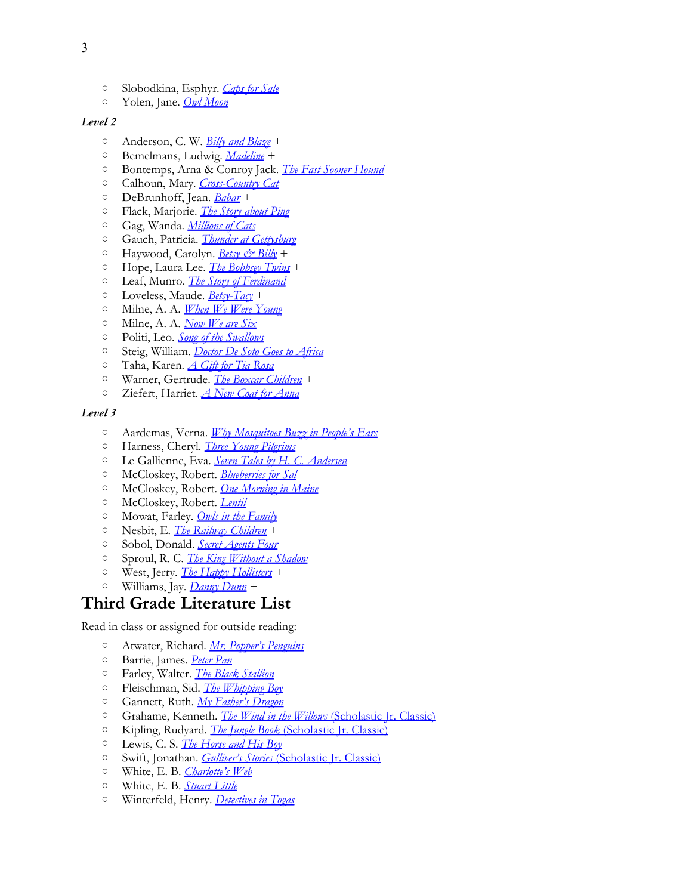- Slobodkina, Esphyr. *[Caps](http://www.amazon.com/exec/obidos/ASIN/1591126975/thegospcoal-20) [for](http://www.amazon.com/exec/obidos/ASIN/1591126975/thegospcoal-20) [Sale](http://www.amazon.com/exec/obidos/ASIN/1591126975/thegospcoal-20)*
- Yolen, Jane. *[Owl](http://www.amazon.com/exec/obidos/ASIN/0399214577/thegospcoal-20) [Moon](http://www.amazon.com/exec/obidos/ASIN/0399214577/thegospcoal-20)*

- Anderson, C. W. *[Billy](http://www.amazon.com/s/ref=nb_sb_noss?url=search-alias%3Dstripbooks&field-keywords=Anderson%2C+Billy+and+Blaze) [and](http://www.amazon.com/s/ref=nb_sb_noss?url=search-alias%3Dstripbooks&field-keywords=Anderson%2C+Billy+and+Blaze) [Blaze](http://www.amazon.com/s/ref=nb_sb_noss?url=search-alias%3Dstripbooks&field-keywords=Anderson%2C+Billy+and+Blaze)* +
- Bemelmans, Ludwig. *[Madeline](http://www.amazon.com/exec/obidos/ASIN/0670888168/thegospcoal-20)* +
- Bontemps, Arna & Conroy [Ja](http://www.amazon.com/exec/obidos/ASIN/0688065198/thegospcoal-20)ck. *[The](http://www.amazon.com/exec/obidos/ASIN/B000I1AFXI/thegospcoal-20) [Fast](http://www.amazon.com/exec/obidos/ASIN/B000I1AFXI/thegospcoal-20) [Sooner](http://www.amazon.com/exec/obidos/ASIN/B000I1AFXI/thegospcoal-20) [Hound](http://www.amazon.com/exec/obidos/ASIN/B000I1AFXI/thegospcoal-20)*
- Calhoun, Mary. *[Cross-Country](http://www.amazon.com/exec/obidos/ASIN/0688065198/thegospcoal-20) [Cat](http://www.amazon.com/exec/obidos/ASIN/0688065198/thegospcoal-20)*
- DeBrunhoff, Jean. *[Babar](http://www.amazon.com/exec/obidos/ASIN/0375810609/thegospcoal-20)* [+](http://www.amazon.com/exec/obidos/ASIN/0448421658/thegospcoal-20)
- Flack, Marjorie. *[The](http://www.amazon.com/exec/obidos/ASIN/0448421658/thegospcoal-20) [Story](http://www.amazon.com/exec/obidos/ASIN/0448421658/thegospcoal-20) [about](http://www.amazon.com/exec/obidos/ASIN/0448421658/thegospcoal-20) [Ping](http://www.amazon.com/exec/obidos/ASIN/0448421658/thegospcoal-20)*
- Gag, Wanda. *[Millions](http://www.amazon.com/exec/obidos/ASIN/0142407089/thegospcoal-20) [of](http://www.amazon.com/exec/obidos/ASIN/0142407089/thegospcoal-20) [Cats](http://www.amazon.com/exec/obidos/ASIN/0142407089/thegospcoal-20)*
- Gauch, Patricia. *[Thunder](http://www.amazon.com/exec/obidos/ASIN/1590781805/thegospcoal-20) [at](http://www.amazon.com/exec/obidos/ASIN/1590781805/thegospcoal-20) [Gettysburg](http://www.amazon.com/exec/obidos/ASIN/1590781805/thegospcoal-20)*
- Haywood, Carolyn. *[Betsy & Billy](http://www.amazon.com/exec/obidos/ASIN/0152051007/thegospcoal-20)* +
- Hope, Laura Lee. *[The](http://www.amazon.com/Laura-Lee-Hope/e/B001HPVD3K/ref=sr_ntt_srch_lnk_5?qid=1336664784&sr=1-5) [Bobbsey](http://www.amazon.com/Laura-Lee-Hope/e/B001HPVD3K/ref=sr_ntt_srch_lnk_5?qid=1336664784&sr=1-5) [Twins](http://www.amazon.com/Laura-Lee-Hope/e/B001HPVD3K/ref=sr_ntt_srch_lnk_5?qid=1336664784&sr=1-5)* +
- Leaf, Munro. *[The](http://www.amazon.com/exec/obidos/ASIN/044845694X/thegospcoal-20) [Story](http://www.amazon.com/exec/obidos/ASIN/044845694X/thegospcoal-20) [of](http://www.amazon.com/exec/obidos/ASIN/044845694X/thegospcoal-20) [Ferdinand](http://www.amazon.com/exec/obidos/ASIN/044845694X/thegospcoal-20)*
- Loveless, Maude. *[Betsy-Tacy](http://www.amazon.com/exec/obidos/ASIN/0064400964/thegospcoal-20)* +
- Milne, A. A. *[When](http://www.amazon.com/exec/obidos/ASIN/0140361235/thegospcoal-20) [We](http://www.amazon.com/exec/obidos/ASIN/0140361235/thegospcoal-20) [Were](http://www.amazon.com/exec/obidos/ASIN/0140361235/thegospcoal-20) [Young](http://www.amazon.com/exec/obidos/ASIN/0140361235/thegospcoal-20)*
- Milne, A. A. *[Now](http://www.amazon.com/exec/obidos/ASIN/0140361243/thegospcoal-20) [We](http://www.amazon.com/exec/obidos/ASIN/0140361243/thegospcoal-20) [are](http://www.amazon.com/exec/obidos/ASIN/0140361243/thegospcoal-20) [Six](http://www.amazon.com/exec/obidos/ASIN/0140361243/thegospcoal-20)*
- Politi, Leo. *[Song](http://www.amazon.com/exec/obidos/ASIN/0892369892/thegospcoal-20) [of](http://www.amazon.com/exec/obidos/ASIN/0892369892/thegospcoal-20) [the](http://www.amazon.com/exec/obidos/ASIN/0892369892/thegospcoal-20) [Swallows](http://www.amazon.com/exec/obidos/ASIN/0892369892/thegospcoal-20)*
- Steig, William. *[Doctor](http://www.amazon.com/exec/obidos/ASIN/0062059017/thegospcoal-20) [De](http://www.amazon.com/exec/obidos/ASIN/0062059017/thegospcoal-20) [Soto](http://www.amazon.com/exec/obidos/ASIN/0062059017/thegospcoal-20) [Goes](http://www.amazon.com/exec/obidos/ASIN/0062059017/thegospcoal-20) [to](http://www.amazon.com/exec/obidos/ASIN/0062059017/thegospcoal-20) [Africa](http://www.amazon.com/exec/obidos/ASIN/0062059017/thegospcoal-20)*
- Taha, Karen. *[A](http://www.amazon.com/exec/obidos/ASIN/0440413435/thegospcoal-20) [Gift](http://www.amazon.com/exec/obidos/ASIN/0440413435/thegospcoal-20) [for](http://www.amazon.com/exec/obidos/ASIN/0440413435/thegospcoal-20) [Tia](http://www.amazon.com/exec/obidos/ASIN/0440413435/thegospcoal-20) [Rosa](http://www.amazon.com/exec/obidos/ASIN/0440413435/thegospcoal-20)*
- Warner, Gertrude. *[The](http://www.amazon.com/exec/obidos/ASIN/0807508551/thegospcoal-20) [Boxcar](http://www.amazon.com/exec/obidos/ASIN/0807508551/thegospcoal-20) [Children](http://www.amazon.com/exec/obidos/ASIN/0807508551/thegospcoal-20)* +
- Ziefert, Harriet. *[A](http://www.amazon.com/exec/obidos/ASIN/0394898613/thegospcoal-20) [New](http://www.amazon.com/exec/obidos/ASIN/0394898613/thegospcoal-20) [Coat](http://www.amazon.com/exec/obidos/ASIN/0394898613/thegospcoal-20) [for](http://www.amazon.com/exec/obidos/ASIN/0394898613/thegospcoal-20) [Anna](http://www.amazon.com/exec/obidos/ASIN/0394898613/thegospcoal-20)*

#### *Level 3*

- Aardemas, Verna. *[Why](http://www.amazon.com/exec/obidos/ASIN/0140549056/thegospcoal-20) [Mosquitoes](http://www.amazon.com/exec/obidos/ASIN/0140549056/thegospcoal-20) [Buzz](http://www.amazon.com/exec/obidos/ASIN/0140549056/thegospcoal-20) [in](http://www.amazon.com/exec/obidos/ASIN/0140549056/thegospcoal-20) [People's](http://www.amazon.com/exec/obidos/ASIN/0140549056/thegospcoal-20) [Ears](http://www.amazon.com/exec/obidos/ASIN/0140549056/thegospcoal-20)*
- Harness, Cheryl. *[Three](http://www.amazon.com/exec/obidos/ASIN/0689802080/thegospcoal-20) [Young](http://www.amazon.com/exec/obidos/ASIN/0689802080/thegospcoal-20) [Pilgrims](http://www.amazon.com/exec/obidos/ASIN/0689802080/thegospcoal-20)*
- Le Gallienne, Eva. *[Seven](http://www.amazon.com/exec/obidos/ASIN/006443172X/thegospcoal-20) [Tales](http://www.amazon.com/exec/obidos/ASIN/006443172X/thegospcoal-20) [by](http://www.amazon.com/exec/obidos/ASIN/006443172X/thegospcoal-20) [H. C. Andersen](http://www.amazon.com/exec/obidos/ASIN/006443172X/thegospcoal-20)*
- McCloskey, Robert. *[Blueberries](http://www.amazon.com/exec/obidos/ASIN/0142416436/thegospcoal-20) [for](http://www.amazon.com/exec/obidos/ASIN/0142416436/thegospcoal-20) [Sal](http://www.amazon.com/exec/obidos/ASIN/0142416436/thegospcoal-20)*
- McCloskey, Robert. *[One](http://www.amazon.com/exec/obidos/ASIN/0140501746/thegospcoal-20) [Morning](http://www.amazon.com/exec/obidos/ASIN/0140501746/thegospcoal-20) [in](http://www.amazon.com/exec/obidos/ASIN/0140501746/thegospcoal-20) [Maine](http://www.amazon.com/exec/obidos/ASIN/0140501746/thegospcoal-20)*
- McCloskey, Robert. *[Lentil](http://www.amazon.com/exec/obidos/ASIN/0140502874/thegospcoal-20)*
- Mowat, Farley. *[Owls](http://www.amazon.com/exec/obidos/ASIN/0440413613/thegospcoal-20) [in](http://www.amazon.com/exec/obidos/ASIN/0440413613/thegospcoal-20) [the](http://www.amazon.com/exec/obidos/ASIN/0440413613/thegospcoal-20) [Family](http://www.amazon.com/exec/obidos/ASIN/0440413613/thegospcoal-20)*
- Nesbit, E. *[The](http://www.amazon.com/exec/obidos/ASIN/0141321601/thegospcoal-20) [Railway](http://www.amazon.com/exec/obidos/ASIN/0141321601/thegospcoal-20) [Children](http://www.amazon.com/exec/obidos/ASIN/0141321601/thegospcoal-20)* +
- Sobol, Donald. *[Secret](http://www.amazon.com/exec/obidos/ASIN/1883937655/thegospcoal-20) [Agents](http://www.amazon.com/exec/obidos/ASIN/1883937655/thegospcoal-20) [Four](http://www.amazon.com/exec/obidos/ASIN/1883937655/thegospcoal-20)*
- Sproul, R. C. *[The](http://www.amazon.com/exec/obidos/ASIN/0875527000/thegospcoal-20) [King](http://www.amazon.com/exec/obidos/ASIN/0875527000/thegospcoal-20) [Without](http://www.amazon.com/exec/obidos/ASIN/0875527000/thegospcoal-20) [a](http://www.amazon.com/exec/obidos/ASIN/0875527000/thegospcoal-20) [Shadow](http://www.amazon.com/exec/obidos/ASIN/0875527000/thegospcoal-20)*
- West, Jerry. *[The](http://www.amazon.com/s/ref=nb_sb_noss?url=search-alias%3Dstripbooks&field-keywords=West%2C+Jerry.+The+Happy+Hollisters) [Happy](http://www.amazon.com/s/ref=nb_sb_noss?url=search-alias%3Dstripbooks&field-keywords=West%2C+Jerry.+The+Happy+Hollisters) [Hollisters](http://www.amazon.com/s/ref=nb_sb_noss?url=search-alias%3Dstripbooks&field-keywords=West%2C+Jerry.+The+Happy+Hollisters)* +
- Williams, Jay. *[Danny](http://www.amazon.com/s/ref=nb_sb_noss?url=search-alias%3Dstripbooks&field-keywords=West%2C+Jerry.+The+Happy+Hollisters#/ref=nb_sb_noss?url=search-alias%3Dstripbooks&field-keywords=Williams%2C+Jay.+Danny+Dunn&rh=n%3A283155%2Ck%3AWilliamsc+Jay.+Danny+Dunn) [Dunn](http://www.amazon.com/s/ref=nb_sb_noss?url=search-alias%3Dstripbooks&field-keywords=West%2C+Jerry.+The+Happy+Hollisters#/ref=nb_sb_noss?url=search-alias%3Dstripbooks&field-keywords=Williams%2C+Jay.+Danny+Dunn&rh=n%3A283155%2Ck%3AWilliamsc+Jay.+Danny+Dunn)* +

# **Third Grade Literature List**

Read in class or assigned for outside reading:

- Atwater, Richard. *[Mr. Popper's](http://www.amazon.com/exec/obidos/ASIN/0316186465/thegospcoal-20) [Penguins](http://www.amazon.com/exec/obidos/ASIN/0316186465/thegospcoal-20)*
- Barrie, James. *[Peter](http://www.amazon.com/exec/obidos/ASIN/048627294X/thegospcoal-20) [Pan](http://www.amazon.com/exec/obidos/ASIN/048627294X/thegospcoal-20)*
- Farley, Walter. *[The](http://www.amazon.com/exec/obidos/ASIN/0679813438/thegospcoal-20) [Black](http://www.amazon.com/exec/obidos/ASIN/0679813438/thegospcoal-20) [Stallion](http://www.amazon.com/exec/obidos/ASIN/0679813438/thegospcoal-20)*
- Fleischman, Sid. *[The](http://www.amazon.com/exec/obidos/ASIN/0060521228/thegospcoal-20) [Whipping](http://www.amazon.com/exec/obidos/ASIN/0060521228/thegospcoal-20) [Boy](http://www.amazon.com/exec/obidos/ASIN/0060521228/thegospcoal-20)*
- Gannett, Ruth. *[My](http://www.amazon.com/exec/obidos/ASIN/0679889116/thegospcoal-20) [Father's](http://www.amazon.com/exec/obidos/ASIN/0679889116/thegospcoal-20) [Dragon](http://www.amazon.com/exec/obidos/ASIN/0679889116/thegospcoal-20)*
- Grahame, Kenneth. *[The](http://www.amazon.com/exec/obidos/ASIN/043922456X/thegospcoal-20) [Wind](http://www.amazon.com/exec/obidos/ASIN/043922456X/thegospcoal-20) [in](http://www.amazon.com/exec/obidos/ASIN/043922456X/thegospcoal-20) [the](http://www.amazon.com/exec/obidos/ASIN/043922456X/thegospcoal-20) [Willows](http://www.amazon.com/exec/obidos/ASIN/043922456X/thegospcoal-20)* [\(Scholastic](http://www.amazon.com/exec/obidos/ASIN/043922456X/thegospcoal-20) [Jr. Classic\)](http://www.amazon.com/exec/obidos/ASIN/043922456X/thegospcoal-20)
- Kipling, Rudya[rd](http://www.amazon.com/exec/obidos/ASIN/0064409406/thegospcoal-20). *[The](http://www.amazon.com/exec/obidos/ASIN/0439574242/thegospcoal-20) [Jungle](http://www.amazon.com/exec/obidos/ASIN/0439574242/thegospcoal-20) [Book](http://www.amazon.com/exec/obidos/ASIN/0439574242/thegospcoal-20)* [\(Scholastic](http://www.amazon.com/exec/obidos/ASIN/0439574242/thegospcoal-20) [Jr. Classic\)](http://www.amazon.com/exec/obidos/ASIN/0439574242/thegospcoal-20)
- Lewis, C. S. *[The](http://www.amazon.com/exec/obidos/ASIN/0064409406/thegospcoal-20) [Horse](http://www.amazon.com/exec/obidos/ASIN/0064409406/thegospcoal-20) [and](http://www.amazon.com/exec/obidos/ASIN/0064409406/thegospcoal-20) [His](http://www.amazon.com/exec/obidos/ASIN/0064409406/thegospcoal-20) [Boy](http://www.amazon.com/exec/obidos/ASIN/0064409406/thegospcoal-20)*
- Swift, Jonathan. *[Gulliver's](http://www.amazon.com/exec/obidos/ASIN/0439236207/thegospcoal-20) [Stories](http://www.amazon.com/exec/obidos/ASIN/0439236207/thegospcoal-20)* [\(Scholastic](http://www.amazon.com/exec/obidos/ASIN/0439236207/thegospcoal-20) [Jr. Classic\)](http://www.amazon.com/exec/obidos/ASIN/0439236207/thegospcoal-20)
- White, E. B. *[Charlotte's](http://www.amazon.com/exec/obidos/ASIN/0064409643/thegospcoal-20) [Web](http://www.amazon.com/exec/obidos/ASIN/0064409643/thegospcoal-20)*
- White, E. B. *[Stuart](http://www.amazon.com/exec/obidos/ASIN/0064409643/thegospcoal-20) [Little](http://www.amazon.com/exec/obidos/ASIN/0064409643/thegospcoal-20)*
- Winterfeld, Henry. *[Detectives](http://www.amazon.com/exec/obidos/ASIN/0152162801/thegospcoal-20) [in](http://www.amazon.com/exec/obidos/ASIN/0152162801/thegospcoal-20) [Togas](http://www.amazon.com/exec/obidos/ASIN/0152162801/thegospcoal-20)*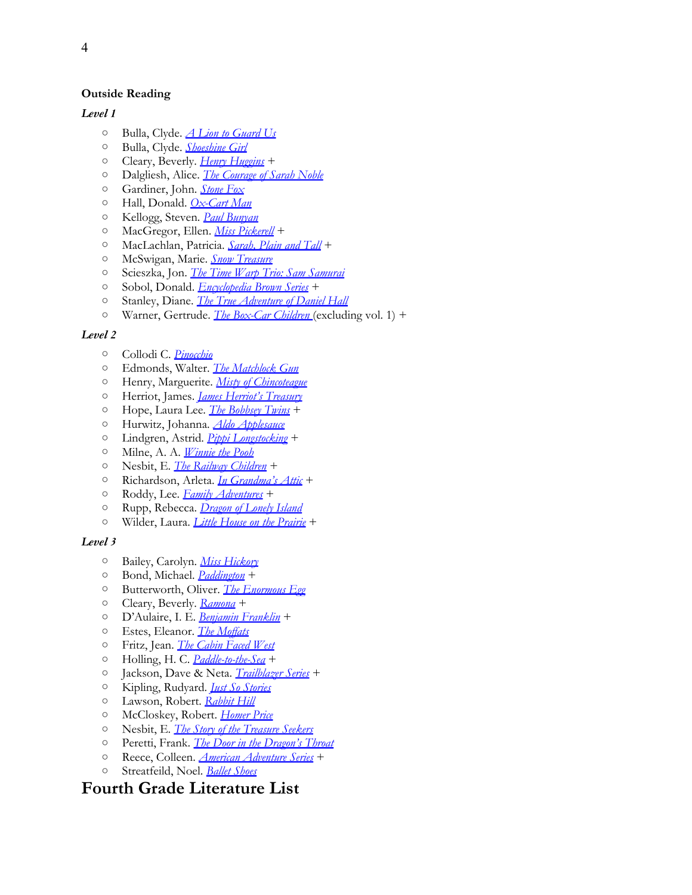### **Outside Reading**

### *Level 1*

- Bulla, Clyde. *[A](http://www.amazon.com/exec/obidos/ASIN/0064403335/thegospcoal-20) [Lion](http://www.amazon.com/exec/obidos/ASIN/0064403335/thegospcoal-20) [to](http://www.amazon.com/exec/obidos/ASIN/0064403335/thegospcoal-20) [Guard](http://www.amazon.com/exec/obidos/ASIN/0064403335/thegospcoal-20) [Us](http://www.amazon.com/exec/obidos/ASIN/0064403335/thegospcoal-20)*
- Bulla, Clyde. *[Shoeshine](http://www.amazon.com/exec/obidos/ASIN/0064402282/thegospcoal-20) [Girl](http://www.amazon.com/exec/obidos/ASIN/0064402282/thegospcoal-20)*
- Cleary, Beverly. *[Henry](http://www.amazon.com/s/ref=sr_nr_p_n_feature_browse-b_mrr_0?rh=n%3A283155%2Ck%3AClearyc+Beverly.+Henry+Huggins%2Cp_n_feature_browse-bin%3A2656022011&bbn=283155&keywords=Cleary%2C+Beverly.+Henry+Huggins&ie=UTF8&qid=1336748533&rnid=618072011#/ref=nb_sb_noss?url=search-alias%3Dstripbooks&field-keywords=Cleary%2C+Beverly+Henry+Huggins&rh=n%3A283155%2Ck%3AClearyc+Beverly+Henry+Huggins) [Huggins](http://www.amazon.com/s/ref=sr_nr_p_n_feature_browse-b_mrr_0?rh=n%3A283155%2Ck%3AClearyc+Beverly.+Henry+Huggins%2Cp_n_feature_browse-bin%3A2656022011&bbn=283155&keywords=Cleary%2C+Beverly.+Henry+Huggins&ie=UTF8&qid=1336748533&rnid=618072011#/ref=nb_sb_noss?url=search-alias%3Dstripbooks&field-keywords=Cleary%2C+Beverly+Henry+Huggins&rh=n%3A283155%2Ck%3AClearyc+Beverly+Henry+Huggins)* [+](http://www.amazon.com/exec/obidos/ASIN/0689715404/thegospcoal-20)
- Dalgliesh, Alice. *[The](http://www.amazon.com/exec/obidos/ASIN/0689715404/thegospcoal-20) [Courage](http://www.amazon.com/exec/obidos/ASIN/0689715404/thegospcoal-20) [of](http://www.amazon.com/exec/obidos/ASIN/0689715404/thegospcoal-20) [Sarah](http://www.amazon.com/exec/obidos/ASIN/0689715404/thegospcoal-20) [Noble](http://www.amazon.com/exec/obidos/ASIN/0689715404/thegospcoal-20)*
- Gardiner, John. *[Stone](http://www.amazon.com/exec/obidos/ASIN/0064401324/thegospcoal-20) [Fox](http://www.amazon.com/exec/obidos/ASIN/0064401324/thegospcoal-20)*
- Hall, Donald. *[Ox-Cart](http://www.amazon.com/exec/obidos/ASIN/0140504419/thegospcoal-20) [Man](http://www.amazon.com/exec/obidos/ASIN/0140504419/thegospcoal-20)*
- Kellogg, Steven. *[Paul](http://www.amazon.com/exec/obidos/ASIN/0688058000/thegospcoal-20) [Bunyan](http://www.amazon.com/exec/obidos/ASIN/0688058000/thegospcoal-20)*
- MacGregor, Ellen. *[Miss](http://www.amazon.com/s/ref=nb_sb_noss?url=search-alias%3Dstripbooks&field-keywords=MacGregor%2C+Ellen.+Miss+Pickerell) [Pickerell](http://www.amazon.com/s/ref=nb_sb_noss?url=search-alias%3Dstripbooks&field-keywords=MacGregor%2C+Ellen.+Miss+Pickerell)* +
- MacLachlan, Patricia. *[Sarah, Plain](http://www.amazon.com/s/ref=nb_sb_noss?url=search-alias%3Dstripbooks&field-keywords=MacGregor%2C+Ellen.+Miss+Pickerell#/ref=nb_sb_noss?url=search-alias%3Dstripbooks&field-keywords=MacLachlan%2C+Patricia.+Sarah%2C+Plain+and+Tall&rh=n%3A283155%2Ck%3AMacLachlanc+Patricia.+Sarahc+Plain+and+Tall) [and](http://www.amazon.com/s/ref=nb_sb_noss?url=search-alias%3Dstripbooks&field-keywords=MacGregor%2C+Ellen.+Miss+Pickerell#/ref=nb_sb_noss?url=search-alias%3Dstripbooks&field-keywords=MacLachlan%2C+Patricia.+Sarah%2C+Plain+and+Tall&rh=n%3A283155%2Ck%3AMacLachlanc+Patricia.+Sarahc+Plain+and+Tall) [Tall](http://www.amazon.com/s/ref=nb_sb_noss?url=search-alias%3Dstripbooks&field-keywords=MacGregor%2C+Ellen.+Miss+Pickerell#/ref=nb_sb_noss?url=search-alias%3Dstripbooks&field-keywords=MacLachlan%2C+Patricia.+Sarah%2C+Plain+and+Tall&rh=n%3A283155%2Ck%3AMacLachlanc+Patricia.+Sarahc+Plain+and+Tall)* +
- McSwigan, Marie. *[Snow](http://www.amazon.com/exec/obidos/ASIN/0142402249/thegospcoal-20) [Treasure](http://www.amazon.com/exec/obidos/ASIN/0142402249/thegospcoal-20)*
- Scieszka, Jon. *[The](http://www.amazon.com/exec/obidos/ASIN/0142400882/thegospcoal-20) [Time](http://www.amazon.com/exec/obidos/ASIN/0142400882/thegospcoal-20) [Warp](http://www.amazon.com/exec/obidos/ASIN/0142400882/thegospcoal-20) [Trio: Sam](http://www.amazon.com/exec/obidos/ASIN/0142400882/thegospcoal-20) [Samurai](http://www.amazon.com/exec/obidos/ASIN/0142400882/thegospcoal-20)*
- Sobol, Donald. *[Encyclopedia](http://www.amazon.com/exec/obidos/ASIN/0142409855/thegospcoal-20) [Brown](http://www.amazon.com/exec/obidos/ASIN/0142409855/thegospcoal-20) [Series](http://www.amazon.com/exec/obidos/ASIN/0142409855/thegospcoal-20)* +
- Stanley, Diane. *[The](http://www.amazon.com/exec/obidos/ASIN/0140566740/thegospcoal-20) [True](http://www.amazon.com/exec/obidos/ASIN/0140566740/thegospcoal-20) [Adventure](http://www.amazon.com/exec/obidos/ASIN/0140566740/thegospcoal-20) [of](http://www.amazon.com/exec/obidos/ASIN/0140566740/thegospcoal-20) [Daniel](http://www.amazon.com/exec/obidos/ASIN/0140566740/thegospcoal-20) [Hall](http://www.amazon.com/exec/obidos/ASIN/0140566740/thegospcoal-20)*
- Warner, Gertrude. *[The](http://www.amazon.com/exec/obidos/ASIN/0807508551/thegospcoal-20) [Box-Car](http://www.amazon.com/exec/obidos/ASIN/0807508551/thegospcoal-20) [Children](http://www.amazon.com/exec/obidos/ASIN/0807508551/thegospcoal-20)* [\(](http://www.amazon.com/exec/obidos/ASIN/0807508551/thegospcoal-20)excluding vol. 1) +

### *Level 2*

- Collodi C. *[Pinocchio](http://www.amazon.com/exec/obidos/ASIN/014036708X/thegospcoal-20)*
- Edmonds, Walter. *[The](http://www.amazon.com/exec/obidos/ASIN/0698116801/thegospcoal-20) [Matchlock](http://www.amazon.com/exec/obidos/ASIN/0698116801/thegospcoal-20) [Gun](http://www.amazon.com/exec/obidos/ASIN/0698116801/thegospcoal-20)*
- Henry, Marguerite. *[Misty](http://www.amazon.com/exec/obidos/ASIN/1416927832/thegospcoal-20) [of](http://www.amazon.com/exec/obidos/ASIN/1416927832/thegospcoal-20) [Chincoteague](http://www.amazon.com/exec/obidos/ASIN/1416927832/thegospcoal-20)*
- Herriot, James. *[James](http://www.amazon.com/exec/obidos/ASIN/0312085125/thegospcoal-20) [Herriot's](http://www.amazon.com/exec/obidos/ASIN/0312085125/thegospcoal-20) [Treasury](http://www.amazon.com/exec/obidos/ASIN/0312085125/thegospcoal-20)*
- Hope, Laura Lee. *[The](http://www.amazon.com/Laura-Lee-Hope/e/B001HPVD3K/ref=sr_ntt_srch_lnk_5?qid=1336664784&sr=1-5) [Bobbsey](http://www.amazon.com/Laura-Lee-Hope/e/B001HPVD3K/ref=sr_ntt_srch_lnk_5?qid=1336664784&sr=1-5) [Twins](http://www.amazon.com/Laura-Lee-Hope/e/B001HPVD3K/ref=sr_ntt_srch_lnk_5?qid=1336664784&sr=1-5)* +
- Hurwitz, Johanna. *[Aldo](http://www.amazon.com/exec/obidos/ASIN/0140340831/thegospcoal-20) [Applesauce](http://www.amazon.com/exec/obidos/ASIN/0140340831/thegospcoal-20)*
- Lindgren, Astrid. *[Pippi](http://www.amazon.com/gp/search/ref=sr_tc_2_0?rh=i%3Astripbooks%2Ck%3ALaura+Lee+Hope&keywords=Laura+Lee+Hope&ie=UTF8&qid=1336749548&sr=1-2-ent&field-contributor_id=B001HPVD3K#/ref=nb_sb_noss?url=search-alias%3Dstripbooks&field-keywords=Lindgren%2C+Astrid.+Pippi+Longstocking+&rh=n%3A283155%2Ck%3ALindgrenc+Astrid.+Pippi+Longstocking+) [Longstocking](http://www.amazon.com/gp/search/ref=sr_tc_2_0?rh=i%3Astripbooks%2Ck%3ALaura+Lee+Hope&keywords=Laura+Lee+Hope&ie=UTF8&qid=1336749548&sr=1-2-ent&field-contributor_id=B001HPVD3K#/ref=nb_sb_noss?url=search-alias%3Dstripbooks&field-keywords=Lindgren%2C+Astrid.+Pippi+Longstocking+&rh=n%3A283155%2Ck%3ALindgrenc+Astrid.+Pippi+Longstocking+)* +
- Milne, A. A. *[Winnie](http://www.amazon.com/exec/obidos/ASIN/0140361219/thegospcoal-20) [the](http://www.amazon.com/exec/obidos/ASIN/0140361219/thegospcoal-20) [Pooh](http://www.amazon.com/exec/obidos/ASIN/0140361219/thegospcoal-20)*
- Nesbit, E. *[The](http://www.amazon.com/exec/obidos/ASIN/0141321601/thegospcoal-20) [Railway](http://www.amazon.com/exec/obidos/ASIN/0141321601/thegospcoal-20) [Children](http://www.amazon.com/exec/obidos/ASIN/0141321601/thegospcoal-20)* +
- Richardson, Arleta. *[In](http://www.amazon.com/s/ref=nb_sb_noss?url=search-alias%3Dstripbooks&field-keywords=Richardson%2C+Arleta.+In+Grandma%27s+Attic+) [Grandma's](http://www.amazon.com/s/ref=nb_sb_noss?url=search-alias%3Dstripbooks&field-keywords=Richardson%2C+Arleta.+In+Grandma%27s+Attic+) [Attic](http://www.amazon.com/s/ref=nb_sb_noss?url=search-alias%3Dstripbooks&field-keywords=Richardson%2C+Arleta.+In+Grandma%27s+Attic+)* +
- Roddy, Lee. *[Family](http://www.amazon.com/s/ref=nb_sb_noss?url=search-alias%3Dstripbooks&field-keywords=Richardson%2C+Arleta.+In+Grandma%27s+Attic+#/ref=nb_sb_noss?url=search-alias%3Dstripbooks&field-keywords=Roddy%2C+Lee+Ladd.+Family+Adventures&rh=n%3A283155%2Ck%3ARoddyc+Lee+Ladd.+Family+Adventures) [Adventures](http://www.amazon.com/s/ref=nb_sb_noss?url=search-alias%3Dstripbooks&field-keywords=Richardson%2C+Arleta.+In+Grandma%27s+Attic+#/ref=nb_sb_noss?url=search-alias%3Dstripbooks&field-keywords=Roddy%2C+Lee+Ladd.+Family+Adventures&rh=n%3A283155%2Ck%3ARoddyc+Lee+Ladd.+Family+Adventures)* +
- Rupp, Rebecca. *[Dragon](http://www.amazon.com/exec/obidos/ASIN/0763628050/thegospcoal-20) [of](http://www.amazon.com/exec/obidos/ASIN/0763628050/thegospcoal-20) [Lonely](http://www.amazon.com/exec/obidos/ASIN/0763628050/thegospcoal-20) [Island](http://www.amazon.com/exec/obidos/ASIN/0763628050/thegospcoal-20)*
- Wilder, Laura. *[Little](http://www.amazon.com/exec/obidos/ASIN/0060754281/thegospcoal-20) [House](http://www.amazon.com/exec/obidos/ASIN/0060754281/thegospcoal-20) [on](http://www.amazon.com/exec/obidos/ASIN/0060754281/thegospcoal-20) [the](http://www.amazon.com/exec/obidos/ASIN/0060754281/thegospcoal-20) [Prairie](http://www.amazon.com/exec/obidos/ASIN/0060754281/thegospcoal-20)* +

### *Level 3*

- Bailey, Carolyn. *[Miss](http://www.amazon.com/exec/obidos/ASIN/014030956X/thegospcoal-20) [Hickory](http://www.amazon.com/exec/obidos/ASIN/014030956X/thegospcoal-20)*
- Bond, Michael. *[Paddington](http://www.amazon.com/exec/obidos/ASIN/0618150714/thegospcoal-20)* +
- Butterworth, Oliver. *[The](http://www.amazon.com/exec/obidos/ASIN/0316119202/thegospcoal-20) [Enormous](http://www.amazon.com/exec/obidos/ASIN/0316119202/thegospcoal-20) [Egg](http://www.amazon.com/exec/obidos/ASIN/0316119202/thegospcoal-20)*
- Cleary, Beverly. *[Ramona](http://www.amazon.com/exec/obidos/ASIN/006196090X/thegospcoal-20)* +
- D'Aulaire, I. E. *[Benjamin](http://www.amazon.com/exec/obidos/ASIN/0964380390/thegospcoal-20) [Franklin](http://www.amazon.com/exec/obidos/ASIN/0964380390/thegospcoal-20)* +
- Estes, Eleanor. *[The](http://www.amazon.com/exec/obidos/ASIN/0152025413/thegospcoal-20) [Moffats](http://www.amazon.com/exec/obidos/ASIN/0152025413/thegospcoal-20)*
- Fritz, Jean. *[The](http://www.amazon.com/exec/obidos/ASIN/0698119363/thegospcoal-20) [Cabin](http://www.amazon.com/exec/obidos/ASIN/0698119363/thegospcoal-20) [Faced](http://www.amazon.com/exec/obidos/ASIN/0698119363/thegospcoal-20) [West](http://www.amazon.com/exec/obidos/ASIN/0698119363/thegospcoal-20)*
- Holling, H. C. *[Paddle-to-the-Sea](http://www.amazon.com/exec/obidos/ASIN/0395292034/thegospcoal-20)* +
- Jackson, Dave & Neta. *[Trailblazer](http://www.amazon.com/s/ref=nb_sb_noss?url=search-alias%3Dstripbooks&field-keywords=Jackson%2C+Dave+%26+Neta.+Trailblazer+books) [Series](http://www.amazon.com/s/ref=nb_sb_noss?url=search-alias%3Dstripbooks&field-keywords=Jackson%2C+Dave+%26+Neta.+Trailblazer+books)* +
- Kipling, Rudyard. *[Just](http://www.amazon.com/exec/obidos/ASIN/1461072263/thegospcoal-20) [So](http://www.amazon.com/exec/obidos/ASIN/1461072263/thegospcoal-20) [Stories](http://www.amazon.com/exec/obidos/ASIN/1461072263/thegospcoal-20)*
- Lawson, Robert. *[Rabbit](http://www.amazon.com/exec/obidos/ASIN/0142407968/thegospcoal-20) [Hill](http://www.amazon.com/exec/obidos/ASIN/0142407968/thegospcoal-20)*
- McCloskey, Robert. *[Homer](http://www.amazon.com/exec/obidos/ASIN/0142404152/thegospcoal-20) [Price](http://www.amazon.com/exec/obidos/ASIN/0142404152/thegospcoal-20)*
- Nesbit, E. *[The](http://www.amazon.com/exec/obidos/ASIN/0811854159/thegospcoal-20) [Story](http://www.amazon.com/exec/obidos/ASIN/0811854159/thegospcoal-20) [of](http://www.amazon.com/exec/obidos/ASIN/0811854159/thegospcoal-20) [the](http://www.amazon.com/exec/obidos/ASIN/0811854159/thegospcoal-20) [Treasure](http://www.amazon.com/exec/obidos/ASIN/0811854159/thegospcoal-20) [Seekers](http://www.amazon.com/exec/obidos/ASIN/0811854159/thegospcoal-20)*
- Peretti, Frank. *[The](http://www.amazon.com/exec/obidos/ASIN/1581346182/thegospcoal-20) [Door](http://www.amazon.com/exec/obidos/ASIN/1581346182/thegospcoal-20) [in](http://www.amazon.com/exec/obidos/ASIN/1581346182/thegospcoal-20) [the](http://www.amazon.com/exec/obidos/ASIN/1581346182/thegospcoal-20) [Dragon's](http://www.amazon.com/exec/obidos/ASIN/1581346182/thegospcoal-20) [Throat](http://www.amazon.com/exec/obidos/ASIN/1581346182/thegospcoal-20)*
- Reece, Colleen. *[American](http://www.amazon.com/s/ref=nb_sb_noss?url=search-alias%3Dstripbooks&field-keywords=Reece%2C+Colleen.+American+Adventure+Series) [Adventure](http://www.amazon.com/s/ref=nb_sb_noss?url=search-alias%3Dstripbooks&field-keywords=Reece%2C+Colleen.+American+Adventure+Series) [Series](http://www.amazon.com/s/ref=nb_sb_noss?url=search-alias%3Dstripbooks&field-keywords=Reece%2C+Colleen.+American+Adventure+Series)* +
- Streatfeild, Noel. *[Ballet](http://www.amazon.com/exec/obidos/ASIN/0679847596/thegospcoal-20) [Shoes](http://www.amazon.com/exec/obidos/ASIN/0679847596/thegospcoal-20)*

# **Fourth Grade Literature List**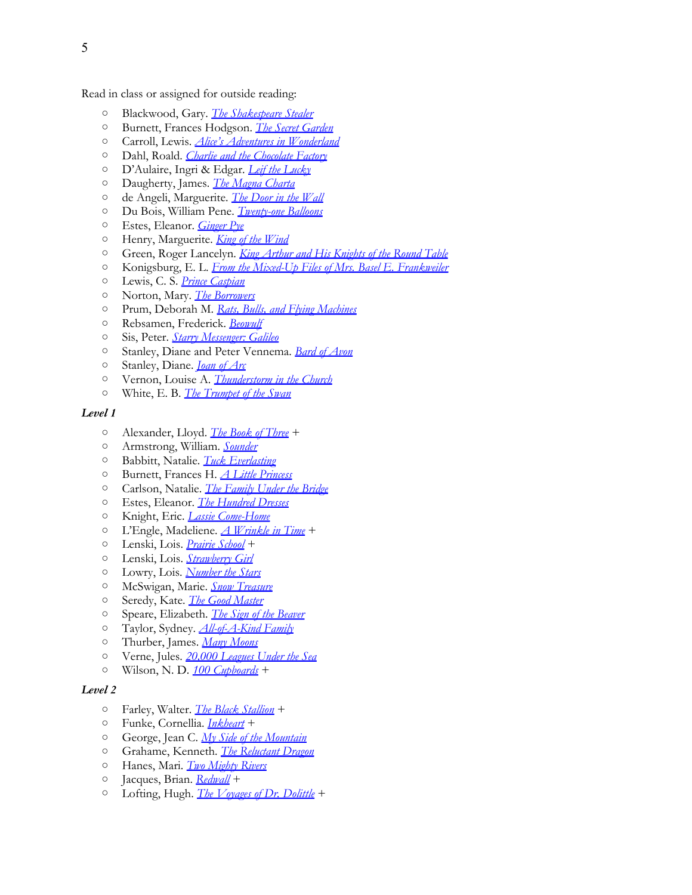Read in class or assigned for outside reading:

- Blackwood, Gary. *[The](http://www.amazon.com/exec/obidos/ASIN/0141305959/thegospcoal-20) [Shakespeare](http://www.amazon.com/exec/obidos/ASIN/0141305959/thegospcoal-20) [Stealer](http://www.amazon.com/exec/obidos/ASIN/0141305959/thegospcoal-20)*
- Burnett, Frances Ho[d](http://www.amazon.com/exec/obidos/ASIN/0486275434/thegospcoal-20)gson. *[The](http://www.amazon.com/exec/obidos/ASIN/0393926354/thegospcoal-20) [Secret](http://www.amazon.com/exec/obidos/ASIN/0393926354/thegospcoal-20) [Garden](http://www.amazon.com/exec/obidos/ASIN/0393926354/thegospcoal-20)*
- Carroll, Lewis. *[Alice's](http://www.amazon.com/exec/obidos/ASIN/0486275434/thegospcoal-20) [Adventures](http://www.amazon.com/exec/obidos/ASIN/0486275434/thegospcoal-20) [in](http://www.amazon.com/exec/obidos/ASIN/0486275434/thegospcoal-20) [Wonderland](http://www.amazon.com/exec/obidos/ASIN/0486275434/thegospcoal-20)*
- Dahl, Roald. *[Charlie](http://www.amazon.com/exec/obidos/ASIN/0142418218/thegospcoal-20) [and](http://www.amazon.com/exec/obidos/ASIN/0142418218/thegospcoal-20) [the](http://www.amazon.com/exec/obidos/ASIN/0142418218/thegospcoal-20) [Chocolate](http://www.amazon.com/exec/obidos/ASIN/0142418218/thegospcoal-20) [Factory](http://www.amazon.com/exec/obidos/ASIN/0142418218/thegospcoal-20)*
- D'Aulaire, Ingri & Ed[g](http://www.amazon.com/exec/obidos/ASIN/0964380358/thegospcoal-20)ar. *[Leif](http://www.amazon.com/exec/obidos/ASIN/0964380307/thegospcoal-20) [the](http://www.amazon.com/exec/obidos/ASIN/0964380307/thegospcoal-20) [Lucky](http://www.amazon.com/exec/obidos/ASIN/0964380307/thegospcoal-20)*
- Daugherty, James. *[The](http://www.amazon.com/exec/obidos/ASIN/0964380358/thegospcoal-20) [Magna](http://www.amazon.com/exec/obidos/ASIN/0964380358/thegospcoal-20) [Charta](http://www.amazon.com/exec/obidos/ASIN/0964380358/thegospcoal-20)*
- de Angeli, Marguerite. *[The](http://www.amazon.com/exec/obidos/ASIN/0440227798/thegospcoal-20) [Door](http://www.amazon.com/exec/obidos/ASIN/0440227798/thegospcoal-20) [in](http://www.amazon.com/exec/obidos/ASIN/0440227798/thegospcoal-20) [the](http://www.amazon.com/exec/obidos/ASIN/0440227798/thegospcoal-20) [Wall](http://www.amazon.com/exec/obidos/ASIN/0440227798/thegospcoal-20)*
- Du Bois, William Pe[ne](http://www.amazon.com/exec/obidos/ASIN/0152025057/thegospcoal-20). *[Twenty-one](http://www.amazon.com/exec/obidos/ASIN/014240330X/thegospcoal-20) [Balloons](http://www.amazon.com/exec/obidos/ASIN/014240330X/thegospcoal-20)*
- Estes, Eleanor. *[Ginger](http://www.amazon.com/exec/obidos/ASIN/0152025057/thegospcoal-20) [Pye](http://www.amazon.com/exec/obidos/ASIN/0152025057/thegospcoal-20)*
- Henry, Marguerite. *[King](http://www.amazon.com/exec/obidos/ASIN/1416927867/thegospcoal-20) [of](http://www.amazon.com/exec/obidos/ASIN/1416927867/thegospcoal-20) [the](http://www.amazon.com/exec/obidos/ASIN/1416927867/thegospcoal-20) [Wind](http://www.amazon.com/exec/obidos/ASIN/1416927867/thegospcoal-20)*
- Green, Roger Lancelyn. *[King](http://www.amazon.com/exec/obidos/ASIN/0141321016/thegospcoal-20) [Arthur](http://www.amazon.com/exec/obidos/ASIN/0141321016/thegospcoal-20) [and](http://www.amazon.com/exec/obidos/ASIN/0141321016/thegospcoal-20) [His](http://www.amazon.com/exec/obidos/ASIN/0141321016/thegospcoal-20) [Knights](http://www.amazon.com/exec/obidos/ASIN/0141321016/thegospcoal-20) [of](http://www.amazon.com/exec/obidos/ASIN/0141321016/thegospcoal-20) [the](http://www.amazon.com/exec/obidos/ASIN/0141321016/thegospcoal-20) [Round](http://www.amazon.com/exec/obidos/ASIN/0141321016/thegospcoal-20) [Table](http://www.amazon.com/exec/obidos/ASIN/0141321016/thegospcoal-20)*
- Konigsburg, E. L. *[From](http://www.amazon.com/exec/obidos/ASIN/0689711816/thegospcoal-20) [the](http://www.amazon.com/exec/obidos/ASIN/0689711816/thegospcoal-20) [Mixed-Up](http://www.amazon.com/exec/obidos/ASIN/0689711816/thegospcoal-20) [Files](http://www.amazon.com/exec/obidos/ASIN/0689711816/thegospcoal-20) [of](http://www.amazon.com/exec/obidos/ASIN/0689711816/thegospcoal-20) [Mrs. Basel](http://www.amazon.com/exec/obidos/ASIN/0689711816/thegospcoal-20) [E. Frankweiler](http://www.amazon.com/exec/obidos/ASIN/0689711816/thegospcoal-20)*
- Lewis, C. S. *[Prince](http://www.amazon.com/exec/obidos/ASIN/B000GBFQRK/thegospcoal-20) [Caspian](http://www.amazon.com/exec/obidos/ASIN/B000GBFQRK/thegospcoal-20)*
- Norton, Mary. *[The](http://www.amazon.com/exec/obidos/ASIN/0152047379/thegospcoal-20) [Borrowers](http://www.amazon.com/exec/obidos/ASIN/0152047379/thegospcoal-20)*
- Prum, Deborah M. *[Rats, Bulls, and](http://www.amazon.com/exec/obidos/ASIN/1890517194/thegospcoal-20) [Flying](http://www.amazon.com/exec/obidos/ASIN/1890517194/thegospcoal-20) [Machines](http://www.amazon.com/exec/obidos/ASIN/1890517194/thegospcoal-20)*
- Rebsamen, Frederick. *[Beowulf](http://www.amazon.com/exec/obidos/ASIN/0060573783/thegospcoal-20)*
- Sis, Peter. *[Starry](http://www.amazon.com/exec/obidos/ASIN/0374470278/thegospcoal-20) [Messenger: Galileo](http://www.amazon.com/exec/obidos/ASIN/0374470278/thegospcoal-20)*
- Stanley, Diane and Peter Vennema. *[Bard](http://www.amazon.com/exec/obidos/ASIN/0688162940/thegospcoal-20) [of](http://www.amazon.com/exec/obidos/ASIN/0688162940/thegospcoal-20) [Avon](http://www.amazon.com/exec/obidos/ASIN/0688162940/thegospcoal-20)*
- Stanley, Diane. *[Joan](http://www.amazon.com/exec/obidos/ASIN/0064437485/thegospcoal-20) [of](http://www.amazon.com/exec/obidos/ASIN/0064437485/thegospcoal-20) [Arc](http://www.amazon.com/exec/obidos/ASIN/0064437485/thegospcoal-20)*
- Vernon, Louise A. *[Thunderstorm](http://www.amazon.com/exec/obidos/ASIN/0836117409/thegospcoal-20) [in](http://www.amazon.com/exec/obidos/ASIN/0836117409/thegospcoal-20) [the](http://www.amazon.com/exec/obidos/ASIN/0836117409/thegospcoal-20) [Church](http://www.amazon.com/exec/obidos/ASIN/0836117409/thegospcoal-20)*
- White, E. B. *[The](http://www.amazon.com/exec/obidos/ASIN/0064410943/thegospcoal-20) [Trumpet](http://www.amazon.com/exec/obidos/ASIN/0064410943/thegospcoal-20) [of](http://www.amazon.com/exec/obidos/ASIN/0064410943/thegospcoal-20) [the](http://www.amazon.com/exec/obidos/ASIN/0064410943/thegospcoal-20) [Swan](http://www.amazon.com/exec/obidos/ASIN/0064410943/thegospcoal-20)*

#### *Level 1*

- Alexander, Lloyd. *[The](http://www.amazon.com/s/ref=nb_sb_noss?url=search-alias%3Dstripbooks&field-keywords=Alexander%2C+Lloyd.+The+Book+of+Three) [Book](http://www.amazon.com/s/ref=nb_sb_noss?url=search-alias%3Dstripbooks&field-keywords=Alexander%2C+Lloyd.+The+Book+of+Three) [of](http://www.amazon.com/s/ref=nb_sb_noss?url=search-alias%3Dstripbooks&field-keywords=Alexander%2C+Lloyd.+The+Book+of+Three) [Three](http://www.amazon.com/s/ref=nb_sb_noss?url=search-alias%3Dstripbooks&field-keywords=Alexander%2C+Lloyd.+The+Book+of+Three)* +
- Armstrong, William. *[Sounder](http://www.amazon.com/exec/obidos/ASIN/B0044S6XAA/thegospcoal-20)*
- Babbitt, Natalie. *[Tuck](http://www.amazon.com/exec/obidos/ASIN/0312369816/thegospcoal-20) [Everlasting](http://www.amazon.com/exec/obidos/ASIN/0312369816/thegospcoal-20)*
- Burnett, Frances H. *[A](http://www.amazon.com/exec/obidos/ASIN/144240292X/thegospcoal-20) [Little](http://www.amazon.com/exec/obidos/ASIN/144240292X/thegospcoal-20) [Princess](http://www.amazon.com/exec/obidos/ASIN/144240292X/thegospcoal-20)*
- Carlson, Natalie. *[The](http://www.amazon.com/exec/obidos/ASIN/0064402509/thegospcoal-20) [Family](http://www.amazon.com/exec/obidos/ASIN/0064402509/thegospcoal-20) [Under](http://www.amazon.com/exec/obidos/ASIN/0064402509/thegospcoal-20) [the](http://www.amazon.com/exec/obidos/ASIN/0064402509/thegospcoal-20) [Bridge](http://www.amazon.com/exec/obidos/ASIN/0064402509/thegospcoal-20)*
- Estes, Eleanor. *[The](http://www.amazon.com/exec/obidos/ASIN/0152052607/thegospcoal-20) [Hundred](http://www.amazon.com/exec/obidos/ASIN/0152052607/thegospcoal-20) [Dresses](http://www.amazon.com/exec/obidos/ASIN/0152052607/thegospcoal-20)*
- Knight, Eric. *[Lassie](http://www.amazon.com/exec/obidos/ASIN/0312371314/thegospcoal-20) [Come-Home](http://www.amazon.com/exec/obidos/ASIN/0312371314/thegospcoal-20)*
- L'Engle, Madeliene. *[A](http://www.amazon.com/exec/obidos/ASIN/0312373511/thegospcoal-20) [Wrinkle](http://www.amazon.com/exec/obidos/ASIN/0312373511/thegospcoal-20) [in](http://www.amazon.com/exec/obidos/ASIN/0312373511/thegospcoal-20) [Time](http://www.amazon.com/exec/obidos/ASIN/0312373511/thegospcoal-20)* +
- Lenski, Lois. *[Prairie](http://www.amazon.com/exec/obidos/ASIN/1453250115/thegospcoal-20) [School](http://www.amazon.com/exec/obidos/ASIN/1453250115/thegospcoal-20)* +
- Lenski, Lois. *[Strawberry](http://www.amazon.com/exec/obidos/ASIN/0064405850/thegospcoal-20) [Girl](http://www.amazon.com/exec/obidos/ASIN/0064405850/thegospcoal-20)*
- Lowry, Lois. *[Number](http://www.amazon.com/exec/obidos/ASIN/0547577095/thegospcoal-20) [the](http://www.amazon.com/exec/obidos/ASIN/0547577095/thegospcoal-20) [Stars](http://www.amazon.com/exec/obidos/ASIN/0547577095/thegospcoal-20)*
- McSwigan, Marie. *[Snow](http://www.amazon.com/exec/obidos/ASIN/0142402249/thegospcoal-20) [Treasure](http://www.amazon.com/exec/obidos/ASIN/0142402249/thegospcoal-20)*
- Seredy, Kate. *[The](http://www.amazon.com/exec/obidos/ASIN/014030133X/thegospcoal-20) [Good](http://www.amazon.com/exec/obidos/ASIN/014030133X/thegospcoal-20) [Master](http://www.amazon.com/exec/obidos/ASIN/014030133X/thegospcoal-20)*
- Speare, Elizabeth. *[The](http://www.amazon.com/exec/obidos/ASIN/0547577117/thegospcoal-20) [Sign](http://www.amazon.com/exec/obidos/ASIN/0547577117/thegospcoal-20) [of](http://www.amazon.com/exec/obidos/ASIN/0547577117/thegospcoal-20) [the](http://www.amazon.com/exec/obidos/ASIN/0547577117/thegospcoal-20) [Beaver](http://www.amazon.com/exec/obidos/ASIN/0547577117/thegospcoal-20)*
- Taylor, Sydney. *[All-of-A-Kind](http://www.amazon.com/exec/obidos/ASIN/0440400597/thegospcoal-20) [Family](http://www.amazon.com/exec/obidos/ASIN/0440400597/thegospcoal-20)*
- Thurber, James. *[Many](http://www.amazon.com/exec/obidos/ASIN/0152018956/thegospcoal-20) [Moons](http://www.amazon.com/exec/obidos/ASIN/0152018956/thegospcoal-20)*
- Verne, Jules. *[20,000 Leagues](http://www.amazon.com/exec/obidos/ASIN/0099528533/thegospcoal-20) [Under](http://www.amazon.com/exec/obidos/ASIN/0099528533/thegospcoal-20) [the](http://www.amazon.com/exec/obidos/ASIN/0099528533/thegospcoal-20) [Sea](http://www.amazon.com/exec/obidos/ASIN/0099528533/thegospcoal-20)*
- Wilson, N. D. *[100 Cupboards](http://www.amazon.com/exec/obidos/ASIN/0375838821/thegospcoal-20)* +

- Farley, Walter. *[The](http://www.amazon.com/exec/obidos/ASIN/0679813438/thegospcoal-20) [Black](http://www.amazon.com/exec/obidos/ASIN/0679813438/thegospcoal-20) [Stallion](http://www.amazon.com/exec/obidos/ASIN/0679813438/thegospcoal-20)* +
- Funke, Cornellia. *[Inkheart](http://www.amazon.com/exec/obidos/ASIN/0545265371/thegospcoal-20)* +
- George, Jean C. *[My](http://www.amazon.com/exec/obidos/ASIN/0141312424/thegospcoal-20) [Side](http://www.amazon.com/exec/obidos/ASIN/0141312424/thegospcoal-20) [of](http://www.amazon.com/exec/obidos/ASIN/0141312424/thegospcoal-20) [the](http://www.amazon.com/exec/obidos/ASIN/0141312424/thegospcoal-20) [Mountain](http://www.amazon.com/exec/obidos/ASIN/0141312424/thegospcoal-20)*
- Grahame, Kenneth. *[The](http://www.amazon.com/exec/obidos/ASIN/0805008020/thegospcoal-20) [Reluctant](http://www.amazon.com/exec/obidos/ASIN/0805008020/thegospcoal-20) [Dragon](http://www.amazon.com/exec/obidos/ASIN/0805008020/thegospcoal-20)*
- Hanes, Mari. *[Two](http://www.amazon.com/exec/obidos/ASIN/0880709995/thegospcoal-20) [Mighty](http://www.amazon.com/exec/obidos/ASIN/0880709995/thegospcoal-20) [Rivers](http://www.amazon.com/exec/obidos/ASIN/0880709995/thegospcoal-20)*
- Jacques, Brian. *[Redwall](http://www.amazon.com/exec/obidos/ASIN/0142302376/thegospcoal-20)* +
- Lofting, Hugh. *[The](http://www.amazon.com/exec/obidos/ASIN/0440400023/thegospcoal-20) [Voyages](http://www.amazon.com/exec/obidos/ASIN/0440400023/thegospcoal-20) [of](http://www.amazon.com/exec/obidos/ASIN/0440400023/thegospcoal-20) [Dr. Dolittle](http://www.amazon.com/exec/obidos/ASIN/0440400023/thegospcoal-20)* +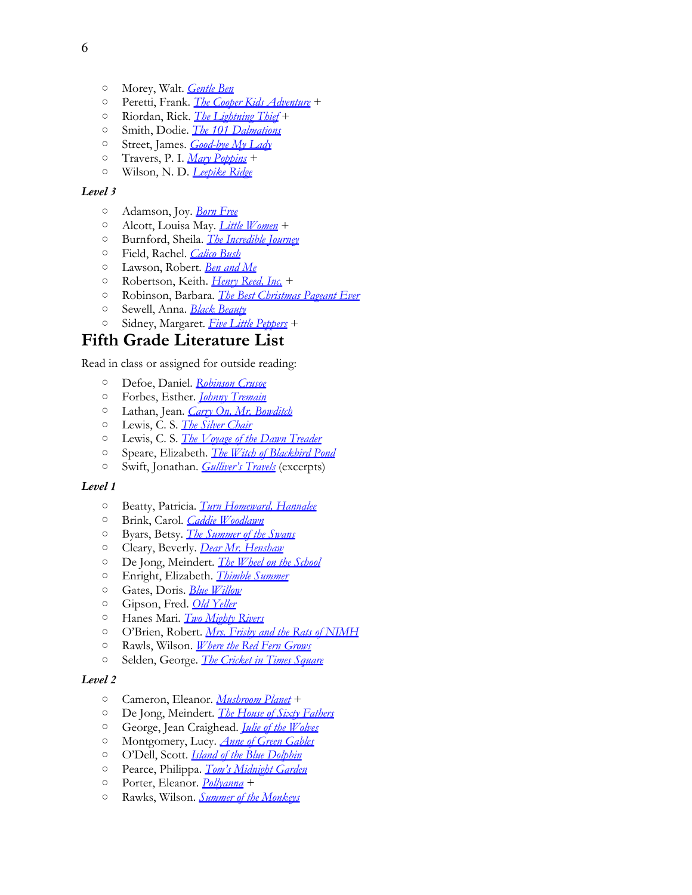- Morey, Walt. *[Gentle](http://www.amazon.com/exec/obidos/ASIN/0142405515/thegospcoal-20) [Ben](http://www.amazon.com/exec/obidos/ASIN/0142405515/thegospcoal-20)*
- Peretti, Frank. *[The](http://www.amazon.com/s/ref=nb_sb_noss?url=search-alias%3Dstripbooks&field-keywords=Peretti%2C+Frank.+Cooper+Kids+Adventure+) [Cooper](http://www.amazon.com/s/ref=nb_sb_noss?url=search-alias%3Dstripbooks&field-keywords=Peretti%2C+Frank.+Cooper+Kids+Adventure+) [Kids](http://www.amazon.com/s/ref=nb_sb_noss?url=search-alias%3Dstripbooks&field-keywords=Peretti%2C+Frank.+Cooper+Kids+Adventure+) [Adventure](http://www.amazon.com/s/ref=nb_sb_noss?url=search-alias%3Dstripbooks&field-keywords=Peretti%2C+Frank.+Cooper+Kids+Adventure+)* +
- Riordan, Rick. *[The](http://www.amazon.com/exec/obidos/ASIN/1423113497/thegospcoal-20) [Lightning](http://www.amazon.com/exec/obidos/ASIN/1423113497/thegospcoal-20) [Thief](http://www.amazon.com/exec/obidos/ASIN/1423113497/thegospcoal-20)* +
- Smith, Dodie. *[The 101 Dalmations](http://www.amazon.com/exec/obidos/ASIN/0140340343/thegospcoal-20)*
- Street, James. *[Good-bye](http://www.amazon.com/exec/obidos/ASIN/067142890X/thegospcoal-20) [My](http://www.amazon.com/exec/obidos/ASIN/067142890X/thegospcoal-20) [Lady](http://www.amazon.com/exec/obidos/ASIN/067142890X/thegospcoal-20)*
- Travers, P. I. *[Mary](http://www.amazon.com/exec/obidos/ASIN/0152017178/thegospcoal-20) [Poppins](http://www.amazon.com/exec/obidos/ASIN/0152017178/thegospcoal-20)* +
- Wilson, N. D. *[Leepike](http://www.amazon.com/exec/obidos/ASIN/0375838740/thegospcoal-20) [Ridge](http://www.amazon.com/exec/obidos/ASIN/0375838740/thegospcoal-20)*

- Adamson, Joy. *[Born](http://www.amazon.com/exec/obidos/ASIN/0375714383/thegospcoal-20) [Free](http://www.amazon.com/exec/obidos/ASIN/0375714383/thegospcoal-20)*
- Alcott, Louisa May. *[Little](http://www.amazon.com/exec/obidos/ASIN/0486296342/thegospcoal-20) [Women](http://www.amazon.com/exec/obidos/ASIN/0486296342/thegospcoal-20)* +
- Burnford, Sheila. *[The](http://www.amazon.com/exec/obidos/ASIN/0440413249/thegospcoal-20) [Incredible](http://www.amazon.com/exec/obidos/ASIN/0440413249/thegospcoal-20) [Journey](http://www.amazon.com/exec/obidos/ASIN/0440413249/thegospcoal-20)*
- Field, Rachel. *[Calico](http://thegospelcoalition.org/blogs/justintaylor/2012/05/15/a-classical-christian-school-reading-list-4th-5th-grades/0689822855) [Bush](http://thegospelcoalition.org/blogs/justintaylor/2012/05/15/a-classical-christian-school-reading-list-4th-5th-grades/0689822855)*
- Lawson, Robert. *[Ben](http://www.amazon.com/exec/obidos/ASIN/0316517305/thegospcoal-20) [and](http://www.amazon.com/exec/obidos/ASIN/0316517305/thegospcoal-20) [Me](http://www.amazon.com/exec/obidos/ASIN/0316517305/thegospcoal-20)*
- Robertson, Keith. *[Henry](http://www.amazon.com/exec/obidos/ASIN/0140341447/thegospcoal-20) [Reed, Inc.](http://www.amazon.com/exec/obidos/ASIN/0140341447/thegospcoal-20)* +
- Robinson, Barbara. *[The](http://www.amazon.com/exec/obidos/ASIN/0064402754/thegospcoal-20) [Best](http://www.amazon.com/exec/obidos/ASIN/0064402754/thegospcoal-20) [Christmas](http://www.amazon.com/exec/obidos/ASIN/0064402754/thegospcoal-20) [Pageant](http://www.amazon.com/exec/obidos/ASIN/0064402754/thegospcoal-20) [Ever](http://www.amazon.com/exec/obidos/ASIN/0064402754/thegospcoal-20)*
- Sewell, Anna. *[Black](http://www.amazon.com/exec/obidos/ASIN/0143106473/thegospcoal-20) [Beauty](http://www.amazon.com/exec/obidos/ASIN/0143106473/thegospcoal-20)*
- Sidney, Margaret. *[Five](http://www.amazon.com/exec/obidos/ASIN/0486452670/thegospcoal-20) [Little](http://www.amazon.com/exec/obidos/ASIN/0486452670/thegospcoal-20) [Peppers](http://www.amazon.com/exec/obidos/ASIN/0486452670/thegospcoal-20)* +

## **Fifth Grade Literature List**

Read in class or assigned for outside reading:

- Defoe, Daniel. *[Robinson](http://www.amazon.com/exec/obidos/ASIN/1591940680/thegospcoal-20) [Crusoe](http://www.amazon.com/exec/obidos/ASIN/1591940680/thegospcoal-20)*
- Forbes, Esther. *[Johnny](http://www.amazon.com/exec/obidos/ASIN/0547614322/thegospcoal-20) [Tremain](http://www.amazon.com/exec/obidos/ASIN/0547614322/thegospcoal-20)*
- Lathan, Jean. *[Carry](http://www.amazon.com/exec/obidos/ASIN/0618250743/thegospcoal-20) [On, Mr. Bowditch](http://www.amazon.com/exec/obidos/ASIN/0618250743/thegospcoal-20)*
- Lewis, C. S. *[The](http://www.amazon.com/exec/obidos/ASIN/B002MAQSX4/thegospcoal-20) [Silver](http://www.amazon.com/exec/obidos/ASIN/B002MAQSX4/thegospcoal-20) [Chair](http://www.amazon.com/exec/obidos/ASIN/B002MAQSX4/thegospcoal-20)*
- Lewis, C. S. *[The](http://www.amazon.com/exec/obidos/ASIN/0064409465/thegospcoal-20) [Voyage](http://www.amazon.com/exec/obidos/ASIN/0064409465/thegospcoal-20) [of](http://www.amazon.com/exec/obidos/ASIN/0064409465/thegospcoal-20) [the](http://www.amazon.com/exec/obidos/ASIN/0064409465/thegospcoal-20) [Dawn](http://www.amazon.com/exec/obidos/ASIN/0064409465/thegospcoal-20) [Treader](http://www.amazon.com/exec/obidos/ASIN/0064409465/thegospcoal-20)*
- Speare, Elizabeth. *[The](http://www.amazon.com/exec/obidos/ASIN/0547550294/thegospcoal-20) [Witch](http://www.amazon.com/exec/obidos/ASIN/0547550294/thegospcoal-20) [of](http://www.amazon.com/exec/obidos/ASIN/0547550294/thegospcoal-20) [Blackbird](http://www.amazon.com/exec/obidos/ASIN/0547550294/thegospcoal-20) [Pond](http://www.amazon.com/exec/obidos/ASIN/0547550294/thegospcoal-20)*
- Swift, Jonathan. *[Gulliver's](http://www.amazon.com/exec/obidos/ASIN/0486292738/thegospcoal-20) [Travels](http://www.amazon.com/exec/obidos/ASIN/0486292738/thegospcoal-20)* (excerpts)

#### *Level 1*

- Beatty, Patricia. *[Turn](http://www.amazon.com/exec/obidos/ASIN/0688166768/thegospcoal-20) [Homeward, Hannalee](http://www.amazon.com/exec/obidos/ASIN/0688166768/thegospcoal-20)*
- Brink, Carol. *[Caddie](http://www.amazon.com/exec/obidos/ASIN/1416940286/thegospcoal-20) [Woodlawn](http://www.amazon.com/exec/obidos/ASIN/1416940286/thegospcoal-20)*
- Byars, Betsy. *[The](http://www.amazon.com/exec/obidos/ASIN/0140314202/thegospcoal-20) [Summer](http://www.amazon.com/exec/obidos/ASIN/0140314202/thegospcoal-20) [of](http://www.amazon.com/exec/obidos/ASIN/0140314202/thegospcoal-20) [the](http://www.amazon.com/exec/obidos/ASIN/0140314202/thegospcoal-20) [Swans](http://www.amazon.com/exec/obidos/ASIN/0140314202/thegospcoal-20)*
- Cleary, Beverly. *[Dear](http://www.amazon.com/exec/obidos/ASIN/068802405X/thegospcoal-20) [Mr. Henshaw](http://www.amazon.com/exec/obidos/ASIN/068802405X/thegospcoal-20)*
- De Jong, Meindert. *[The](http://www.amazon.com/exec/obidos/ASIN/0064400212/thegospcoal-20) [Wheel](http://www.amazon.com/exec/obidos/ASIN/0064400212/thegospcoal-20) [on](http://www.amazon.com/exec/obidos/ASIN/0064400212/thegospcoal-20) [the](http://www.amazon.com/exec/obidos/ASIN/0064400212/thegospcoal-20) [School](http://www.amazon.com/exec/obidos/ASIN/0064400212/thegospcoal-20)*
- Enright, Elizabeth. *[Thimble](http://www.amazon.com/exec/obidos/ASIN/031238002X/thegospcoal-20) [Summer](http://www.amazon.com/exec/obidos/ASIN/031238002X/thegospcoal-20)*
- Gates, Doris. *[Blue](http://www.amazon.com/exec/obidos/ASIN/0140309241/thegospcoal-20) [Willow](http://www.amazon.com/exec/obidos/ASIN/0140309241/thegospcoal-20)*
- Gipson, Fred. *[Old](http://www.amazon.com/exec/obidos/ASIN/0060935472/thegospcoal-20) [Yeller](http://www.amazon.com/exec/obidos/ASIN/0060935472/thegospcoal-20)*
- Hanes Mari. *[Two](http://www.amazon.com/exec/obidos/ASIN/0880709995/thegospcoal-20) [Mighty](http://www.amazon.com/exec/obidos/ASIN/0880709995/thegospcoal-20) [Rivers](http://www.amazon.com/exec/obidos/ASIN/0880709995/thegospcoal-20)*
- O'Brien, Robert. *[Mrs. Frisby](http://www.amazon.com/exec/obidos/ASIN/0689710682/thegospcoal-20) [and](http://www.amazon.com/exec/obidos/ASIN/0689710682/thegospcoal-20) [the](http://www.amazon.com/exec/obidos/ASIN/0689710682/thegospcoal-20) [Rats](http://www.amazon.com/exec/obidos/ASIN/0689710682/thegospcoal-20) [of](http://www.amazon.com/exec/obidos/ASIN/0689710682/thegospcoal-20) [NIMH](http://www.amazon.com/exec/obidos/ASIN/0689710682/thegospcoal-20)*
- Rawls, Wilson. *[Where](http://www.amazon.com/exec/obidos/ASIN/0440412676/thegospcoal-20) [the](http://www.amazon.com/exec/obidos/ASIN/0440412676/thegospcoal-20) [Red](http://www.amazon.com/exec/obidos/ASIN/0440412676/thegospcoal-20) [Fern](http://www.amazon.com/exec/obidos/ASIN/0440412676/thegospcoal-20) [Grows](http://www.amazon.com/exec/obidos/ASIN/0440412676/thegospcoal-20)*
- Selden, George. *[The](http://www.amazon.com/exec/obidos/ASIN/0312380038/thegospcoal-20) [Cricket](http://www.amazon.com/exec/obidos/ASIN/0312380038/thegospcoal-20) [in](http://www.amazon.com/exec/obidos/ASIN/0312380038/thegospcoal-20) [Times](http://www.amazon.com/exec/obidos/ASIN/0312380038/thegospcoal-20) [Square](http://www.amazon.com/exec/obidos/ASIN/0312380038/thegospcoal-20)*

- Cameron, Eleanor. *[Mushroom](http://www.amazon.com/exec/obidos/ASIN/0316125407/thegospcoal-20) [Planet](http://www.amazon.com/exec/obidos/ASIN/0316125407/thegospcoal-20)* +
- De Jong, Meindert. *[The](http://www.amazon.com/exec/obidos/ASIN/0064402002/thegospcoal-20) [House](http://www.amazon.com/exec/obidos/ASIN/0064402002/thegospcoal-20) [of](http://www.amazon.com/exec/obidos/ASIN/0064402002/thegospcoal-20) [Sixty](http://www.amazon.com/exec/obidos/ASIN/0064402002/thegospcoal-20) [Fathers](http://www.amazon.com/exec/obidos/ASIN/0064402002/thegospcoal-20)*
- George, Jean Craighead. *[Julie](http://www.amazon.com/exec/obidos/ASIN/0060540958/thegospcoal-20) [of](http://www.amazon.com/exec/obidos/ASIN/0060540958/thegospcoal-20) [the](http://www.amazon.com/exec/obidos/ASIN/0060540958/thegospcoal-20) [Wolves](http://www.amazon.com/exec/obidos/ASIN/0060540958/thegospcoal-20)*
- Montgomery, Lucy. *[Anne](http://www.amazon.com/exec/obidos/ASIN/0553609416/thegospcoal-20) [of](http://www.amazon.com/exec/obidos/ASIN/0553609416/thegospcoal-20) [Green](http://www.amazon.com/exec/obidos/ASIN/0553609416/thegospcoal-20) [Gables](http://www.amazon.com/exec/obidos/ASIN/0553609416/thegospcoal-20)*
- O'Dell, Scott. *[Island](http://www.amazon.com/exec/obidos/ASIN/0547328613/thegospcoal-20) [of](http://www.amazon.com/exec/obidos/ASIN/0547328613/thegospcoal-20) [the](http://www.amazon.com/exec/obidos/ASIN/0547328613/thegospcoal-20) [Blue](http://www.amazon.com/exec/obidos/ASIN/0547328613/thegospcoal-20) [Dolphin](http://www.amazon.com/exec/obidos/ASIN/0547328613/thegospcoal-20)*
- Pearce, Philippa. *[Tom's](http://www.amazon.com/exec/obidos/ASIN/0064404455/thegospcoal-20) [Midnight](http://www.amazon.com/exec/obidos/ASIN/0064404455/thegospcoal-20) [Garden](http://www.amazon.com/exec/obidos/ASIN/0064404455/thegospcoal-20)*
- Porter, Eleanor. *[Pollyanna](http://www.amazon.com/exec/obidos/ASIN/0140350233/thegospcoal-20)*+
- Rawks, Wilson. *[Summer](http://www.amazon.com/exec/obidos/ASIN/0440415802/thegospcoal-20) [of](http://www.amazon.com/exec/obidos/ASIN/0440415802/thegospcoal-20) [the](http://www.amazon.com/exec/obidos/ASIN/0440415802/thegospcoal-20) [Monkeys](http://www.amazon.com/exec/obidos/ASIN/0440415802/thegospcoal-20)*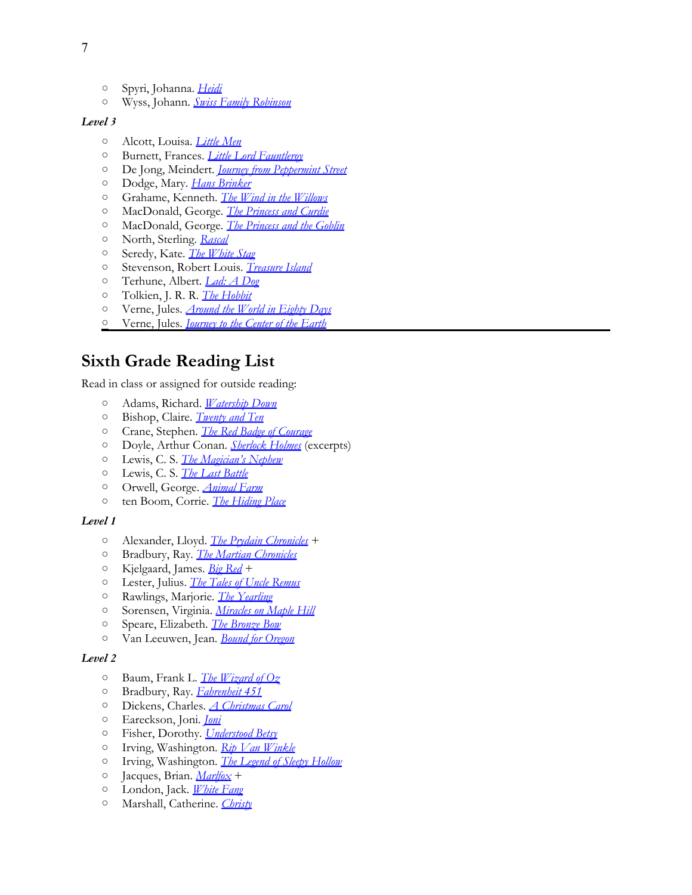- Spyri, Johanna. *[Heidi](http://www.amazon.com/exec/obidos/ASIN/014132256X/thegospcoal-20)*
- Wyss, Johann. *[Swiss](http://www.amazon.com/exec/obidos/ASIN/0141325305/thegospcoal-20) [Family](http://www.amazon.com/exec/obidos/ASIN/0141325305/thegospcoal-20) [Robinson](http://www.amazon.com/exec/obidos/ASIN/0141325305/thegospcoal-20)*

- Alcott, Louisa. *[Little](http://www.amazon.com/exec/obidos/ASIN/0140367136/thegospcoal-20) [Men](http://www.amazon.com/exec/obidos/ASIN/0140367136/thegospcoal-20)*
- Burnett, Frances. *[Little](http://www.amazon.com/exec/obidos/ASIN/0007449925/thegospcoal-20) [Lord](http://www.amazon.com/exec/obidos/ASIN/0007449925/thegospcoal-20) [Fauntleroy](http://www.amazon.com/exec/obidos/ASIN/0007449925/thegospcoal-20)*
- De Jong, Meindert. *[Journey](http://www.amazon.com/exec/obidos/ASIN/B000MISYTE/thegospcoal-20) [from](http://www.amazon.com/exec/obidos/ASIN/B000MISYTE/thegospcoal-20) [Peppermint](http://www.amazon.com/exec/obidos/ASIN/B000MISYTE/thegospcoal-20) [Street](http://www.amazon.com/exec/obidos/ASIN/B000MISYTE/thegospcoal-20)*
- Dodge, Mary. *[Hans](http://www.amazon.com/exec/obidos/ASIN/014035042X/thegospcoal-20) [Brinker](http://www.amazon.com/exec/obidos/ASIN/014035042X/thegospcoal-20)*
- Grahame, Kenneth. *[The](http://www.amazon.com/exec/obidos/ASIN/0141329823/thegospcoal-20) [Wind](http://www.amazon.com/exec/obidos/ASIN/0141329823/thegospcoal-20) [in](http://www.amazon.com/exec/obidos/ASIN/0141329823/thegospcoal-20) [the](http://www.amazon.com/exec/obidos/ASIN/0141329823/thegospcoal-20) [Willows](http://www.amazon.com/exec/obidos/ASIN/0141329823/thegospcoal-20)*
- MacDonald, George. *[The](http://www.amazon.com/exec/obidos/ASIN/0140367624/thegospcoal-20) [Princess](http://www.amazon.com/exec/obidos/ASIN/0140367624/thegospcoal-20) [and](http://www.amazon.com/exec/obidos/ASIN/0140367624/thegospcoal-20) [Curdie](http://www.amazon.com/exec/obidos/ASIN/0140367624/thegospcoal-20)*
- MacDonald, George. *[The](http://www.amazon.com/exec/obidos/ASIN/0141332484/thegospcoal-20) [Princess](http://www.amazon.com/exec/obidos/ASIN/0141332484/thegospcoal-20) [and](http://www.amazon.com/exec/obidos/ASIN/0141332484/thegospcoal-20) [the](http://www.amazon.com/exec/obidos/ASIN/0141332484/thegospcoal-20) [Goblin](http://www.amazon.com/exec/obidos/ASIN/0141332484/thegospcoal-20)*
- North, Sterling. *[Rascal](http://www.amazon.com/exec/obidos/ASIN/0142402524/thegospcoal-20)*
- Seredy, Kate. *[The](http://www.amazon.com/exec/obidos/ASIN/0140312587/thegospcoal-20) [White](http://www.amazon.com/exec/obidos/ASIN/0140312587/thegospcoal-20) [Stag](http://www.amazon.com/exec/obidos/ASIN/0140312587/thegospcoal-20)*
- Stevenson, Robert Louis. *[Treasure](http://www.amazon.com/exec/obidos/ASIN/0486275590/thegospcoal-20) [Island](http://www.amazon.com/exec/obidos/ASIN/0486275590/thegospcoal-20)*
- Terhune, Albert. *[Lad: A](http://www.amazon.com/exec/obidos/ASIN/0140364749/thegospcoal-20) [Dog](http://www.amazon.com/exec/obidos/ASIN/0140364749/thegospcoal-20)*
- Tolkien, J. R. R. *[The](http://www.amazon.com/exec/obidos/ASIN/0618002219/thegospcoal-20) [Hobbit](http://www.amazon.com/exec/obidos/ASIN/0618002219/thegospcoal-20)*
- Verne, Jules. *[Around](http://www.amazon.com/exec/obidos/ASIN/014044906X/thegospcoal-20) [the](http://www.amazon.com/exec/obidos/ASIN/014044906X/thegospcoal-20) [World](http://www.amazon.com/exec/obidos/ASIN/014044906X/thegospcoal-20) [in](http://www.amazon.com/exec/obidos/ASIN/014044906X/thegospcoal-20) [Eighty](http://www.amazon.com/exec/obidos/ASIN/014044906X/thegospcoal-20) [Days](http://www.amazon.com/exec/obidos/ASIN/014044906X/thegospcoal-20)*
- Verne, Jules. *[Journey](http://www.amazon.com/exec/obidos/ASIN/0141321040/thegospcoal-20) [to](http://www.amazon.com/exec/obidos/ASIN/0141321040/thegospcoal-20) [the](http://www.amazon.com/exec/obidos/ASIN/0141321040/thegospcoal-20) [Center](http://www.amazon.com/exec/obidos/ASIN/0141321040/thegospcoal-20) [of](http://www.amazon.com/exec/obidos/ASIN/0141321040/thegospcoal-20) [the](http://www.amazon.com/exec/obidos/ASIN/0141321040/thegospcoal-20) [Earth](http://www.amazon.com/exec/obidos/ASIN/0141321040/thegospcoal-20)*

## **Sixth Grade Reading List**

Read in class or assigned for outside reading:

- Adams, Richard. *[Watership](http://www.amazon.com/exec/obidos/ASIN/0743277708/thegospcoal-20) [Down](http://www.amazon.com/exec/obidos/ASIN/0743277708/thegospcoal-20)*
- Bishop, Claire. *[Twenty](http://www.amazon.com/exec/obidos/ASIN/0140310762/thegospcoal-20) [and](http://www.amazon.com/exec/obidos/ASIN/0140310762/thegospcoal-20) [Ten](http://www.amazon.com/exec/obidos/ASIN/0140310762/thegospcoal-20)*
- Crane, Stephen. *[The](http://www.amazon.com/exec/obidos/ASIN/0486264653/thegospcoal-20) [Red](http://www.amazon.com/exec/obidos/ASIN/0486264653/thegospcoal-20) [Badge](http://www.amazon.com/exec/obidos/ASIN/0486264653/thegospcoal-20) [of](http://www.amazon.com/exec/obidos/ASIN/0486264653/thegospcoal-20) [Courage](http://www.amazon.com/exec/obidos/ASIN/0486264653/thegospcoal-20)*
- Doyle, Arthur [C](http://www.amazon.com/exec/obidos/ASIN/0064409430/thegospcoal-20)onan. *[Sherlock](http://www.amazon.com/exec/obidos/ASIN/161293028X/thegospcoal-20) [Holmes](http://www.amazon.com/exec/obidos/ASIN/161293028X/thegospcoal-20)* (excerpts)
- Lewis, C. S. *[The](http://www.amazon.com/exec/obidos/ASIN/0064409430/thegospcoal-20) [Magician's](http://www.amazon.com/exec/obidos/ASIN/0064409430/thegospcoal-20) [Nephew](http://www.amazon.com/exec/obidos/ASIN/0064409430/thegospcoal-20)*
- Lewis, C. S. *[The](http://www.amazon.com/exec/obidos/ASIN/081242431X/thegospcoal-20) [Last](http://www.amazon.com/exec/obidos/ASIN/081242431X/thegospcoal-20) [Battle](http://www.amazon.com/exec/obidos/ASIN/081242431X/thegospcoal-20)*
- Orwell, George. *[Animal](http://www.amazon.com/exec/obidos/ASIN/0452284244/thegospcoal-20) [Farm](http://www.amazon.com/exec/obidos/ASIN/0452284244/thegospcoal-20)*
- ten Boom, Corrie. *[The](http://www.amazon.com/exec/obidos/ASIN/0800794052/thegospcoal-20) [Hiding](http://www.amazon.com/exec/obidos/ASIN/0800794052/thegospcoal-20) [Place](http://www.amazon.com/exec/obidos/ASIN/0800794052/thegospcoal-20)*

#### *Level 1*

- Alexander, Lloyd. *[The](http://www.amazon.com/exec/obidos/ASIN/1250000939/thegospcoal-20) [Prydain](http://www.amazon.com/exec/obidos/ASIN/1250000939/thegospcoal-20) [Chronicles](http://www.amazon.com/exec/obidos/ASIN/1250000939/thegospcoal-20)* +
- Bradbury, Ray. *[The](http://www.amazon.com/exec/obidos/ASIN/0553278223/thegospcoal-20) [Martian](http://www.amazon.com/exec/obidos/ASIN/0553278223/thegospcoal-20) [Chronicles](http://www.amazon.com/exec/obidos/ASIN/0553278223/thegospcoal-20)*
- Kjelgaard, James. *[Big](http://www.amazon.com/exec/obidos/ASIN/0823423913/thegospcoal-20) [Red](http://www.amazon.com/exec/obidos/ASIN/0823423913/thegospcoal-20)* +
- Lester, Julius. *[The](http://www.amazon.com/exec/obidos/ASIN/0142407208/thegospcoal-20) [Tales](http://www.amazon.com/exec/obidos/ASIN/0142407208/thegospcoal-20) [of](http://www.amazon.com/exec/obidos/ASIN/0142407208/thegospcoal-20) [Uncle](http://www.amazon.com/exec/obidos/ASIN/0142407208/thegospcoal-20) [Remus](http://www.amazon.com/exec/obidos/ASIN/0142407208/thegospcoal-20)*
- Rawlings, Marjorie. *[The](http://www.amazon.com/exec/obidos/ASIN/0689846231/thegospcoal-20) [Yearling](http://www.amazon.com/exec/obidos/ASIN/0689846231/thegospcoal-20)*
- Sorensen, Virginia. *[Miracles](http://www.amazon.com/exec/obidos/ASIN/0152047182/thegospcoal-20) [on](http://www.amazon.com/exec/obidos/ASIN/0152047182/thegospcoal-20) [Maple](http://www.amazon.com/exec/obidos/ASIN/0152047182/thegospcoal-20) [Hill](http://www.amazon.com/exec/obidos/ASIN/0152047182/thegospcoal-20)*
- Speare, Elizabeth. *[The](http://www.amazon.com/exec/obidos/ASIN/0395137195/thegospcoal-20) [Bronze](http://www.amazon.com/exec/obidos/ASIN/0395137195/thegospcoal-20) [Bow](http://www.amazon.com/exec/obidos/ASIN/0395137195/thegospcoal-20)*
- Van Leeuwen, Jean. *[Bound](http://www.amazon.com/exec/obidos/ASIN/0140383190/thegospcoal-20) [for](http://www.amazon.com/exec/obidos/ASIN/0140383190/thegospcoal-20) [Oregon](http://www.amazon.com/exec/obidos/ASIN/0140383190/thegospcoal-20)*

- Baum, Frank L. *[The](http://www.amazon.com/exec/obidos/ASIN/0688166776/thegospcoal-20) [Wizard](http://www.amazon.com/exec/obidos/ASIN/0688166776/thegospcoal-20) [of](http://www.amazon.com/exec/obidos/ASIN/0688166776/thegospcoal-20) [Oz](http://www.amazon.com/exec/obidos/ASIN/0688166776/thegospcoal-20)*
- Bradbury, Ray. *[Fahrenheit 451](http://www.amazon.com/exec/obidos/ASIN/1451673264/thegospcoal-20)*
- Dickens, Charles. *[A](http://www.amazon.com/exec/obidos/ASIN/0486268659/thegospcoal-20) [Christmas](http://www.amazon.com/exec/obidos/ASIN/0486268659/thegospcoal-20) [Carol](http://www.amazon.com/exec/obidos/ASIN/0486268659/thegospcoal-20)*
- Eareckson, Joni. *[Joni](http://www.amazon.com/exec/obidos/ASIN/0310240018/thegospcoal-20)*
- Fisher, Dorothy. *[Understood](http://www.amazon.com/exec/obidos/ASIN/1887840133/thegospcoal-20) [Betsy](http://www.amazon.com/exec/obidos/ASIN/1887840133/thegospcoal-20)*
- Irving, Washington. *[Rip](http://www.amazon.com/exec/obidos/ASIN/0451530128/thegospcoal-20) [Van](http://www.amazon.com/exec/obidos/ASIN/0451530128/thegospcoal-20) [Winkle](http://www.amazon.com/exec/obidos/ASIN/0451530128/thegospcoal-20)*
- Irving, Washington. *[The](http://www.amazon.com/exec/obidos/ASIN/0451530128/thegospcoal-20) [Legend](http://www.amazon.com/exec/obidos/ASIN/0451530128/thegospcoal-20) [of](http://www.amazon.com/exec/obidos/ASIN/0451530128/thegospcoal-20) [Sleepy](http://www.amazon.com/exec/obidos/ASIN/0451530128/thegospcoal-20) [Hollow](http://www.amazon.com/exec/obidos/ASIN/0451530128/thegospcoal-20)*
- Jacques, Brian. *[Marlfox](http://www.amazon.com/exec/obidos/ASIN/0142501085/thegospcoal-20)* +
- London, Jack. *[White](http://www.amazon.com/exec/obidos/ASIN/0099528630/thegospcoal-20) [Fang](http://www.amazon.com/exec/obidos/ASIN/0099528630/thegospcoal-20)*
- Marshall, Catherine. *[Christy](http://www.amazon.com/exec/obidos/ASIN/0380001411/thegospcoal-20)*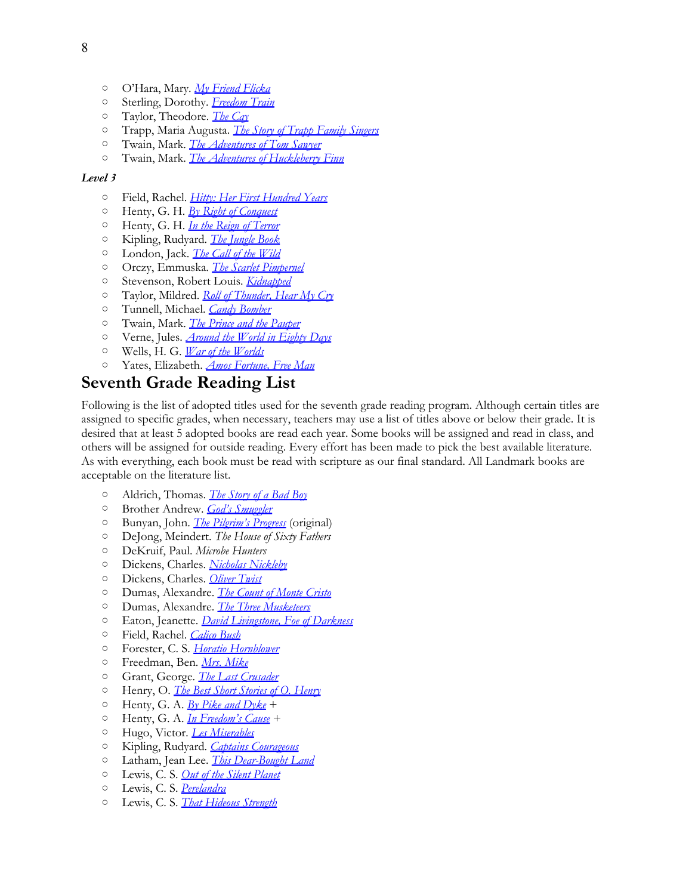- O'Hara, Mary. *[My](http://www.amazon.com/exec/obidos/ASIN/B000GG4FTA/thegospcoal-20) [Friend](http://www.amazon.com/exec/obidos/ASIN/B000GG4FTA/thegospcoal-20) [Flicka](http://www.amazon.com/exec/obidos/ASIN/B000GG4FTA/thegospcoal-20)*
- Sterling, Dorothy. *[Freedom](http://www.amazon.com/exec/obidos/ASIN/0590436287/thegospcoal-20) [Train](http://www.amazon.com/exec/obidos/ASIN/0590436287/thegospcoal-20)*
- Taylor, Theodore. *[The](http://www.amazon.com/exec/obidos/ASIN/0440416639/thegospcoal-20) [Cay](http://www.amazon.com/exec/obidos/ASIN/0440416639/thegospcoal-20)*
- Trapp, Maria Augusta. *[The](http://www.amazon.com/exec/obidos/ASIN/0060005777/thegospcoal-20) [Story](http://www.amazon.com/exec/obidos/ASIN/0060005777/thegospcoal-20) [of](http://www.amazon.com/exec/obidos/ASIN/0060005777/thegospcoal-20) [Trapp](http://www.amazon.com/exec/obidos/ASIN/0060005777/thegospcoal-20) [Family](http://www.amazon.com/exec/obidos/ASIN/0060005777/thegospcoal-20) [Singers](http://www.amazon.com/exec/obidos/ASIN/0060005777/thegospcoal-20)*
- Twain, Mark. *[The](http://www.amazon.com/exec/obidos/ASIN/0812504208/thegospcoal-20) [Adventures](http://www.amazon.com/exec/obidos/ASIN/0812504208/thegospcoal-20) [of](http://www.amazon.com/exec/obidos/ASIN/0812504208/thegospcoal-20) [Tom](http://www.amazon.com/exec/obidos/ASIN/0812504208/thegospcoal-20) [Sawyer](http://www.amazon.com/exec/obidos/ASIN/0812504208/thegospcoal-20)*
- Twain, Mark. *[The](http://www.amazon.com/exec/obidos/ASIN/0812504224/thegospcoal-20) [Adventures](http://www.amazon.com/exec/obidos/ASIN/0812504224/thegospcoal-20) [of](http://www.amazon.com/exec/obidos/ASIN/0812504224/thegospcoal-20) [Huckleberry](http://www.amazon.com/exec/obidos/ASIN/0812504224/thegospcoal-20) [Finn](http://www.amazon.com/exec/obidos/ASIN/0812504224/thegospcoal-20)*

- Field, Rachel. *[Hitty: Her](http://www.amazon.com/exec/obidos/ASIN/0689822847/thegospcoal-20) [First](http://www.amazon.com/exec/obidos/ASIN/0689822847/thegospcoal-20) [Hundred](http://www.amazon.com/exec/obidos/ASIN/0689822847/thegospcoal-20) [Years](http://www.amazon.com/exec/obidos/ASIN/0689822847/thegospcoal-20)*
- Henty, G. H. *[By](http://www.amazon.com/exec/obidos/ASIN/161179112X/thegospcoal-20) [Right](http://www.amazon.com/exec/obidos/ASIN/161179112X/thegospcoal-20) [of](http://www.amazon.com/exec/obidos/ASIN/161179112X/thegospcoal-20) [Conquest](http://www.amazon.com/exec/obidos/ASIN/161179112X/thegospcoal-20)*
- Henty, G. H. *[In](http://www.amazon.com/exec/obidos/ASIN/0486466043/thegospcoal-20) [the](http://www.amazon.com/exec/obidos/ASIN/0486466043/thegospcoal-20) [Reign](http://www.amazon.com/exec/obidos/ASIN/0486466043/thegospcoal-20) [of](http://www.amazon.com/exec/obidos/ASIN/0486466043/thegospcoal-20) [Terror](http://www.amazon.com/exec/obidos/ASIN/0486466043/thegospcoal-20)*
- Kipling, Rudyard.*[The](http://www.amazon.com/exec/obidos/ASIN/0141325291/thegospcoal-20) [Jungle](http://www.amazon.com/exec/obidos/ASIN/0141325291/thegospcoal-20) [Book](http://www.amazon.com/exec/obidos/ASIN/0141325291/thegospcoal-20)*
- London, Jack. *[The](http://www.amazon.com/exec/obidos/ASIN/0099528630/thegospcoal-20) [Call](http://www.amazon.com/exec/obidos/ASIN/0099528630/thegospcoal-20) [of](http://www.amazon.com/exec/obidos/ASIN/0099528630/thegospcoal-20) [the](http://www.amazon.com/exec/obidos/ASIN/0099528630/thegospcoal-20) [Wild](http://www.amazon.com/exec/obidos/ASIN/0099528630/thegospcoal-20)*
- Orczy, Emmuska. *[The](http://www.amazon.com/exec/obidos/ASIN/0486421228/thegospcoal-20) [Scarlet](http://www.amazon.com/exec/obidos/ASIN/0486421228/thegospcoal-20) [Pimpernel](http://www.amazon.com/exec/obidos/ASIN/0486421228/thegospcoal-20)*
- Stevenson, Robert Louis. *[Kidnapped](http://www.amazon.com/exec/obidos/ASIN/0141326026/thegospcoal-20)*
- Taylor, Mildred. *[Roll](http://www.amazon.com/exec/obidos/ASIN/014034893X/thegospcoal-20) [of](http://www.amazon.com/exec/obidos/ASIN/014034893X/thegospcoal-20) [Thunder, Hear](http://www.amazon.com/exec/obidos/ASIN/014034893X/thegospcoal-20) [My](http://www.amazon.com/exec/obidos/ASIN/014034893X/thegospcoal-20) [Cry](http://www.amazon.com/exec/obidos/ASIN/014034893X/thegospcoal-20)*
- Tunnell, Michael.*[Candy](http://www.amazon.com/exec/obidos/ASIN/1580893376/thegospcoal-20) [Bomber](http://www.amazon.com/exec/obidos/ASIN/1580893376/thegospcoal-20)*
- Twain, Mark. *[The](http://www.amazon.com/exec/obidos/ASIN/0140367497/thegospcoal-20) [Prince](http://www.amazon.com/exec/obidos/ASIN/0140367497/thegospcoal-20) [and](http://www.amazon.com/exec/obidos/ASIN/0140367497/thegospcoal-20) [the](http://www.amazon.com/exec/obidos/ASIN/0140367497/thegospcoal-20) [Pauper](http://www.amazon.com/exec/obidos/ASIN/0140367497/thegospcoal-20)*
- Verne, Jules. *[Around](http://www.amazon.com/exec/obidos/ASIN/014036711X/thegospcoal-20) [the](http://www.amazon.com/exec/obidos/ASIN/014036711X/thegospcoal-20) [World](http://www.amazon.com/exec/obidos/ASIN/014036711X/thegospcoal-20) [in](http://www.amazon.com/exec/obidos/ASIN/014036711X/thegospcoal-20) [Eighty](http://www.amazon.com/exec/obidos/ASIN/014036711X/thegospcoal-20) [Days](http://www.amazon.com/exec/obidos/ASIN/014036711X/thegospcoal-20)*
- Wells, H. G. *[War](http://www.amazon.com/exec/obidos/ASIN/0812505158/thegospcoal-20) [of](http://www.amazon.com/exec/obidos/ASIN/0812505158/thegospcoal-20) [the](http://www.amazon.com/exec/obidos/ASIN/0812505158/thegospcoal-20) [Worlds](http://www.amazon.com/exec/obidos/ASIN/0812505158/thegospcoal-20)*
- Yates, Elizabeth. *[Amos](http://www.amazon.com/exec/obidos/ASIN/0140341587/thegospcoal-20) [Fortune, Free](http://www.amazon.com/exec/obidos/ASIN/0140341587/thegospcoal-20) [Man](http://www.amazon.com/exec/obidos/ASIN/0140341587/thegospcoal-20)*

## **Seventh Grade Reading List**

Following is the list of adopted titles used for the seventh grade reading program. Although certain titles are assigned to specific grades, when necessary, teachers may use a list of titles above or below their grade. It is desired that at least 5 adopted books are read each year. Some books will be assigned and read in class, and others will be assigned for outside reading. Every effort has been made to pick the best available literature. As with everything, each book must be read with scripture as our final standard. All Landmark books are acceptable on the literature list.

- Aldrich, Thomas. *[The](http://www.amazon.com/exec/obidos/ASIN/087451794X/thegospcoal-20) [Story](http://www.amazon.com/exec/obidos/ASIN/087451794X/thegospcoal-20) [of](http://www.amazon.com/exec/obidos/ASIN/087451794X/thegospcoal-20) [a](http://www.amazon.com/exec/obidos/ASIN/087451794X/thegospcoal-20) [Bad](http://www.amazon.com/exec/obidos/ASIN/087451794X/thegospcoal-20) [Boy](http://www.amazon.com/exec/obidos/ASIN/087451794X/thegospcoal-20)*
- Brother Andrew. *[God's](http://www.amazon.com/exec/obidos/ASIN/0800793013/thegospcoal-20) [Smuggler](http://www.amazon.com/exec/obidos/ASIN/0800793013/thegospcoal-20)*
- Bunyan, John. *[The](http://www.amazon.com/exec/obidos/ASIN/0486426750/thegospcoal-20) [Pilgrim's](http://www.amazon.com/exec/obidos/ASIN/0486426750/thegospcoal-20) [Progress](http://www.amazon.com/exec/obidos/ASIN/0486426750/thegospcoal-20)* (original)
- DeJong, Meindert. *The House of Sixty Fathers*
- DeKruif, Paul. *Microbe Hunters*
- Dickens, Charles. *[Nicholas](http://www.amazon.com/exec/obidos/ASIN/0140435123/thegospcoal-20) [Nickleby](http://www.amazon.com/exec/obidos/ASIN/0140435123/thegospcoal-20)*
- Dickens, Charles. *[Oliver](http://www.amazon.com/exec/obidos/ASIN/0141192496/thegospcoal-20) [Twist](http://www.amazon.com/exec/obidos/ASIN/0141192496/thegospcoal-20)*
- Dumas, Alexandre. *[The](http://www.amazon.com/exec/obidos/ASIN/0140449264/thegospcoal-20) [Count](http://www.amazon.com/exec/obidos/ASIN/0140449264/thegospcoal-20) [of](http://www.amazon.com/exec/obidos/ASIN/0140449264/thegospcoal-20) [Monte](http://www.amazon.com/exec/obidos/ASIN/0140449264/thegospcoal-20) [Cristo](http://www.amazon.com/exec/obidos/ASIN/0140449264/thegospcoal-20)*
- Dumas, Alexandre. *[The](http://www.amazon.com/exec/obidos/ASIN/0141442344/thegospcoal-20) [Three](http://www.amazon.com/exec/obidos/ASIN/0141442344/thegospcoal-20) [Musketeers](http://www.amazon.com/exec/obidos/ASIN/0141442344/thegospcoal-20)*
- Eaton, Jeanette. *[David](http://www.amazon.com/exec/obidos/ASIN/B000J6GI7O/thegospcoal-20) [Livingstone, Foe](http://www.amazon.com/exec/obidos/ASIN/B000J6GI7O/thegospcoal-20) [of](http://www.amazon.com/exec/obidos/ASIN/B000J6GI7O/thegospcoal-20) [Darkness](http://www.amazon.com/exec/obidos/ASIN/B000J6GI7O/thegospcoal-20)*
- Field, Rachel. *[Calico](http://www.amazon.com/exec/obidos/ASIN/0689822855/thegospcoal-20) [Bush](http://www.amazon.com/exec/obidos/ASIN/0689822855/thegospcoal-20)*
- Forester, C. S. *[Horatio](http://www.amazon.com/exec/obidos/ASIN/0316289124/thegospcoal-20) [Hornblower](http://www.amazon.com/exec/obidos/ASIN/0316289124/thegospcoal-20)*
- Freedman, Ben. *[Mrs. Mike](http://www.amazon.com/exec/obidos/ASIN/0425183238/thegospcoal-20)*
- Grant, George. *[The](http://www.amazon.com/exec/obidos/ASIN/0891076905/thegospcoal-20) [Last](http://www.amazon.com/exec/obidos/ASIN/0891076905/thegospcoal-20) [Crusader](http://www.amazon.com/exec/obidos/ASIN/0891076905/thegospcoal-20)*
- Henry, O. *[The](http://www.amazon.com/exec/obidos/ASIN/0679601228/thegospcoal-20) [Best](http://www.amazon.com/exec/obidos/ASIN/0679601228/thegospcoal-20) [Short](http://www.amazon.com/exec/obidos/ASIN/0679601228/thegospcoal-20) [Stories](http://www.amazon.com/exec/obidos/ASIN/0679601228/thegospcoal-20) [of](http://www.amazon.com/exec/obidos/ASIN/0679601228/thegospcoal-20) [O. Henry](http://www.amazon.com/exec/obidos/ASIN/0679601228/thegospcoal-20)*
- Henty, G. A. *[By](http://www.amazon.com/exec/obidos/ASIN/1406562076/thegospcoal-20) [Pike](http://www.amazon.com/exec/obidos/ASIN/1406562076/thegospcoal-20) [and](http://www.amazon.com/exec/obidos/ASIN/1406562076/thegospcoal-20) [Dyke](http://www.amazon.com/exec/obidos/ASIN/1406562076/thegospcoal-20)* +
- Henty, G. A. *[In](http://www.amazon.com/exec/obidos/ASIN/048642362X/thegospcoal-20) [Freedom's](http://www.amazon.com/exec/obidos/ASIN/048642362X/thegospcoal-20) [Cause](http://www.amazon.com/exec/obidos/ASIN/048642362X/thegospcoal-20)* +
- Hugo, Victor*. [Les](http://www.amazon.com/exec/obidos/ASIN/0812974263/thegospcoal-20) [Miserables](http://www.amazon.com/exec/obidos/ASIN/0812974263/thegospcoal-20)*
- Kipling, Rudyard. *[Captains](http://www.amazon.com/exec/obidos/ASIN/0142437719/thegospcoal-20) [Courageous](http://www.amazon.com/exec/obidos/ASIN/0142437719/thegospcoal-20)*
- Latham, Jean Lee. *[This](http://www.amazon.com/exec/obidos/ASIN/B000GABTVI/thegospcoal-20) [Dear-Bought](http://www.amazon.com/exec/obidos/ASIN/B000GABTVI/thegospcoal-20) [Land](http://www.amazon.com/exec/obidos/ASIN/B000GABTVI/thegospcoal-20)*
- Lewis, C. S. *[Out](http://www.amazon.com/exec/obidos/ASIN/0007157150/thegospcoal-20) [of](http://www.amazon.com/exec/obidos/ASIN/0007157150/thegospcoal-20) [the](http://www.amazon.com/exec/obidos/ASIN/0007157150/thegospcoal-20) [Silent](http://www.amazon.com/exec/obidos/ASIN/0007157150/thegospcoal-20) [Planet](http://www.amazon.com/exec/obidos/ASIN/0007157150/thegospcoal-20)*
- Lewis, C. S. *[Perelandra](http://www.amazon.com/exec/obidos/ASIN/0007157169/thegospcoal-20)*
- Lewis, C. S. *[That](http://www.amazon.com/exec/obidos/ASIN/0743234928/thegospcoal-20) [Hideous](http://www.amazon.com/exec/obidos/ASIN/0743234928/thegospcoal-20) [Strength](http://www.amazon.com/exec/obidos/ASIN/0743234928/thegospcoal-20)*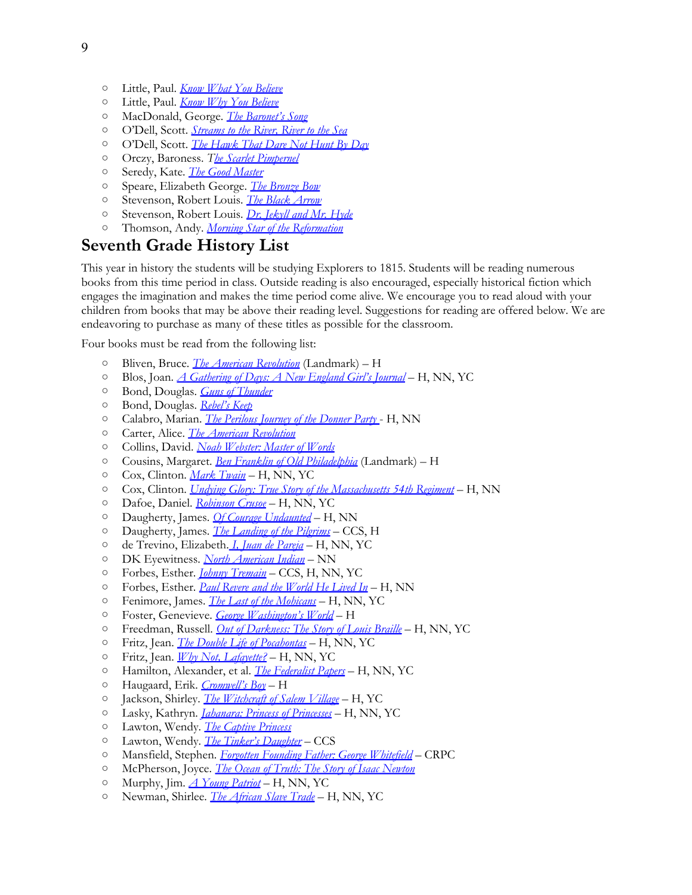- Little, Paul. *[Know](http://www.amazon.com/exec/obidos/ASIN/0830834230/thegospcoal-20) [What](http://www.amazon.com/exec/obidos/ASIN/0830834230/thegospcoal-20) [You](http://www.amazon.com/exec/obidos/ASIN/0830834230/thegospcoal-20) [Believe](http://www.amazon.com/exec/obidos/ASIN/0830834230/thegospcoal-20)*
- Little, Paul. *[Know](http://www.amazon.com/exec/obidos/ASIN/0830834222/thegospcoal-20) [Why](http://www.amazon.com/exec/obidos/ASIN/0830834222/thegospcoal-20) [You](http://www.amazon.com/exec/obidos/ASIN/0830834222/thegospcoal-20) [Believe](http://www.amazon.com/exec/obidos/ASIN/0830834222/thegospcoal-20)*
- MacDonald, George.*[The](http://www.amazon.com/exec/obidos/ASIN/1556615809/thegospcoal-20) [Baronet's](http://www.amazon.com/exec/obidos/ASIN/1556615809/thegospcoal-20) [Song](http://www.amazon.com/exec/obidos/ASIN/1556615809/thegospcoal-20)*
- O'Dell, Scott. *[Streams](http://www.amazon.com/exec/obidos/ASIN/0547053169/thegospcoal-20) [to](http://www.amazon.com/exec/obidos/ASIN/0547053169/thegospcoal-20) [the](http://www.amazon.com/exec/obidos/ASIN/0547053169/thegospcoal-20) [River, River](http://www.amazon.com/exec/obidos/ASIN/0547053169/thegospcoal-20) [to](http://www.amazon.com/exec/obidos/ASIN/0547053169/thegospcoal-20) [the](http://www.amazon.com/exec/obidos/ASIN/0547053169/thegospcoal-20) [Sea](http://www.amazon.com/exec/obidos/ASIN/0547053169/thegospcoal-20)*
- O'Dell, Scott. *[The](http://www.amazon.com/exec/obidos/ASIN/0890843686/thegospcoal-20) [Hawk](http://www.amazon.com/exec/obidos/ASIN/0890843686/thegospcoal-20) [That](http://www.amazon.com/exec/obidos/ASIN/0890843686/thegospcoal-20) [Dare](http://www.amazon.com/exec/obidos/ASIN/0890843686/thegospcoal-20) [Not](http://www.amazon.com/exec/obidos/ASIN/0890843686/thegospcoal-20) [Hunt](http://www.amazon.com/exec/obidos/ASIN/0890843686/thegospcoal-20) [By](http://www.amazon.com/exec/obidos/ASIN/0890843686/thegospcoal-20) [Day](http://www.amazon.com/exec/obidos/ASIN/0890843686/thegospcoal-20)*
- Orczy, Baroness. *T[he](http://www.amazon.com/exec/obidos/ASIN/0486421228/thegospcoal-20) [Scarlet](http://www.amazon.com/exec/obidos/ASIN/0486421228/thegospcoal-20) [Pimpernel](http://www.amazon.com/exec/obidos/ASIN/0486421228/thegospcoal-20)*
- Seredy, Kate. *[The](http://www.amazon.com/exec/obidos/ASIN/0486421228/thegospcoal-20) [Good](http://www.amazon.com/exec/obidos/ASIN/0486421228/thegospcoal-20) [Master](http://www.amazon.com/exec/obidos/ASIN/0486421228/thegospcoal-20)*
- Speare, Elizabeth George. *[The](http://www.amazon.com/exec/obidos/ASIN/0395137195/thegospcoal-20) [Bronze](http://www.amazon.com/exec/obidos/ASIN/0395137195/thegospcoal-20) [Bow](http://www.amazon.com/exec/obidos/ASIN/0395137195/thegospcoal-20)*
- Stevenson, Robert Louis. *[The](http://www.amazon.com/exec/obidos/ASIN/0141441399/thegospcoal-20) [Black](http://www.amazon.com/exec/obidos/ASIN/0141441399/thegospcoal-20) [Arrow](http://www.amazon.com/exec/obidos/ASIN/0141441399/thegospcoal-20)*
- Stevenson, Robert Louis. *[Dr. Jekyll](http://www.amazon.com/exec/obidos/ASIN/0141439734/thegospcoal-20) [and](http://www.amazon.com/exec/obidos/ASIN/0141439734/thegospcoal-20) [Mr. Hyde](http://www.amazon.com/exec/obidos/ASIN/0141439734/thegospcoal-20)*
- Thomson, Andy. *[Morning](http://www.amazon.com/exec/obidos/ASIN/0890844534/thegospcoal-20) [Star](http://www.amazon.com/exec/obidos/ASIN/0890844534/thegospcoal-20) [of](http://www.amazon.com/exec/obidos/ASIN/0890844534/thegospcoal-20) [the](http://www.amazon.com/exec/obidos/ASIN/0890844534/thegospcoal-20) [Reformation](http://www.amazon.com/exec/obidos/ASIN/0890844534/thegospcoal-20)*

## **Seventh Grade History List**

This year in history the students will be studying Explorers to 1815. Students will be reading numerous books from this time period in class. Outside reading is also encouraged, especially historical fiction which engages the imagination and makes the time period come alive. We encourage you to read aloud with your children from books that may be above their reading level. Suggestions for reading are offered below. We are endeavoring to purchase as many of these titles as possible for the classroom.

Four books must be read from the following list:

- Bliven, Bruce. *[The](http://www.amazon.com/exec/obidos/ASIN/0394846966/thegospcoal-20) [American](http://www.amazon.com/exec/obidos/ASIN/0394846966/thegospcoal-20) [Revolution](http://www.amazon.com/exec/obidos/ASIN/0394846966/thegospcoal-20)* (Landmark) H
- Blos, Joan. *[A](http://www.amazon.com/exec/obidos/ASIN/068971419X/thegospcoal-20) [Gathering](http://www.amazon.com/exec/obidos/ASIN/068971419X/thegospcoal-20) [of](http://www.amazon.com/exec/obidos/ASIN/068971419X/thegospcoal-20) [Days: A](http://www.amazon.com/exec/obidos/ASIN/068971419X/thegospcoal-20) [New](http://www.amazon.com/exec/obidos/ASIN/068971419X/thegospcoal-20) [England](http://www.amazon.com/exec/obidos/ASIN/068971419X/thegospcoal-20) [Girl's](http://www.amazon.com/exec/obidos/ASIN/068971419X/thegospcoal-20) [Journal](http://www.amazon.com/exec/obidos/ASIN/068971419X/thegospcoal-20)* H, NN, YC
- Bond, Douglas. *[Guns](http://www.amazon.com/exec/obidos/ASIN/1596380136/thegospcoal-20) [of](http://www.amazon.com/exec/obidos/ASIN/1596380136/thegospcoal-20) [Thunder](http://www.amazon.com/exec/obidos/ASIN/1596380136/thegospcoal-20)*
- Bond, Douglas. *[Rebel's](http://www.amazon.com/exec/obidos/ASIN/0875527442/thegospcoal-20) [Keep](http://www.amazon.com/exec/obidos/ASIN/0875527442/thegospcoal-20)*
- Calabro, Marian. *[The](http://www.amazon.com/exec/obidos/ASIN/0395866103/thegospcoal-20) [Perilous](http://www.amazon.com/exec/obidos/ASIN/0395866103/thegospcoal-20) [Journey](http://www.amazon.com/exec/obidos/ASIN/0395866103/thegospcoal-20) [of](http://www.amazon.com/exec/obidos/ASIN/0395866103/thegospcoal-20) [the](http://www.amazon.com/exec/obidos/ASIN/0395866103/thegospcoal-20) [Donner](http://www.amazon.com/exec/obidos/ASIN/0395866103/thegospcoal-20) [Party](http://www.amazon.com/exec/obidos/ASIN/0395866103/thegospcoal-20)* H, NN
- Carter, Alice. *[The](http://www.amazon.com/exec/obidos/ASIN/0531156524/thegospcoal-20) [American](http://www.amazon.com/exec/obidos/ASIN/0531156524/thegospcoal-20) [Revolution](http://www.amazon.com/exec/obidos/ASIN/0531156524/thegospcoal-20)*
- Collins, David. *[Noah](http://www.amazon.com/exec/obidos/ASIN/0880621583/thegospcoal-20) [Webster: Master](http://www.amazon.com/exec/obidos/ASIN/0880621583/thegospcoal-20) [of](http://www.amazon.com/exec/obidos/ASIN/0880621583/thegospcoal-20) [Words](http://www.amazon.com/exec/obidos/ASIN/0880621583/thegospcoal-20)*
- Cousins, Margaret. *[Ben](http://www.amazon.com/exec/obidos/ASIN/0394849280/thegospcoal-20) [Franklin](http://www.amazon.com/exec/obidos/ASIN/0394849280/thegospcoal-20) [of](http://www.amazon.com/exec/obidos/ASIN/0394849280/thegospcoal-20) [Old](http://www.amazon.com/exec/obidos/ASIN/0394849280/thegospcoal-20) [Philadelphia](http://www.amazon.com/exec/obidos/ASIN/0394849280/thegospcoal-20)* (Landmark) H
- Cox, Clinton. *[Mark](http://www.amazon.com/exec/obidos/ASIN/0590456415/thegospcoal-20) [Twain](http://www.amazon.com/exec/obidos/ASIN/0590456415/thegospcoal-20)* H, NN, YC
- Cox, Clinton. *[Undying](http://thegospelcoalition.org/blogs/justintaylor/2012/05/17/classical-reading-list-middle-schoo/Gamnel,%20Patricia%20Undying%20Glory:%20True%20Story%20of%20the%20Massachusetts%2054th%20Regiment) [Glory: True](http://thegospelcoalition.org/blogs/justintaylor/2012/05/17/classical-reading-list-middle-schoo/Gamnel,%20Patricia%20Undying%20Glory:%20True%20Story%20of%20the%20Massachusetts%2054th%20Regiment) [Story](http://thegospelcoalition.org/blogs/justintaylor/2012/05/17/classical-reading-list-middle-schoo/Gamnel,%20Patricia%20Undying%20Glory:%20True%20Story%20of%20the%20Massachusetts%2054th%20Regiment) [of](http://thegospelcoalition.org/blogs/justintaylor/2012/05/17/classical-reading-list-middle-schoo/Gamnel,%20Patricia%20Undying%20Glory:%20True%20Story%20of%20the%20Massachusetts%2054th%20Regiment) [the](http://thegospelcoalition.org/blogs/justintaylor/2012/05/17/classical-reading-list-middle-schoo/Gamnel,%20Patricia%20Undying%20Glory:%20True%20Story%20of%20the%20Massachusetts%2054th%20Regiment) [Massachusetts 54th](http://thegospelcoalition.org/blogs/justintaylor/2012/05/17/classical-reading-list-middle-schoo/Gamnel,%20Patricia%20Undying%20Glory:%20True%20Story%20of%20the%20Massachusetts%2054th%20Regiment) [Regiment](http://thegospelcoalition.org/blogs/justintaylor/2012/05/17/classical-reading-list-middle-schoo/Gamnel,%20Patricia%20Undying%20Glory:%20True%20Story%20of%20the%20Massachusetts%2054th%20Regiment)* H, NN
- Dafoe, Daniel. *[Robinson](http://www.amazon.com/exec/obidos/ASIN/0486404277/thegospcoal-20) [Crusoe](http://www.amazon.com/exec/obidos/ASIN/0486404277/thegospcoal-20)* H, NN, YC
- Daugherty, James. *[Of](http://www.amazon.com/exec/obidos/ASIN/1893103021/thegospcoal-20) [Courage](http://www.amazon.com/exec/obidos/ASIN/1893103021/thegospcoal-20) [Undaunted](http://www.amazon.com/exec/obidos/ASIN/1893103021/thegospcoal-20)* H, NN
- Daugherty, James. *[The](http://www.amazon.com/exec/obidos/ASIN/0394846974/thegospcoal-20) [Landing](http://www.amazon.com/exec/obidos/ASIN/0394846974/thegospcoal-20) [of](http://www.amazon.com/exec/obidos/ASIN/0394846974/thegospcoal-20) [the](http://www.amazon.com/exec/obidos/ASIN/0394846974/thegospcoal-20) [Pilgrims](http://www.amazon.com/exec/obidos/ASIN/0394846974/thegospcoal-20)* CCS, H
- de Trevino, Elizabeth. *[I, Juan](http://www.amazon.com/exec/obidos/ASIN/0312380054/thegospcoal-20) [de](http://www.amazon.com/exec/obidos/ASIN/0312380054/thegospcoal-20) [Pareja](http://www.amazon.com/exec/obidos/ASIN/0312380054/thegospcoal-20)* H, NN, YC
- DK Eyewitness. *[North](http://www.amazon.com/exec/obidos/ASIN/0756610818/thegospcoal-20) [American](http://www.amazon.com/exec/obidos/ASIN/0756610818/thegospcoal-20) [Indian](http://www.amazon.com/exec/obidos/ASIN/0756610818/thegospcoal-20)* NN
- Forbes, Esther. *[Johnny](http://www.amazon.com/exec/obidos/ASIN/0440442508/thegospcoal-20) [Tremain](http://www.amazon.com/exec/obidos/ASIN/0440442508/thegospcoal-20)* [C](http://www.amazon.com/exec/obidos/ASIN/B0058M8BVU/thegospcoal-20)CS, H, NN, YC
- Forbes, Esther. *[Paul](http://www.amazon.com/exec/obidos/ASIN/B0058M8BVU/thegospcoal-20) [Revere](http://www.amazon.com/exec/obidos/ASIN/B0058M8BVU/thegospcoal-20) [and](http://www.amazon.com/exec/obidos/ASIN/B0058M8BVU/thegospcoal-20) [the](http://www.amazon.com/exec/obidos/ASIN/B0058M8BVU/thegospcoal-20) [World](http://www.amazon.com/exec/obidos/ASIN/B0058M8BVU/thegospcoal-20) [He](http://www.amazon.com/exec/obidos/ASIN/B0058M8BVU/thegospcoal-20) [Lived](http://www.amazon.com/exec/obidos/ASIN/B0058M8BVU/thegospcoal-20) [In](http://www.amazon.com/exec/obidos/ASIN/B0058M8BVU/thegospcoal-20)* H, NN
- Fenimore, James. *[The](http://www.amazon.com/exec/obidos/ASIN/0451529820/thegospcoal-20) [Last](http://www.amazon.com/exec/obidos/ASIN/0451529820/thegospcoal-20) [of](http://www.amazon.com/exec/obidos/ASIN/0451529820/thegospcoal-20) [the](http://www.amazon.com/exec/obidos/ASIN/0451529820/thegospcoal-20) [Mohicans](http://www.amazon.com/exec/obidos/ASIN/0451529820/thegospcoal-20)* H, NN, YC
- Foster, Genevieve. *[George](http://www.amazon.com/exec/obidos/ASIN/096438034X/thegospcoal-20) [Washington's](http://www.amazon.com/exec/obidos/ASIN/096438034X/thegospcoal-20) [World](http://www.amazon.com/exec/obidos/ASIN/096438034X/thegospcoal-20)* [H](http://www.amazon.com/exec/obidos/ASIN/0395968887/thegospcoal-20)
- Freedman, Russell. *[Out](http://www.amazon.com/exec/obidos/ASIN/0395968887/thegospcoal-20) [of](http://www.amazon.com/exec/obidos/ASIN/0395968887/thegospcoal-20) [Darkness: The](http://www.amazon.com/exec/obidos/ASIN/0395968887/thegospcoal-20) [Story](http://www.amazon.com/exec/obidos/ASIN/0395968887/thegospcoal-20) [of](http://www.amazon.com/exec/obidos/ASIN/0395968887/thegospcoal-20) [Louis](http://www.amazon.com/exec/obidos/ASIN/0395968887/thegospcoal-20) [Braille](http://www.amazon.com/exec/obidos/ASIN/0395968887/thegospcoal-20)* H, NN, YC
- Fritz, Jean. *[The](http://www.amazon.com/exec/obidos/ASIN/0698119355/thegospcoal-20) [Double](http://www.amazon.com/exec/obidos/ASIN/0698119355/thegospcoal-20) [Life](http://www.amazon.com/exec/obidos/ASIN/0698119355/thegospcoal-20) [of](http://www.amazon.com/exec/obidos/ASIN/0698119355/thegospcoal-20) [Pocahontas](http://www.amazon.com/exec/obidos/ASIN/0698119355/thegospcoal-20)* H, NN, YC
- Fritz, Jean. *[Why](http://www.amazon.com/exec/obidos/ASIN/0698118820/thegospcoal-20) [Not, Lafayette?](http://www.amazon.com/exec/obidos/ASIN/0698118820/thegospcoal-20)* H, NN, YC
- Hamilton, Alexander, et a[l.](http://www.amazon.com/exec/obidos/ASIN/0395549752/thegospcoal-20) *[The](http://www.amazon.com/exec/obidos/ASIN/1612930751/thegospcoal-20) [Federalist](http://www.amazon.com/exec/obidos/ASIN/1612930751/thegospcoal-20) [Papers](http://www.amazon.com/exec/obidos/ASIN/1612930751/thegospcoal-20)* H, NN, YC
- Haugaard, Erik. *[Cromwell's](http://www.amazon.com/exec/obidos/ASIN/0395549752/thegospcoal-20) [Boy](http://www.amazon.com/exec/obidos/ASIN/0395549752/thegospcoal-20)* [H](http://www.amazon.com/exec/obidos/ASIN/0394891767/thegospcoal-20)
- Jackson, Shirley. *[The](http://www.amazon.com/exec/obidos/ASIN/0394891767/thegospcoal-20) [Witchcraft](http://www.amazon.com/exec/obidos/ASIN/0394891767/thegospcoal-20) [of](http://www.amazon.com/exec/obidos/ASIN/0394891767/thegospcoal-20) [Salem](http://www.amazon.com/exec/obidos/ASIN/0394891767/thegospcoal-20) [Village](http://www.amazon.com/exec/obidos/ASIN/0394891767/thegospcoal-20)* H, YC
- Lasky, Kathryn. *[Jahanara: Princess](http://www.amazon.com/exec/obidos/ASIN/0439223504/thegospcoal-20) [of](http://www.amazon.com/exec/obidos/ASIN/0439223504/thegospcoal-20) [Princesses](http://www.amazon.com/exec/obidos/ASIN/0439223504/thegospcoal-20)* H, NN, YC
- Lawton, Wendy. *[The](http://www.amazon.com/exec/obidos/ASIN/0802476406/thegospcoal-20) [Captive](http://www.amazon.com/exec/obidos/ASIN/0802476406/thegospcoal-20) [Princess](http://www.amazon.com/exec/obidos/ASIN/0802476406/thegospcoal-20)*
- Lawton, Wendy. *[The](http://www.amazon.com/exec/obidos/ASIN/0802440991/thegospcoal-20) [Tinker's](http://www.amazon.com/exec/obidos/ASIN/0802440991/thegospcoal-20) [Daughter](http://www.amazon.com/exec/obidos/ASIN/0802440991/thegospcoal-20)* CCS
- Mansfield, Stephen. *[Forgotten](http://www.amazon.com/exec/obidos/ASIN/1581821654/thegospcoal-20) [Founding](http://www.amazon.com/exec/obidos/ASIN/1581821654/thegospcoal-20) [Father: George](http://www.amazon.com/exec/obidos/ASIN/1581821654/thegospcoal-20) [Whitefield](http://www.amazon.com/exec/obidos/ASIN/1581821654/thegospcoal-20)* CRPC
- McPherson, Joyce. *[The](http://www.amazon.com/exec/obidos/ASIN/1882514505/thegospcoal-20) [Ocean](http://www.amazon.com/exec/obidos/ASIN/1882514505/thegospcoal-20) [of](http://www.amazon.com/exec/obidos/ASIN/1882514505/thegospcoal-20) [Truth: The](http://www.amazon.com/exec/obidos/ASIN/1882514505/thegospcoal-20) [Story](http://www.amazon.com/exec/obidos/ASIN/1882514505/thegospcoal-20) [of](http://www.amazon.com/exec/obidos/ASIN/1882514505/thegospcoal-20) [Isaac](http://www.amazon.com/exec/obidos/ASIN/1882514505/thegospcoal-20) [Newton](http://www.amazon.com/exec/obidos/ASIN/1882514505/thegospcoal-20)*
- Murphy, Jim. *[A](http://www.amazon.com/exec/obidos/ASIN/0395900190/thegospcoal-20) [Young](http://www.amazon.com/exec/obidos/ASIN/0395900190/thegospcoal-20) [Patriot](http://www.amazon.com/exec/obidos/ASIN/0395900190/thegospcoal-20)* [–](http://www.amazon.com/exec/obidos/ASIN/053116537X/thegospcoal-20) H, NN, YC
- Newman, Shirlee. *[The](http://www.amazon.com/exec/obidos/ASIN/053116537X/thegospcoal-20) [African](http://www.amazon.com/exec/obidos/ASIN/053116537X/thegospcoal-20) [Slave](http://www.amazon.com/exec/obidos/ASIN/053116537X/thegospcoal-20) [Trade](http://www.amazon.com/exec/obidos/ASIN/053116537X/thegospcoal-20)* H, NN, YC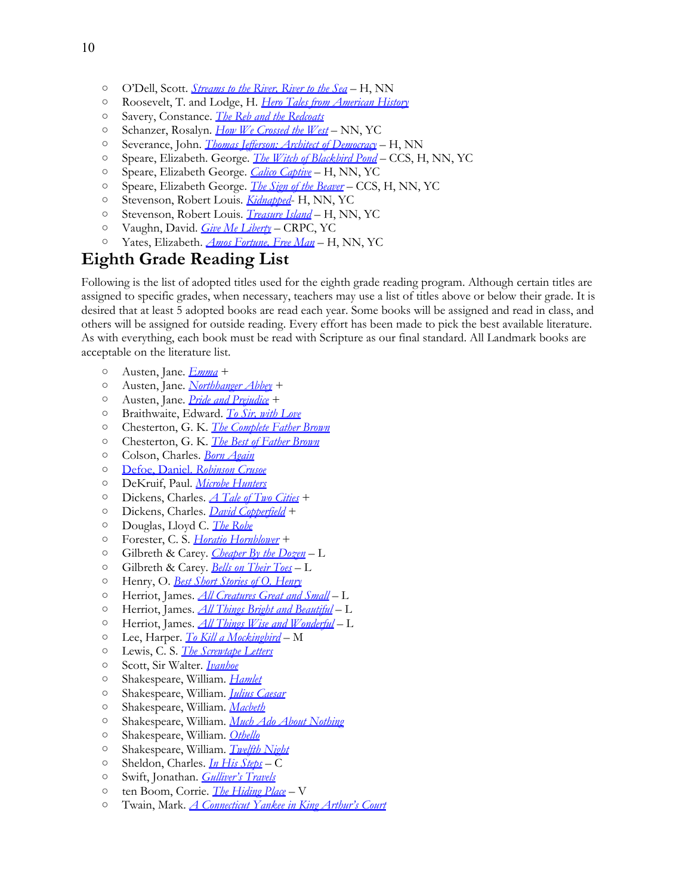- O'Dell, Scott. *[Streams](http://www.amazon.com/exec/obidos/ASIN/0618966420/thegospcoal-20) [to](http://www.amazon.com/exec/obidos/ASIN/0618966420/thegospcoal-20) [the](http://www.amazon.com/exec/obidos/ASIN/0618966420/thegospcoal-20) [River, River](http://www.amazon.com/exec/obidos/ASIN/0618966420/thegospcoal-20) [to](http://www.amazon.com/exec/obidos/ASIN/0618966420/thegospcoal-20) [the](http://www.amazon.com/exec/obidos/ASIN/0618966420/thegospcoal-20) [Sea](http://www.amazon.com/exec/obidos/ASIN/0618966420/thegospcoal-20)* H, NN
- Roosevelt, T. and Lodge, H. *[Hero](http://www.amazon.com/exec/obidos/ASIN/1935497383/thegospcoal-20) [Tales](http://www.amazon.com/exec/obidos/ASIN/1935497383/thegospcoal-20) [from](http://www.amazon.com/exec/obidos/ASIN/1935497383/thegospcoal-20) [American](http://www.amazon.com/exec/obidos/ASIN/1935497383/thegospcoal-20) [History](http://www.amazon.com/exec/obidos/ASIN/1935497383/thegospcoal-20)*
- Savery, Constance. *[The](http://www.amazon.com/exec/obidos/ASIN/1883937426/thegospcoal-20) [Reb](http://www.amazon.com/exec/obidos/ASIN/1883937426/thegospcoal-20) [and](http://www.amazon.com/exec/obidos/ASIN/1883937426/thegospcoal-20) [the](http://www.amazon.com/exec/obidos/ASIN/1883937426/thegospcoal-20) [Redcoats](http://www.amazon.com/exec/obidos/ASIN/1883937426/thegospcoal-20)*
- Schanzer, Rosalyn. *[How](http://www.amazon.com/exec/obidos/ASIN/0792267265/thegospcoal-20) [We](http://www.amazon.com/exec/obidos/ASIN/0792267265/thegospcoal-20) [Crossed](http://www.amazon.com/exec/obidos/ASIN/0792267265/thegospcoal-20) [the](http://www.amazon.com/exec/obidos/ASIN/0792267265/thegospcoal-20) [West](http://www.amazon.com/exec/obidos/ASIN/0792267265/thegospcoal-20)* NN, YC
- Severance, John. *[Thomas](http://www.amazon.com/exec/obidos/ASIN/0395845130/thegospcoal-20) [Jefferson: Architect](http://www.amazon.com/exec/obidos/ASIN/0395845130/thegospcoal-20) [of](http://www.amazon.com/exec/obidos/ASIN/0395845130/thegospcoal-20) [Democracy](http://www.amazon.com/exec/obidos/ASIN/0395845130/thegospcoal-20)* H, NN
- Speare, Elizabeth. George. *[The](http://www.amazon.com/exec/obidos/ASIN/0440495962/thegospcoal-20) [Witch](http://www.amazon.com/exec/obidos/ASIN/0440495962/thegospcoal-20) [of](http://www.amazon.com/exec/obidos/ASIN/0440495962/thegospcoal-20) [Blackbird](http://www.amazon.com/exec/obidos/ASIN/0440495962/thegospcoal-20) [Pond](http://www.amazon.com/exec/obidos/ASIN/0440495962/thegospcoal-20)* CCS, H, NN, YC
- Speare, Elizabeth George. *[Calico](http://www.amazon.com/exec/obidos/ASIN/0618150765/thegospcoal-20) [Captive](http://www.amazon.com/exec/obidos/ASIN/0618150765/thegospcoal-20)* H, NN, YC
- Speare, Elizabeth George. *[The](http://www.amazon.com/exec/obidos/ASIN/0547577117/thegospcoal-20) [Sign](http://www.amazon.com/exec/obidos/ASIN/0547577117/thegospcoal-20) [of](http://www.amazon.com/exec/obidos/ASIN/0547577117/thegospcoal-20) [the](http://www.amazon.com/exec/obidos/ASIN/0547577117/thegospcoal-20) [Beaver](http://www.amazon.com/exec/obidos/ASIN/0547577117/thegospcoal-20)* CCS, H, NN, YC
- Stevenson, Robert Louis*. [Kidnapped](http://www.amazon.com/exec/obidos/ASIN/0141326026/thegospcoal-20)* H, NN, YC
- Stevenson, Robert Louis. *[Treasure](http://www.amazon.com/exec/obidos/ASIN/0140437681/thegospcoal-20) [Island](http://www.amazon.com/exec/obidos/ASIN/0140437681/thegospcoal-20)* H, NN, YC
- Vaughn, David. *[Give](http://www.amazon.com/exec/obidos/ASIN/1888952229/thegospcoal-20) [Me](http://www.amazon.com/exec/obidos/ASIN/1888952229/thegospcoal-20) [Liberty](http://www.amazon.com/exec/obidos/ASIN/1888952229/thegospcoal-20)* CRPC, YC
- Yates, Elizabeth. *[Amos](http://www.amazon.com/exec/obidos/ASIN/0140341587/thegospcoal-20) [Fortune, Free](http://www.amazon.com/exec/obidos/ASIN/0140341587/thegospcoal-20) [Man](http://www.amazon.com/exec/obidos/ASIN/0140341587/thegospcoal-20)* H, NN, YC

### **Eighth Grade Reading List**

Following is the list of adopted titles used for the eighth grade reading program. Although certain titles are assigned to specific grades, when necessary, teachers may use a list of titles above or below their grade. It is desired that at least 5 adopted books are read each year. Some books will be assigned and read in class, and others will be assigned for outside reading. Every effort has been made to pick the best available literature. As with everything, each book must be read with Scripture as our final standard. All Landmark books are acceptable on the literature list.

- Austen, Jane. *[Emma](http://www.amazon.com/exec/obidos/ASIN/0486406482/thegospcoal-20)* +
- Austen, Jane. *[Northhanger](http://www.amazon.com/exec/obidos/ASIN/1612930840/thegospcoal-20) [Abbey](http://www.amazon.com/exec/obidos/ASIN/1612930840/thegospcoal-20)* +
- Austen, Jane. *[Pride](http://www.amazon.com/exec/obidos/ASIN/0486284735/thegospcoal-20) [and](http://www.amazon.com/exec/obidos/ASIN/0486284735/thegospcoal-20) [Prejudice](http://www.amazon.com/exec/obidos/ASIN/0486284735/thegospcoal-20)* [+](http://www.amazon.com/exec/obidos/ASIN/B0044KMWH6/thegospcoal-20)
- Braithwaite, Edward. *[To](http://www.amazon.com/exec/obidos/ASIN/B0044KMWH6/thegospcoal-20) [Sir, with](http://www.amazon.com/exec/obidos/ASIN/B0044KMWH6/thegospcoal-20) [Love](http://www.amazon.com/exec/obidos/ASIN/B0044KMWH6/thegospcoal-20)*
- Chesterton, G. K. *[The](http://www.amazon.com/exec/obidos/ASIN/0141193859/thegospcoal-20) [Complete](http://www.amazon.com/exec/obidos/ASIN/0141193859/thegospcoal-20) [Father](http://www.amazon.com/exec/obidos/ASIN/0141193859/thegospcoal-20) [Brown](http://www.amazon.com/exec/obidos/ASIN/0141193859/thegospcoal-20)*
- Chesterton, G. K. *[The](http://www.amazon.com/exec/obidos/ASIN/0460873954/thegospcoal-20) [Best](http://www.amazon.com/exec/obidos/ASIN/0460873954/thegospcoal-20) [of](http://www.amazon.com/exec/obidos/ASIN/0460873954/thegospcoal-20) [Father](http://www.amazon.com/exec/obidos/ASIN/0460873954/thegospcoal-20) [Brown](http://www.amazon.com/exec/obidos/ASIN/0460873954/thegospcoal-20)*
- Colson, Charles. *[Born](http://www.amazon.com/exec/obidos/ASIN/0800794591/thegospcoal-20) [Again](http://www.amazon.com/exec/obidos/ASIN/0800794591/thegospcoal-20)*
- [Defoe, Daniel.](http://www.amazon.com/exec/obidos/ASIN/0486404277/thegospcoal-20) *[Robinson](http://www.amazon.com/exec/obidos/ASIN/0486404277/thegospcoal-20) [Crusoe](http://www.amazon.com/exec/obidos/ASIN/0486404277/thegospcoal-20)*
- DeKruif, Paul. *[Microbe](http://www.amazon.com/exec/obidos/ASIN/0156027771/thegospcoal-20) [Hunters](http://www.amazon.com/exec/obidos/ASIN/0156027771/thegospcoal-20)*
- Dickens, Charles. *[A](http://www.amazon.com/exec/obidos/ASIN/0486406512/thegospcoal-20) [Tale](http://www.amazon.com/exec/obidos/ASIN/0486406512/thegospcoal-20) [of](http://www.amazon.com/exec/obidos/ASIN/0486406512/thegospcoal-20) [Two](http://www.amazon.com/exec/obidos/ASIN/0486406512/thegospcoal-20) [Cities](http://www.amazon.com/exec/obidos/ASIN/0486406512/thegospcoal-20)* +
- Dickens, Charles. *[David](http://www.amazon.com/exec/obidos/ASIN/0140439447/thegospcoal-20) [Copperfield](http://www.amazon.com/exec/obidos/ASIN/0140439447/thegospcoal-20)* +
- Douglas, Lloyd C. *[The](http://www.amazon.com/exec/obidos/ASIN/0395957753/thegospcoal-20) [Robe](http://www.amazon.com/exec/obidos/ASIN/0395957753/thegospcoal-20)*
- Forester, C. S. *[Horatio](http://www.amazon.com/s/ref=nb_sb_noss?url=search-alias%3Dstripbooks&field-keywords=Forester%2C+C.+S.+Horatio+Hornblower#/ref=nb_sb_noss?url=search-alias%3Dstripbooks&field-keywords=Forester%2C+C.+S.+Horatio+Hornblower+set&rh=n%3A283155%2Ck%3AForesterc+C.+S.+Horatio+Hornblower+set) [Hornblower](http://www.amazon.com/s/ref=nb_sb_noss?url=search-alias%3Dstripbooks&field-keywords=Forester%2C+C.+S.+Horatio+Hornblower#/ref=nb_sb_noss?url=search-alias%3Dstripbooks&field-keywords=Forester%2C+C.+S.+Horatio+Hornblower+set&rh=n%3A283155%2Ck%3AForesterc+C.+S.+Horatio+Hornblower+set)* +
- Gilbreth & Carey. *[Cheaper](http://www.amazon.com/exec/obidos/ASIN/006008460X/thegospcoal-20) [By](http://www.amazon.com/exec/obidos/ASIN/006008460X/thegospcoal-20) [the](http://www.amazon.com/exec/obidos/ASIN/006008460X/thegospcoal-20) [Dozen](http://www.amazon.com/exec/obidos/ASIN/006008460X/thegospcoal-20)* L
- Gilbreth & Carey. *[Bells](http://www.amazon.com/exec/obidos/ASIN/0060598239/thegospcoal-20) [on](http://www.amazon.com/exec/obidos/ASIN/0060598239/thegospcoal-20) [Their](http://www.amazon.com/exec/obidos/ASIN/0060598239/thegospcoal-20) [Toes](http://www.amazon.com/exec/obidos/ASIN/0060598239/thegospcoal-20)* L
- Henry, O. *[Best](http://www.amazon.com/exec/obidos/ASIN/0679601228/thegospcoal-20) [Short](http://www.amazon.com/exec/obidos/ASIN/0679601228/thegospcoal-20) [Stories](http://www.amazon.com/exec/obidos/ASIN/0679601228/thegospcoal-20) [of](http://www.amazon.com/exec/obidos/ASIN/0679601228/thegospcoal-20) [O. Henry](http://www.amazon.com/exec/obidos/ASIN/0679601228/thegospcoal-20)*
- Herriot, James. *[All](http://www.amazon.com/exec/obidos/ASIN/0312330855/thegospcoal-20) [Creatures](http://www.amazon.com/exec/obidos/ASIN/0312330855/thegospcoal-20) [Great](http://www.amazon.com/exec/obidos/ASIN/0312330855/thegospcoal-20) [and](http://www.amazon.com/exec/obidos/ASIN/0312330855/thegospcoal-20) [Small](http://www.amazon.com/exec/obidos/ASIN/0312330855/thegospcoal-20)* L
- Herriot, James. *[All](http://www.amazon.com/exec/obidos/ASIN/0312330863/thegospcoal-20) [Things](http://www.amazon.com/exec/obidos/ASIN/0312330863/thegospcoal-20) [Bright](http://www.amazon.com/exec/obidos/ASIN/0312330863/thegospcoal-20) [and](http://www.amazon.com/exec/obidos/ASIN/0312330863/thegospcoal-20) [Beautiful](http://www.amazon.com/exec/obidos/ASIN/0312330863/thegospcoal-20)* L
- Herriot, James. *[All](http://www.amazon.com/exec/obidos/ASIN/0312335288/thegospcoal-20) [Things](http://www.amazon.com/exec/obidos/ASIN/0312335288/thegospcoal-20) [Wise](http://www.amazon.com/exec/obidos/ASIN/0312335288/thegospcoal-20) [and](http://www.amazon.com/exec/obidos/ASIN/0312335288/thegospcoal-20) [Wonderful](http://www.amazon.com/exec/obidos/ASIN/0312335288/thegospcoal-20)* L
- Lee, Harper. *[To](http://www.amazon.com/exec/obidos/ASIN/0060935464/thegospcoal-20) [Kill](http://www.amazon.com/exec/obidos/ASIN/0060935464/thegospcoal-20) [a](http://www.amazon.com/exec/obidos/ASIN/0060935464/thegospcoal-20) [Mockingbird](http://www.amazon.com/exec/obidos/ASIN/0060935464/thegospcoal-20)* M
- Lewis, C. S. *[The](http://www.amazon.com/exec/obidos/ASIN/0060652896/thegospcoal-20) [Screwtape](http://www.amazon.com/exec/obidos/ASIN/0060652896/thegospcoal-20) [Letters](http://www.amazon.com/exec/obidos/ASIN/0060652896/thegospcoal-20)*
- Scott, Sir Walter. *[Ivanhoe](http://www.amazon.com/exec/obidos/ASIN/0140436588/thegospcoal-20)*
- Shakespeare, William. *[Hamlet](http://www.amazon.com/exec/obidos/ASIN/0451527291/thegospcoal-20)*
- Shakespeare, William. *[Julius](http://www.amazon.com/exec/obidos/ASIN/0451526899/thegospcoal-20) [Caesar](http://www.amazon.com/exec/obidos/ASIN/0451526899/thegospcoal-20)*
- Shakespeare, William. *[Macbeth](http://www.amazon.com/exec/obidos/ASIN/0451527291/thegospcoal-20)*
- Shakespeare, William. *[Much](http://www.amazon.com/exec/obidos/ASIN/0451526813/thegospcoal-20) [Ado](http://www.amazon.com/exec/obidos/ASIN/0451526813/thegospcoal-20) [About](http://www.amazon.com/exec/obidos/ASIN/0451526813/thegospcoal-20) [Nothing](http://www.amazon.com/exec/obidos/ASIN/0451526813/thegospcoal-20)*
- Shakespeare, William. *[Othello](http://www.amazon.com/exec/obidos/ASIN/0451527291/thegospcoal-20)*
- Shakespeare, William. *[Twelfth](http://www.amazon.com/exec/obidos/ASIN/0451526767/thegospcoal-20) [Night](http://www.amazon.com/exec/obidos/ASIN/0451526767/thegospcoal-20)*
- Sheldon, Charles. *[In](http://www.amazon.com/exec/obidos/ASIN/0882707825/thegospcoal-20) [His](http://www.amazon.com/exec/obidos/ASIN/0882707825/thegospcoal-20) [Steps](http://www.amazon.com/exec/obidos/ASIN/0882707825/thegospcoal-20)* C
- Swift, Jonathan. *[Gulliver's](http://www.amazon.com/exec/obidos/ASIN/0141439491/thegospcoal-20) [Travels](http://www.amazon.com/exec/obidos/ASIN/0141439491/thegospcoal-20)*
- ten Boom, Corrie. *[The](http://www.amazon.com/exec/obidos/ASIN/0800794052/thegospcoal-20) [Hiding](http://www.amazon.com/exec/obidos/ASIN/0800794052/thegospcoal-20) [Place](http://www.amazon.com/exec/obidos/ASIN/0800794052/thegospcoal-20)* V
- Twain, Mark. *[A](http://www.amazon.com/exec/obidos/ASIN/1613822154/thegospcoal-20) [Connecticut](http://www.amazon.com/exec/obidos/ASIN/1613822154/thegospcoal-20) [Yankee](http://www.amazon.com/exec/obidos/ASIN/1613822154/thegospcoal-20) [in](http://www.amazon.com/exec/obidos/ASIN/1613822154/thegospcoal-20) [King](http://www.amazon.com/exec/obidos/ASIN/1613822154/thegospcoal-20) [Arthur's](http://www.amazon.com/exec/obidos/ASIN/1613822154/thegospcoal-20) [Court](http://www.amazon.com/exec/obidos/ASIN/1613822154/thegospcoal-20)*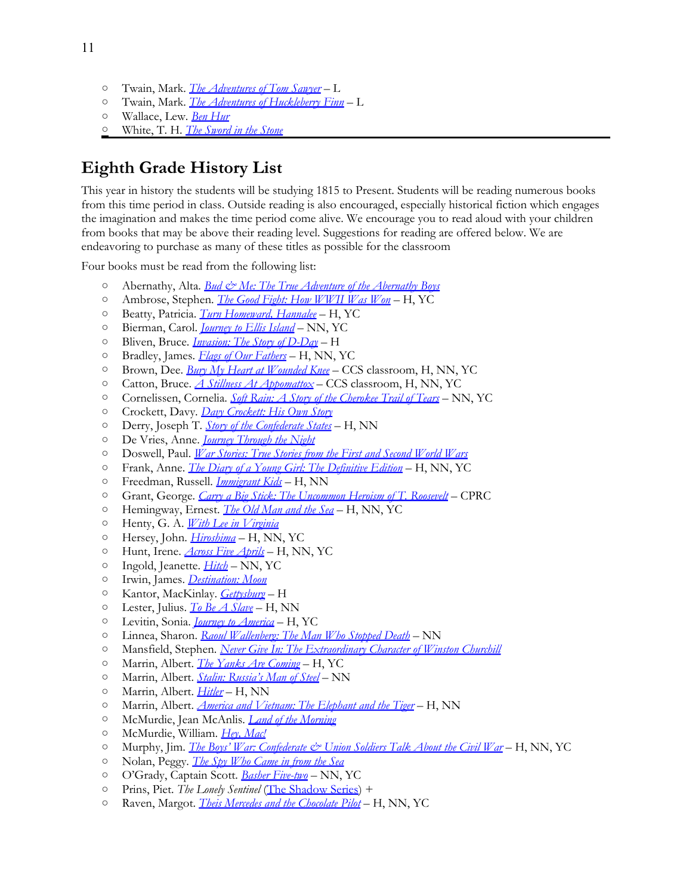- Twain, Mark. *[The](http://www.amazon.com/exec/obidos/ASIN/0812504208/thegospcoal-20) [Adventures](http://www.amazon.com/exec/obidos/ASIN/0812504208/thegospcoal-20) [of](http://www.amazon.com/exec/obidos/ASIN/0812504208/thegospcoal-20) [Tom](http://www.amazon.com/exec/obidos/ASIN/0812504208/thegospcoal-20) [Sawyer](http://www.amazon.com/exec/obidos/ASIN/0812504208/thegospcoal-20)* L
- Twain, Mark. *[The](http://www.amazon.com/exec/obidos/ASIN/0812504224/thegospcoal-20) [Adventures](http://www.amazon.com/exec/obidos/ASIN/0812504224/thegospcoal-20) [of](http://www.amazon.com/exec/obidos/ASIN/0812504224/thegospcoal-20) [Huckleberry](http://www.amazon.com/exec/obidos/ASIN/0812504224/thegospcoal-20) [Finn](http://www.amazon.com/exec/obidos/ASIN/0812504224/thegospcoal-20)* L
- Wallace, Lew. *[Ben](http://www.amazon.com/exec/obidos/ASIN/1853262838/thegospcoal-20) [Hur](http://www.amazon.com/exec/obidos/ASIN/1853262838/thegospcoal-20)*
- White, T. H. *[The](http://www.amazon.com/exec/obidos/ASIN/0399225021/thegospcoal-20) [Sword](http://www.amazon.com/exec/obidos/ASIN/0399225021/thegospcoal-20) [in](http://www.amazon.com/exec/obidos/ASIN/0399225021/thegospcoal-20) [the](http://www.amazon.com/exec/obidos/ASIN/0399225021/thegospcoal-20) [Stone](http://www.amazon.com/exec/obidos/ASIN/0399225021/thegospcoal-20)*

## **Eighth Grade History List**

This year in history the students will be studying 1815 to Present. Students will be reading numerous books from this time period in class. Outside reading is also encouraged, especially historical fiction which engages the imagination and makes the time period come alive. We encourage you to read aloud with your children from books that may be above their reading level. Suggestions for reading are offered below. We are endeavoring to purchase as many of these titles as possible for the classroom

Four books must be read from the following list:

- Abernathy, Alta. *[Bud & Me: The](http://www.amazon.com/exec/obidos/ASIN/0966216601/thegospcoal-20) [True](http://www.amazon.com/exec/obidos/ASIN/0966216601/thegospcoal-20) [Adventure](http://www.amazon.com/exec/obidos/ASIN/0966216601/thegospcoal-20) [of](http://www.amazon.com/exec/obidos/ASIN/0966216601/thegospcoal-20) [the](http://www.amazon.com/exec/obidos/ASIN/0966216601/thegospcoal-20) [Abernathy](http://www.amazon.com/exec/obidos/ASIN/0966216601/thegospcoal-20) [Boys](http://www.amazon.com/exec/obidos/ASIN/0966216601/thegospcoal-20)*
- Ambrose, Stephen. *[The](http://www.amazon.com/exec/obidos/ASIN/0689843615/thegospcoal-20) [Good](http://www.amazon.com/exec/obidos/ASIN/0689843615/thegospcoal-20) [Fight: How](http://www.amazon.com/exec/obidos/ASIN/0689843615/thegospcoal-20) [WWII](http://www.amazon.com/exec/obidos/ASIN/0689843615/thegospcoal-20) [Was](http://www.amazon.com/exec/obidos/ASIN/0689843615/thegospcoal-20) [Won](http://www.amazon.com/exec/obidos/ASIN/0689843615/thegospcoal-20)* H, YC
- Beatty, Patricia. *[Turn](http://www.amazon.com/exec/obidos/ASIN/0688166768/thegospcoal-20) [Homeward, Hannalee](http://www.amazon.com/exec/obidos/ASIN/0688166768/thegospcoal-20)* H, YC
- Bierman, Carol. *[Journey](http://www.amazon.com/exec/obidos/ASIN/B0000AA9K7/thegospcoal-20) [to](http://www.amazon.com/exec/obidos/ASIN/B0000AA9K7/thegospcoal-20) [Ellis](http://www.amazon.com/exec/obidos/ASIN/B0000AA9K7/thegospcoal-20) [Island](http://www.amazon.com/exec/obidos/ASIN/B0000AA9K7/thegospcoal-20)* NN, YC
- Bliven, Bruce. *[Invasion: The](http://www.amazon.com/exec/obidos/ASIN/1402741413/thegospcoal-20) [Story](http://www.amazon.com/exec/obidos/ASIN/1402741413/thegospcoal-20) [of](http://www.amazon.com/exec/obidos/ASIN/1402741413/thegospcoal-20) [D-Day](http://www.amazon.com/exec/obidos/ASIN/1402741413/thegospcoal-20)* H
- Bradley, James. *[Flags](http://www.amazon.com/exec/obidos/ASIN/0553384155/thegospcoal-20) [of](http://www.amazon.com/exec/obidos/ASIN/0553384155/thegospcoal-20) [Our](http://www.amazon.com/exec/obidos/ASIN/0553384155/thegospcoal-20) [Fathers](http://www.amazon.com/exec/obidos/ASIN/0553384155/thegospcoal-20)* H, NN, YC
- Brown, Dee. *[Bury](http://www.amazon.com/exec/obidos/ASIN/0805086846/thegospcoal-20) [My](http://www.amazon.com/exec/obidos/ASIN/0805086846/thegospcoal-20) [Heart](http://www.amazon.com/exec/obidos/ASIN/0805086846/thegospcoal-20) [at](http://www.amazon.com/exec/obidos/ASIN/0805086846/thegospcoal-20) [Wounded](http://www.amazon.com/exec/obidos/ASIN/0805086846/thegospcoal-20) [Knee](http://www.amazon.com/exec/obidos/ASIN/0805086846/thegospcoal-20)* CCS classroom, H, NN, YC
- Catton, Bruce. *[A](http://www.amazon.com/exec/obidos/ASIN/0385044518/thegospcoal-20) [Stillness](http://www.amazon.com/exec/obidos/ASIN/0385044518/thegospcoal-20) [At](http://www.amazon.com/exec/obidos/ASIN/0385044518/thegospcoal-20) [Appomattox](http://www.amazon.com/exec/obidos/ASIN/0385044518/thegospcoal-20)* C[C](http://www.amazon.com/exec/obidos/ASIN/0440412420/thegospcoal-20)S classroom, H, NN, YC
- Cornelissen, Cornelia. *[Soft](http://www.amazon.com/exec/obidos/ASIN/0440412420/thegospcoal-20) [Rain: A](http://www.amazon.com/exec/obidos/ASIN/0440412420/thegospcoal-20) [Story](http://www.amazon.com/exec/obidos/ASIN/0440412420/thegospcoal-20) [of](http://www.amazon.com/exec/obidos/ASIN/0440412420/thegospcoal-20) [the](http://www.amazon.com/exec/obidos/ASIN/0440412420/thegospcoal-20) [Cherokee](http://www.amazon.com/exec/obidos/ASIN/0440412420/thegospcoal-20) [Trail](http://www.amazon.com/exec/obidos/ASIN/0440412420/thegospcoal-20) [of](http://www.amazon.com/exec/obidos/ASIN/0440412420/thegospcoal-20) [Tears](http://www.amazon.com/exec/obidos/ASIN/0440412420/thegospcoal-20)* NN, YC
- Crockett, Davy. *[Davy](http://www.amazon.com/exec/obidos/ASIN/1557092184/thegospcoal-20) [Crockett: His](http://www.amazon.com/exec/obidos/ASIN/1557092184/thegospcoal-20) [Own](http://www.amazon.com/exec/obidos/ASIN/1557092184/thegospcoal-20) [Story](http://www.amazon.com/exec/obidos/ASIN/1557092184/thegospcoal-20)*
- Derry, Joseph T. *[Story](http://www.amazon.com/exec/obidos/ASIN/B004QOAEUC/thegospcoal-20) [of](http://www.amazon.com/exec/obidos/ASIN/B004QOAEUC/thegospcoal-20) [the](http://www.amazon.com/exec/obidos/ASIN/B004QOAEUC/thegospcoal-20) [Confederate](http://www.amazon.com/exec/obidos/ASIN/B004QOAEUC/thegospcoal-20) [States](http://www.amazon.com/exec/obidos/ASIN/B004QOAEUC/thegospcoal-20)* H, NN
- De Vries, Anne. *[Journey](http://www.amazon.com/exec/obidos/ASIN/0921100256/thegospcoal-20) [Through](http://www.amazon.com/exec/obidos/ASIN/0921100256/thegospcoal-20) [the](http://www.amazon.com/exec/obidos/ASIN/0921100256/thegospcoal-20) [Night](http://www.amazon.com/exec/obidos/ASIN/0921100256/thegospcoal-20)*
- Doswell, Paul. *[War](http://www.amazon.com/exec/obidos/ASIN/0794507212/thegospcoal-20) [Stories: True](http://www.amazon.com/exec/obidos/ASIN/0794507212/thegospcoal-20) [Stories](http://www.amazon.com/exec/obidos/ASIN/0794507212/thegospcoal-20) [from](http://www.amazon.com/exec/obidos/ASIN/0794507212/thegospcoal-20) [the](http://www.amazon.com/exec/obidos/ASIN/0794507212/thegospcoal-20) [First](http://www.amazon.com/exec/obidos/ASIN/0794507212/thegospcoal-20) [and](http://www.amazon.com/exec/obidos/ASIN/0794507212/thegospcoal-20) [Second](http://www.amazon.com/exec/obidos/ASIN/0794507212/thegospcoal-20) [World](http://www.amazon.com/exec/obidos/ASIN/0794507212/thegospcoal-20) [Wars](http://www.amazon.com/exec/obidos/ASIN/0794507212/thegospcoal-20)*
- Frank, Anne. *[The](http://www.amazon.com/exec/obidos/ASIN/0553577123/thegospcoal-20) [Diary](http://www.amazon.com/exec/obidos/ASIN/0553577123/thegospcoal-20) [of](http://www.amazon.com/exec/obidos/ASIN/0553577123/thegospcoal-20) [a](http://www.amazon.com/exec/obidos/ASIN/0553577123/thegospcoal-20) [Young](http://www.amazon.com/exec/obidos/ASIN/0553577123/thegospcoal-20) [Girl: The](http://www.amazon.com/exec/obidos/ASIN/0553577123/thegospcoal-20) [Definitive](http://www.amazon.com/exec/obidos/ASIN/0553577123/thegospcoal-20) [Edition](http://www.amazon.com/exec/obidos/ASIN/0553577123/thegospcoal-20)* H, NN, YC
- Freedman, Russell. *[Immigrant](http://www.amazon.com/exec/obidos/ASIN/0140375945/thegospcoal-20) [Kids](http://www.amazon.com/exec/obidos/ASIN/0140375945/thegospcoal-20)* [H](http://www.amazon.com/exec/obidos/ASIN/1888952202/thegospcoal-20), NN
- Grant, George. *[Carry](http://www.amazon.com/exec/obidos/ASIN/1888952202/thegospcoal-20) [a](http://www.amazon.com/exec/obidos/ASIN/1888952202/thegospcoal-20) [Big](http://www.amazon.com/exec/obidos/ASIN/1888952202/thegospcoal-20) [Stick: The](http://www.amazon.com/exec/obidos/ASIN/1888952202/thegospcoal-20) [Uncommon](http://www.amazon.com/exec/obidos/ASIN/1888952202/thegospcoal-20) [Heroism](http://www.amazon.com/exec/obidos/ASIN/1888952202/thegospcoal-20) [of](http://www.amazon.com/exec/obidos/ASIN/1888952202/thegospcoal-20) [T. Roosevelt](http://www.amazon.com/exec/obidos/ASIN/1888952202/thegospcoal-20)* CPRC
- Hemingway, Ernest. *[The](http://www.amazon.com/exec/obidos/ASIN/0684830493/thegospcoal-20) [Old](http://www.amazon.com/exec/obidos/ASIN/0684830493/thegospcoal-20) [Man](http://www.amazon.com/exec/obidos/ASIN/0684830493/thegospcoal-20) [and](http://www.amazon.com/exec/obidos/ASIN/0684830493/thegospcoal-20) [the](http://www.amazon.com/exec/obidos/ASIN/0684830493/thegospcoal-20) [Sea](http://www.amazon.com/exec/obidos/ASIN/0684830493/thegospcoal-20)* H, NN, YC
- Henty, G. A. *[With](http://www.amazon.com/exec/obidos/ASIN/0486434567/thegospcoal-20) [Lee](http://www.amazon.com/exec/obidos/ASIN/0486434567/thegospcoal-20) [in](http://www.amazon.com/exec/obidos/ASIN/0486434567/thegospcoal-20) [Virginia](http://www.amazon.com/exec/obidos/ASIN/0486434567/thegospcoal-20)*
- Hersey, John. *[Hiroshima](http://www.amazon.com/exec/obidos/ASIN/0679721037/thegospcoal-20)* H, NN, YC
- Hunt, Irene. *[Across](http://www.amazon.com/exec/obidos/ASIN/0425182789/thegospcoal-20) [Five](http://www.amazon.com/exec/obidos/ASIN/0425182789/thegospcoal-20) [Aprils](http://www.amazon.com/exec/obidos/ASIN/0425182789/thegospcoal-20)* H, NN, YC
- Ingold, Jeanette. *[Hitch](http://www.amazon.com/exec/obidos/ASIN/015205619X/thegospcoal-20)* NN, YC
- Irwin, James. *[Destination: Moon](http://www.amazon.com/exec/obidos/ASIN/1929241984/thegospcoal-20)*
- Kantor, MacKinlay. *[Gettysburg](http://www.amazon.com/exec/obidos/ASIN/0394891813/thegospcoal-20)* H
- Lester, Julius. *[To](http://www.amazon.com/exec/obidos/ASIN/0141310014/thegospcoal-20) [Be](http://www.amazon.com/exec/obidos/ASIN/0141310014/thegospcoal-20) [A](http://www.amazon.com/exec/obidos/ASIN/0141310014/thegospcoal-20) [Slave](http://www.amazon.com/exec/obidos/ASIN/0141310014/thegospcoal-20)* H, NN
- Levitin, Sonia. *[Journey](http://thegospelcoalition.org/blogs/justintaylor/2012/05/17/classical-reading-list-middle-schoo/www.amazon.com/exec/obidos/ASIN/0689711301/thegospcoal-20) [to](http://thegospelcoalition.org/blogs/justintaylor/2012/05/17/classical-reading-list-middle-schoo/www.amazon.com/exec/obidos/ASIN/0689711301/thegospcoal-20) [America](http://thegospelcoalition.org/blogs/justintaylor/2012/05/17/classical-reading-list-middle-schoo/www.amazon.com/exec/obidos/ASIN/0689711301/thegospcoal-20)* H[,](http://www.amazon.com/exec/obidos/ASIN/0827604483/thegospcoal-20) YC
- Linnea, Sharon. *[Raoul](http://www.amazon.com/exec/obidos/ASIN/0827604483/thegospcoal-20) [Wallenberg: The](http://www.amazon.com/exec/obidos/ASIN/0827604483/thegospcoal-20) [Man](http://www.amazon.com/exec/obidos/ASIN/0827604483/thegospcoal-20) [Who](http://www.amazon.com/exec/obidos/ASIN/0827604483/thegospcoal-20) [Stopped](http://www.amazon.com/exec/obidos/ASIN/0827604483/thegospcoal-20) [Death](http://www.amazon.com/exec/obidos/ASIN/0827604483/thegospcoal-20)* NN
- Mansfield, Stephe[n.](http://www.amazon.com/exec/obidos/ASIN/1893103110/thegospcoal-20) *[Never](http://www.amazon.com/exec/obidos/ASIN/1888952199/thegospcoal-20) [Give](http://www.amazon.com/exec/obidos/ASIN/1888952199/thegospcoal-20) [In: The](http://www.amazon.com/exec/obidos/ASIN/1888952199/thegospcoal-20) [Extraordinary](http://www.amazon.com/exec/obidos/ASIN/1888952199/thegospcoal-20) [Character](http://www.amazon.com/exec/obidos/ASIN/1888952199/thegospcoal-20) [of](http://www.amazon.com/exec/obidos/ASIN/1888952199/thegospcoal-20) [Winston](http://www.amazon.com/exec/obidos/ASIN/1888952199/thegospcoal-20) [Churchill](http://www.amazon.com/exec/obidos/ASIN/1888952199/thegospcoal-20)*
- Marrin, Albert. *[The](http://www.amazon.com/exec/obidos/ASIN/1893103110/thegospcoal-20) [Yanks](http://www.amazon.com/exec/obidos/ASIN/1893103110/thegospcoal-20) [Are](http://www.amazon.com/exec/obidos/ASIN/1893103110/thegospcoal-20) [Coming](http://www.amazon.com/exec/obidos/ASIN/1893103110/thegospcoal-20)* H, YC
- Marrin, Albert. *[Stalin: Russia's](http://www.amazon.com/exec/obidos/ASIN/1893103099/thegospcoal-20) [Man](http://www.amazon.com/exec/obidos/ASIN/1893103099/thegospcoal-20) [of](http://www.amazon.com/exec/obidos/ASIN/1893103099/thegospcoal-20) [Steel](http://www.amazon.com/exec/obidos/ASIN/1893103099/thegospcoal-20)* NN
- Marrin, Albert. *[Hitler](http://www.amazon.com/exec/obidos/ASIN/1893103102/thegospcoal-20)* H, [N](http://www.amazon.com/exec/obidos/ASIN/1893103080/thegospcoal-20)N
- Marrin, Albert. *[America](http://www.amazon.com/exec/obidos/ASIN/1893103080/thegospcoal-20) [and](http://www.amazon.com/exec/obidos/ASIN/1893103080/thegospcoal-20) [Vietnam: The](http://www.amazon.com/exec/obidos/ASIN/1893103080/thegospcoal-20) [Elephant](http://www.amazon.com/exec/obidos/ASIN/1893103080/thegospcoal-20) [and](http://www.amazon.com/exec/obidos/ASIN/1893103080/thegospcoal-20) [the](http://www.amazon.com/exec/obidos/ASIN/1893103080/thegospcoal-20) [Tiger](http://www.amazon.com/exec/obidos/ASIN/1893103080/thegospcoal-20)* H, NN
- McMurdie, Jean McAnlis. *[Land](http://www.amazon.com/exec/obidos/ASIN/1880222434/thegospcoal-20) [of](http://www.amazon.com/exec/obidos/ASIN/1880222434/thegospcoal-20) [the](http://www.amazon.com/exec/obidos/ASIN/1880222434/thegospcoal-20) [Morning](http://www.amazon.com/exec/obidos/ASIN/1880222434/thegospcoal-20)*
- McMurdie, William. *[Hey, Mac!](http://www.amazon.com/exec/obidos/ASIN/1880222418/thegospcoal-20)*
- Murphy, Jim. *[The](http://www.amazon.com/exec/obidos/ASIN/0395664128/thegospcoal-20) [Boys' War: Confederate & Union](http://www.amazon.com/exec/obidos/ASIN/0395664128/thegospcoal-20) [Soldiers](http://www.amazon.com/exec/obidos/ASIN/0395664128/thegospcoal-20) [Talk](http://www.amazon.com/exec/obidos/ASIN/0395664128/thegospcoal-20) [About](http://www.amazon.com/exec/obidos/ASIN/0395664128/thegospcoal-20) [the](http://www.amazon.com/exec/obidos/ASIN/0395664128/thegospcoal-20) [Civil](http://www.amazon.com/exec/obidos/ASIN/0395664128/thegospcoal-20) [War](http://www.amazon.com/exec/obidos/ASIN/0395664128/thegospcoal-20)* H, NN, YC
- Nolan, Peggy. *[The](http://www.amazon.com/exec/obidos/ASIN/1561642452/thegospcoal-20) [Spy](http://www.amazon.com/exec/obidos/ASIN/1561642452/thegospcoal-20) [Who](http://www.amazon.com/exec/obidos/ASIN/1561642452/thegospcoal-20) [Came](http://www.amazon.com/exec/obidos/ASIN/1561642452/thegospcoal-20) [in](http://www.amazon.com/exec/obidos/ASIN/1561642452/thegospcoal-20) [from](http://www.amazon.com/exec/obidos/ASIN/1561642452/thegospcoal-20) [the](http://www.amazon.com/exec/obidos/ASIN/1561642452/thegospcoal-20) [Sea](http://www.amazon.com/exec/obidos/ASIN/1561642452/thegospcoal-20)*
- O'Grady, Captain Scott. *[Basher](http://www.amazon.com/exec/obidos/ASIN/0440413133/thegospcoal-20) [Five-two](http://www.amazon.com/exec/obidos/ASIN/0440413133/thegospcoal-20)* NN, YC
- Prins, Piet. *The Lonely Sentinel* [\(The](http://www.amazon.com/s/ref=nb_sb_noss?url=search-alias%3Dstripbooks&field-keywords=Prins%2C+Piet+The+Shadow+Series) [Shadow](http://www.amazon.com/s/ref=nb_sb_noss?url=search-alias%3Dstripbooks&field-keywords=Prins%2C+Piet+The+Shadow+Series) [Series](http://www.amazon.com/s/ref=nb_sb_noss?url=search-alias%3Dstripbooks&field-keywords=Prins%2C+Piet+The+Shadow+Series)) +
- Raven, Margot. *[Theis](http://www.amazon.com/exec/obidos/ASIN/1585360694/thegospcoal-20) [Mercedes](http://www.amazon.com/exec/obidos/ASIN/1585360694/thegospcoal-20) [and](http://www.amazon.com/exec/obidos/ASIN/1585360694/thegospcoal-20) [the](http://www.amazon.com/exec/obidos/ASIN/1585360694/thegospcoal-20) [Chocolate](http://www.amazon.com/exec/obidos/ASIN/1585360694/thegospcoal-20) [Pilot](http://www.amazon.com/exec/obidos/ASIN/1585360694/thegospcoal-20)* H, NN, YC